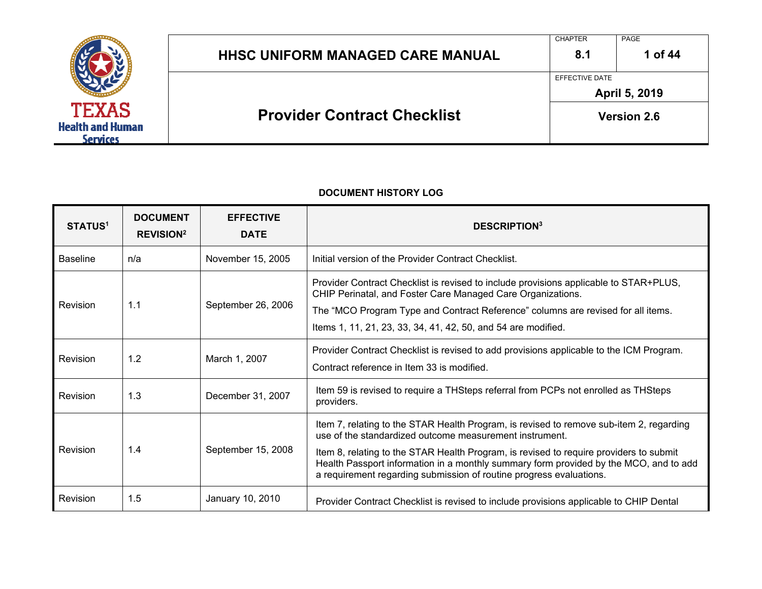

| <b>Provider Contract Checklist</b>      |                | <b>Version 2.6</b> |
|-----------------------------------------|----------------|--------------------|
|                                         | EFFECTIVE DATE | April 5, 2019      |
| <b>HHSC UNIFORM MANAGED CARE MANUAL</b> | 8.1            | 1 of 44            |
|                                         | <b>CHAPTER</b> | PAGE               |

| <b>STATUS<sup>1</sup></b> | <b>DOCUMENT</b><br><b>REVISION<sup>2</sup></b> | <b>EFFECTIVE</b><br><b>DATE</b> | <b>DESCRIPTION</b> <sup>3</sup>                                                                                                                                                                                                                                                                                                                                                                              |
|---------------------------|------------------------------------------------|---------------------------------|--------------------------------------------------------------------------------------------------------------------------------------------------------------------------------------------------------------------------------------------------------------------------------------------------------------------------------------------------------------------------------------------------------------|
| <b>Baseline</b>           | n/a                                            | November 15, 2005               | Initial version of the Provider Contract Checklist.                                                                                                                                                                                                                                                                                                                                                          |
| Revision                  | 1.1                                            | September 26, 2006              | Provider Contract Checklist is revised to include provisions applicable to STAR+PLUS,<br>CHIP Perinatal, and Foster Care Managed Care Organizations.<br>The "MCO Program Type and Contract Reference" columns are revised for all items.<br>Items 1, 11, 21, 23, 33, 34, 41, 42, 50, and 54 are modified.                                                                                                    |
| Revision                  | 1.2                                            | March 1, 2007                   | Provider Contract Checklist is revised to add provisions applicable to the ICM Program.<br>Contract reference in Item 33 is modified.                                                                                                                                                                                                                                                                        |
| Revision                  | 1.3                                            | December 31, 2007               | Item 59 is revised to require a THSteps referral from PCPs not enrolled as THSteps<br>providers.                                                                                                                                                                                                                                                                                                             |
| Revision                  | 1.4                                            | September 15, 2008              | Item 7, relating to the STAR Health Program, is revised to remove sub-item 2, regarding<br>use of the standardized outcome measurement instrument.<br>Item 8, relating to the STAR Health Program, is revised to require providers to submit<br>Health Passport information in a monthly summary form provided by the MCO, and to add<br>a requirement regarding submission of routine progress evaluations. |
| Revision                  | 1.5                                            | January 10, 2010                | Provider Contract Checklist is revised to include provisions applicable to CHIP Dental                                                                                                                                                                                                                                                                                                                       |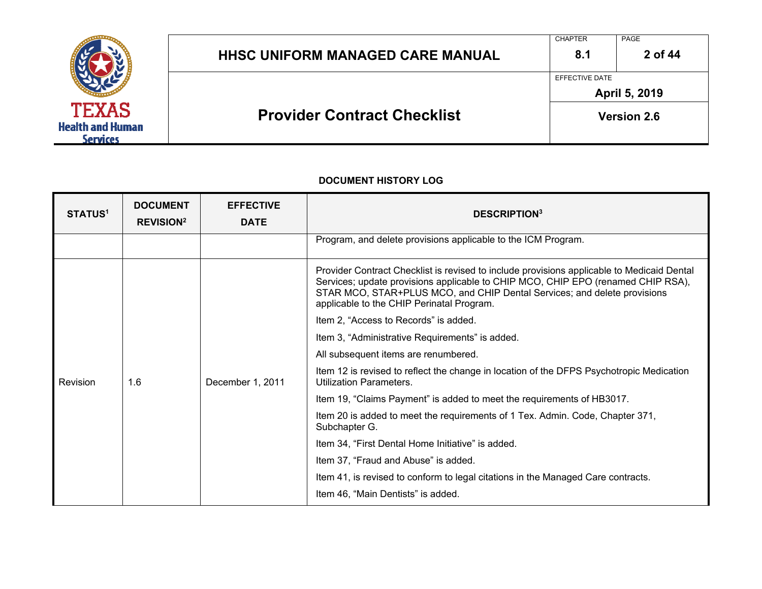

| <b>HHSC UNIFORM MANAGED CARE MANUAL</b> | <b>CHAPTER</b><br>8.1 | PAGE<br>2 of 44    |
|-----------------------------------------|-----------------------|--------------------|
|                                         | EFFECTIVE DATE        | April 5, 2019      |
| <b>Provider Contract Checklist</b>      |                       | <b>Version 2.6</b> |

| <b>STATUS<sup>1</sup></b> | <b>DOCUMENT</b><br><b>REVISION<sup>2</sup></b> | <b>EFFECTIVE</b><br><b>DATE</b>                 | <b>DESCRIPTION3</b>                                                                                                                                                                                                                                                                                     |
|---------------------------|------------------------------------------------|-------------------------------------------------|---------------------------------------------------------------------------------------------------------------------------------------------------------------------------------------------------------------------------------------------------------------------------------------------------------|
|                           |                                                |                                                 | Program, and delete provisions applicable to the ICM Program.                                                                                                                                                                                                                                           |
|                           |                                                |                                                 | Provider Contract Checklist is revised to include provisions applicable to Medicaid Dental<br>Services; update provisions applicable to CHIP MCO, CHIP EPO (renamed CHIP RSA),<br>STAR MCO, STAR+PLUS MCO, and CHIP Dental Services; and delete provisions<br>applicable to the CHIP Perinatal Program. |
|                           |                                                |                                                 | Item 2, "Access to Records" is added.                                                                                                                                                                                                                                                                   |
|                           |                                                | Item 3, "Administrative Requirements" is added. |                                                                                                                                                                                                                                                                                                         |
|                           |                                                |                                                 | All subsequent items are renumbered.                                                                                                                                                                                                                                                                    |
| Revision                  | 1.6                                            | December 1, 2011                                | Item 12 is revised to reflect the change in location of the DFPS Psychotropic Medication<br>Utilization Parameters.                                                                                                                                                                                     |
|                           |                                                |                                                 | Item 19, "Claims Payment" is added to meet the requirements of HB3017.                                                                                                                                                                                                                                  |
|                           |                                                |                                                 | Item 20 is added to meet the requirements of 1 Tex. Admin. Code, Chapter 371,<br>Subchapter G.                                                                                                                                                                                                          |
|                           |                                                |                                                 | Item 34, "First Dental Home Initiative" is added.                                                                                                                                                                                                                                                       |
|                           |                                                |                                                 | Item 37, "Fraud and Abuse" is added.                                                                                                                                                                                                                                                                    |
|                           |                                                |                                                 | Item 41, is revised to conform to legal citations in the Managed Care contracts.                                                                                                                                                                                                                        |
|                           |                                                |                                                 | Item 46, "Main Dentists" is added.                                                                                                                                                                                                                                                                      |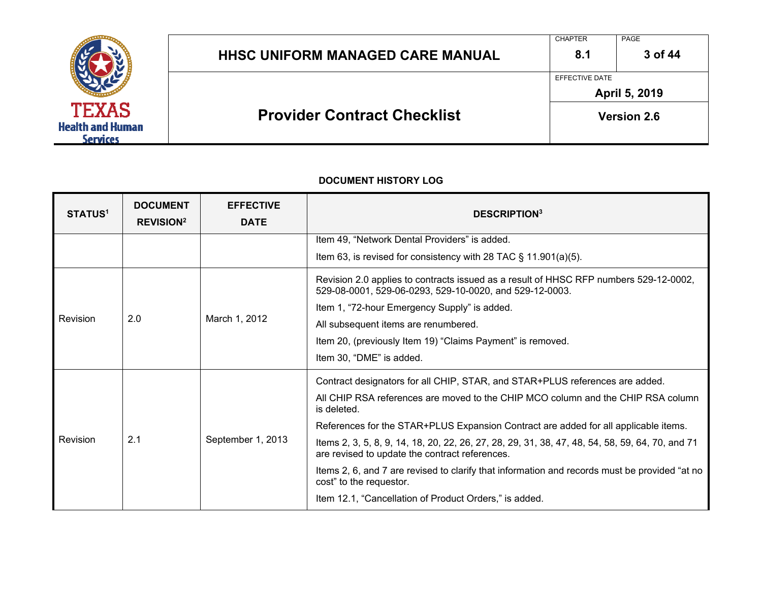

| <b>HHSC UNIFORM MANAGED CARE MANUAL</b> | 8.1<br>EFFECTIVE DATE | 3 of 44                             |
|-----------------------------------------|-----------------------|-------------------------------------|
| <b>Provider Contract Checklist</b>      |                       | April 5, 2019<br><b>Version 2.6</b> |

| <b>STATUS<sup>1</sup></b> | <b>DOCUMENT</b><br><b>REVISION<sup>2</sup></b> | <b>EFFECTIVE</b><br><b>DATE</b> | <b>DESCRIPTION3</b>                                                                                                                               |
|---------------------------|------------------------------------------------|---------------------------------|---------------------------------------------------------------------------------------------------------------------------------------------------|
|                           |                                                |                                 | Item 49, "Network Dental Providers" is added.                                                                                                     |
|                           |                                                |                                 | Item 63, is revised for consistency with 28 TAC $\S$ 11.901(a)(5).                                                                                |
|                           |                                                |                                 | Revision 2.0 applies to contracts issued as a result of HHSC RFP numbers 529-12-0002,<br>529-08-0001, 529-06-0293, 529-10-0020, and 529-12-0003.  |
|                           |                                                |                                 | Item 1, "72-hour Emergency Supply" is added.                                                                                                      |
| Revision                  | 2.0                                            | March 1, 2012                   | All subsequent items are renumbered.                                                                                                              |
|                           |                                                |                                 | Item 20, (previously Item 19) "Claims Payment" is removed.                                                                                        |
|                           |                                                | Item 30, "DME" is added.        |                                                                                                                                                   |
| 2.1<br>Revision           |                                                | September 1, 2013               | Contract designators for all CHIP, STAR, and STAR+PLUS references are added.                                                                      |
|                           |                                                |                                 | All CHIP RSA references are moved to the CHIP MCO column and the CHIP RSA column<br>is deleted.                                                   |
|                           |                                                |                                 | References for the STAR+PLUS Expansion Contract are added for all applicable items.                                                               |
|                           |                                                |                                 | Items 2, 3, 5, 8, 9, 14, 18, 20, 22, 26, 27, 28, 29, 31, 38, 47, 48, 54, 58, 59, 64, 70, and 71<br>are revised to update the contract references. |
|                           |                                                |                                 | Items 2, 6, and 7 are revised to clarify that information and records must be provided "at no<br>cost" to the requestor.                          |
|                           |                                                |                                 | Item 12.1, "Cancellation of Product Orders," is added.                                                                                            |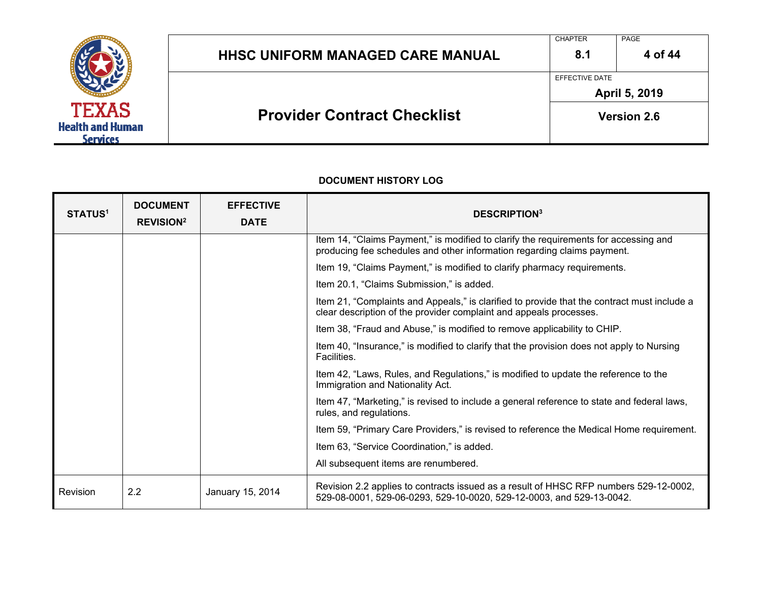

| <b>Provider Contract Checklist</b>      | <b>Version 2.6</b> |               |
|-----------------------------------------|--------------------|---------------|
|                                         | EFFECTIVE DATE     | April 5, 2019 |
| <b>HHSC UNIFORM MANAGED CARE MANUAL</b> | 8.1                | 4 of 44       |
|                                         | <b>CHAPTER</b>     | PAGE          |

| <b>STATUS<sup>1</sup></b> | <b>DOCUMENT</b><br><b>REVISION<sup>2</sup></b> | <b>EFFECTIVE</b><br><b>DATE</b> | <b>DESCRIPTION3</b>                                                                                                                                               |
|---------------------------|------------------------------------------------|---------------------------------|-------------------------------------------------------------------------------------------------------------------------------------------------------------------|
|                           |                                                |                                 | Item 14, "Claims Payment," is modified to clarify the requirements for accessing and<br>producing fee schedules and other information regarding claims payment.   |
|                           |                                                |                                 | Item 19, "Claims Payment," is modified to clarify pharmacy requirements.                                                                                          |
|                           |                                                |                                 | Item 20.1, "Claims Submission," is added.                                                                                                                         |
|                           |                                                |                                 | Item 21, "Complaints and Appeals," is clarified to provide that the contract must include a<br>clear description of the provider complaint and appeals processes. |
|                           |                                                |                                 | Item 38, "Fraud and Abuse," is modified to remove applicability to CHIP.                                                                                          |
|                           |                                                |                                 | Item 40, "Insurance," is modified to clarify that the provision does not apply to Nursing<br>Facilities.                                                          |
|                           |                                                |                                 | Item 42, "Laws, Rules, and Regulations," is modified to update the reference to the<br>Immigration and Nationality Act.                                           |
|                           |                                                |                                 | Item 47, "Marketing," is revised to include a general reference to state and federal laws,<br>rules, and regulations.                                             |
|                           |                                                |                                 | Item 59, "Primary Care Providers," is revised to reference the Medical Home requirement.                                                                          |
|                           |                                                |                                 | Item 63, "Service Coordination," is added.                                                                                                                        |
|                           |                                                |                                 | All subsequent items are renumbered.                                                                                                                              |
| Revision                  | 2.2                                            | January 15, 2014                | Revision 2.2 applies to contracts issued as a result of HHSC RFP numbers 529-12-0002,<br>529-08-0001, 529-06-0293, 529-10-0020, 529-12-0003, and 529-13-0042.     |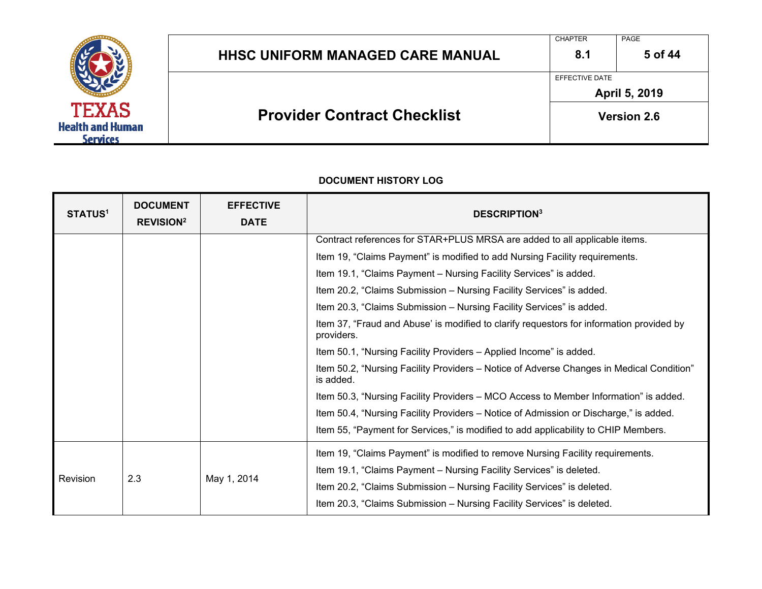

| <b>Provider Contract Checklist</b>      | <b>Version 2.6</b> |                      |
|-----------------------------------------|--------------------|----------------------|
|                                         | EFFECTIVE DATE     | <b>April 5, 2019</b> |
| <b>HHSC UNIFORM MANAGED CARE MANUAL</b> | 8.1                | 5 of 44              |
|                                         | <b>CHAPTER</b>     | PAGE                 |

| <b>STATUS<sup>1</sup></b> | <b>DOCUMENT</b><br><b>REVISION<sup>2</sup></b> | <b>EFFECTIVE</b><br><b>DATE</b> | <b>DESCRIPTION3</b>                                                                                    |
|---------------------------|------------------------------------------------|---------------------------------|--------------------------------------------------------------------------------------------------------|
|                           |                                                |                                 | Contract references for STAR+PLUS MRSA are added to all applicable items.                              |
|                           |                                                |                                 | Item 19, "Claims Payment" is modified to add Nursing Facility requirements.                            |
|                           |                                                |                                 | Item 19.1, "Claims Payment - Nursing Facility Services" is added.                                      |
|                           |                                                |                                 | Item 20.2, "Claims Submission - Nursing Facility Services" is added.                                   |
|                           |                                                |                                 | Item 20.3, "Claims Submission - Nursing Facility Services" is added.                                   |
|                           |                                                |                                 | Item 37, "Fraud and Abuse' is modified to clarify requestors for information provided by<br>providers. |
|                           |                                                |                                 | Item 50.1, "Nursing Facility Providers - Applied Income" is added.                                     |
|                           |                                                |                                 | Item 50.2, "Nursing Facility Providers - Notice of Adverse Changes in Medical Condition"<br>is added.  |
|                           |                                                |                                 | Item 50.3, "Nursing Facility Providers - MCO Access to Member Information" is added.                   |
|                           |                                                |                                 | Item 50.4, "Nursing Facility Providers – Notice of Admission or Discharge," is added.                  |
|                           |                                                |                                 | Item 55, "Payment for Services," is modified to add applicability to CHIP Members.                     |
|                           |                                                |                                 | Item 19, "Claims Payment" is modified to remove Nursing Facility requirements.                         |
| 2.3<br>Revision           |                                                | May 1, 2014                     | Item 19.1, "Claims Payment - Nursing Facility Services" is deleted.                                    |
|                           |                                                |                                 | Item 20.2, "Claims Submission - Nursing Facility Services" is deleted.                                 |
|                           |                                                |                                 | Item 20.3, "Claims Submission - Nursing Facility Services" is deleted.                                 |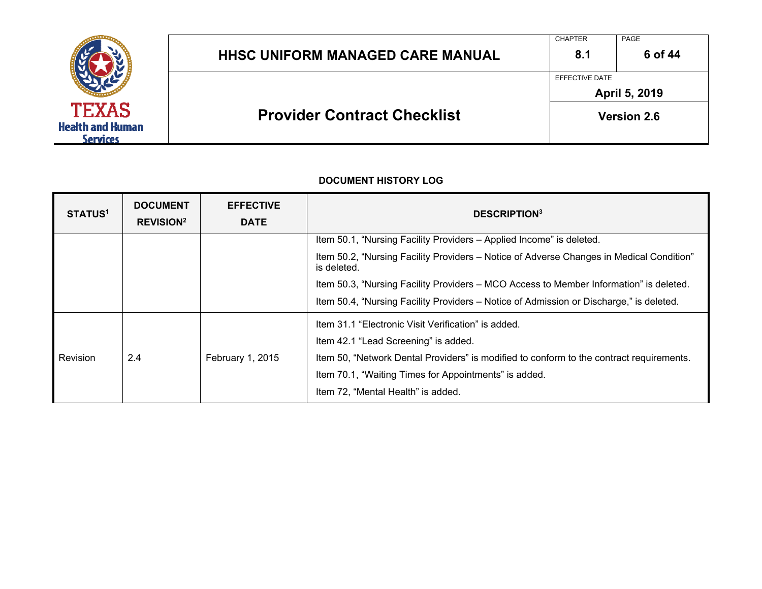

| <b>HHSC UNIFORM MANAGED CARE MANUAL</b> | <b>CHAPTER</b><br>8.1 | PAGE<br>6 of 44    |
|-----------------------------------------|-----------------------|--------------------|
|                                         | EFFECTIVE DATE        | April 5, 2019      |
| <b>Provider Contract Checklist</b>      |                       | <b>Version 2.6</b> |

| <b>STATUS<sup>1</sup></b> | <b>DOCUMENT</b><br><b>REVISION<sup>2</sup></b> | <b>EFFECTIVE</b><br><b>DATE</b> | <b>DESCRIPTION3</b>                                                                                     |
|---------------------------|------------------------------------------------|---------------------------------|---------------------------------------------------------------------------------------------------------|
|                           |                                                |                                 | Item 50.1, "Nursing Facility Providers - Applied Income" is deleted.                                    |
|                           |                                                |                                 | Item 50.2, "Nursing Facility Providers - Notice of Adverse Changes in Medical Condition"<br>is deleted. |
|                           |                                                |                                 | Item 50.3, "Nursing Facility Providers - MCO Access to Member Information" is deleted.                  |
|                           |                                                |                                 | Item 50.4, "Nursing Facility Providers – Notice of Admission or Discharge," is deleted.                 |
|                           |                                                |                                 | Item 31.1 "Electronic Visit Verification" is added.<br>Item 42.1 "Lead Screening" is added.             |
| Revision                  | 2.4                                            | February 1, 2015                | Item 50, "Network Dental Providers" is modified to conform to the contract requirements.                |
|                           |                                                |                                 | Item 70.1, "Waiting Times for Appointments" is added.                                                   |
|                           |                                                |                                 |                                                                                                         |
|                           |                                                |                                 | Item 72, "Mental Health" is added.                                                                      |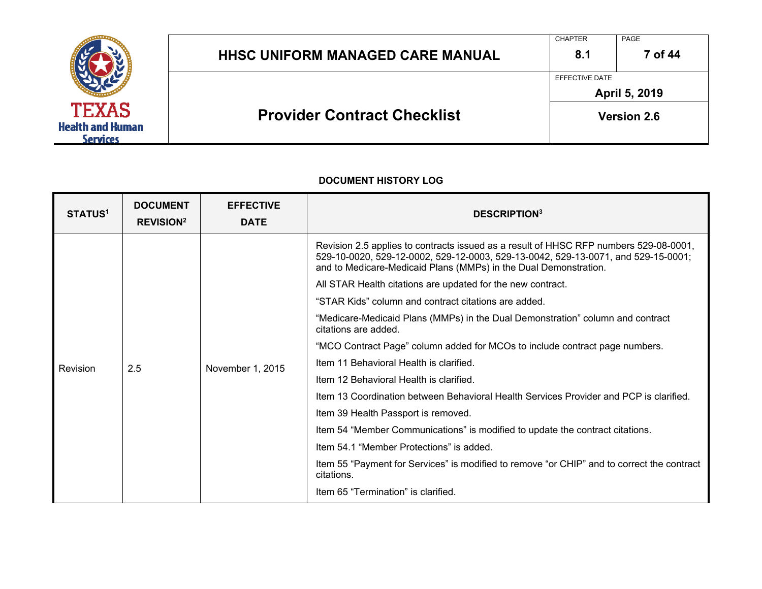

| <b>HHSC UNIFORM MANAGED CARE MANUAL</b> | 8.1<br>EFFECTIVE DATE | 7 of 44            |  |  |
|-----------------------------------------|-----------------------|--------------------|--|--|
|                                         | April 5, 2019         |                    |  |  |
| <b>Provider Contract Checklist</b>      |                       | <b>Version 2.6</b> |  |  |

| <b>STATUS<sup>1</sup></b> | <b>DOCUMENT</b><br><b>REVISION<sup>2</sup></b> | <b>EFFECTIVE</b><br><b>DATE</b> | <b>DESCRIPTION3</b>                                                                                                                                                                                                                            |
|---------------------------|------------------------------------------------|---------------------------------|------------------------------------------------------------------------------------------------------------------------------------------------------------------------------------------------------------------------------------------------|
|                           |                                                |                                 | Revision 2.5 applies to contracts issued as a result of HHSC RFP numbers 529-08-0001,<br>529-10-0020, 529-12-0002, 529-12-0003, 529-13-0042, 529-13-0071, and 529-15-0001;<br>and to Medicare-Medicaid Plans (MMPs) in the Dual Demonstration. |
|                           |                                                |                                 | All STAR Health citations are updated for the new contract.                                                                                                                                                                                    |
|                           |                                                |                                 | "STAR Kids" column and contract citations are added.                                                                                                                                                                                           |
|                           |                                                |                                 | "Medicare-Medicaid Plans (MMPs) in the Dual Demonstration" column and contract<br>citations are added.                                                                                                                                         |
|                           |                                                |                                 | "MCO Contract Page" column added for MCOs to include contract page numbers.                                                                                                                                                                    |
| Revision                  | 2.5                                            | November 1, 2015                | Item 11 Behavioral Health is clarified.                                                                                                                                                                                                        |
|                           |                                                |                                 | Item 12 Behavioral Health is clarified.                                                                                                                                                                                                        |
|                           |                                                |                                 | Item 13 Coordination between Behavioral Health Services Provider and PCP is clarified.                                                                                                                                                         |
|                           |                                                |                                 | Item 39 Health Passport is removed.                                                                                                                                                                                                            |
|                           |                                                |                                 | Item 54 "Member Communications" is modified to update the contract citations.                                                                                                                                                                  |
|                           |                                                |                                 | Item 54.1 "Member Protections" is added.                                                                                                                                                                                                       |
|                           |                                                |                                 | Item 55 "Payment for Services" is modified to remove "or CHIP" and to correct the contract<br>citations.                                                                                                                                       |
|                           |                                                |                                 | Item 65 "Termination" is clarified.                                                                                                                                                                                                            |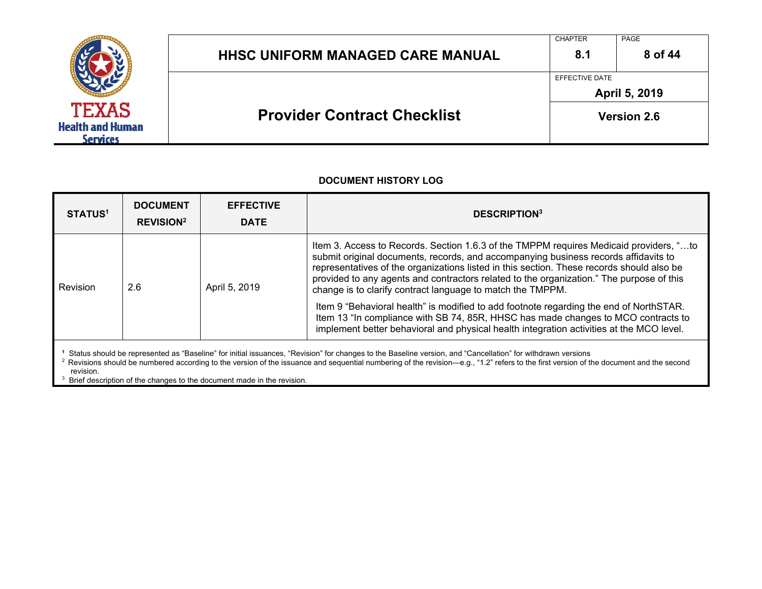

| <b>Provider Contract Checklist</b>      |                                 | <b>Version 2.6</b> |  |  |
|-----------------------------------------|---------------------------------|--------------------|--|--|
|                                         | EFFECTIVE DATE<br>April 5, 2019 |                    |  |  |
| <b>HHSC UNIFORM MANAGED CARE MANUAL</b> | 8.1                             | 8 of 44            |  |  |
|                                         | <b>CHAPTER</b>                  | PAGE               |  |  |

| <b>STATUS<sup>1</sup></b>                                                                                                                                                                                                                                                                                                                                                                                                                   | <b>DOCUMENT</b><br><b>REVISION<sup>2</sup></b> | <b>EFFECTIVE</b><br><b>DATE</b> | <b>DESCRIPTION3</b>                                                                                                                                                                                                                                                                                                                                                                                                                  |  |  |  |  |  |
|---------------------------------------------------------------------------------------------------------------------------------------------------------------------------------------------------------------------------------------------------------------------------------------------------------------------------------------------------------------------------------------------------------------------------------------------|------------------------------------------------|---------------------------------|--------------------------------------------------------------------------------------------------------------------------------------------------------------------------------------------------------------------------------------------------------------------------------------------------------------------------------------------------------------------------------------------------------------------------------------|--|--|--|--|--|
| Revision                                                                                                                                                                                                                                                                                                                                                                                                                                    | 2.6                                            | April 5, 2019                   | Item 3. Access to Records. Section 1.6.3 of the TMPPM requires Medicaid providers, "to<br>submit original documents, records, and accompanying business records affidavits to<br>representatives of the organizations listed in this section. These records should also be<br>provided to any agents and contractors related to the organization." The purpose of this<br>change is to clarify contract language to match the TMPPM. |  |  |  |  |  |
|                                                                                                                                                                                                                                                                                                                                                                                                                                             |                                                |                                 | Item 9 "Behavioral health" is modified to add footnote regarding the end of NorthSTAR.<br>Item 13 "In compliance with SB 74, 85R, HHSC has made changes to MCO contracts to<br>implement better behavioral and physical health integration activities at the MCO level.                                                                                                                                                              |  |  |  |  |  |
| Status should be represented as "Baseline" for initial issuances, "Revision" for changes to the Baseline version, and "Cancellation" for withdrawn versions<br>Revisions should be numbered according to the version of the issuance and sequential numbering of the revision-e.g., "1.2" refers to the first version of the document and the second<br>revision.<br>Brief description of the changes to the document made in the revision. |                                                |                                 |                                                                                                                                                                                                                                                                                                                                                                                                                                      |  |  |  |  |  |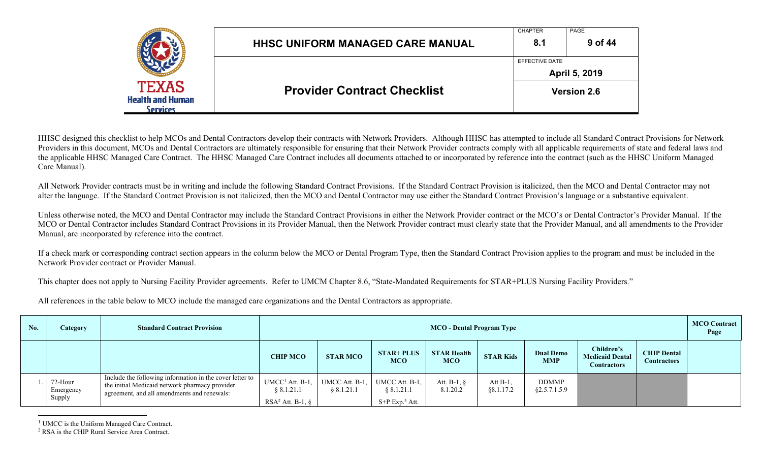|                                                            | <b>HHSC UNIFORM MANAGED CARE MANUAL</b> | <b>CHAPTER</b><br>8.1 | PAGE<br>9 of 44      |
|------------------------------------------------------------|-----------------------------------------|-----------------------|----------------------|
|                                                            |                                         | EFFECTIVE DATE        | <b>April 5, 2019</b> |
| <b>TEXAS</b><br><b>Health and Human</b><br><b>Services</b> | <b>Provider Contract Checklist</b>      |                       | <b>Version 2.6</b>   |

HHSC designed this checklist to help MCOs and Dental Contractors develop their contracts with Network Providers. Although HHSC has attempted to include all Standard Contract Provisions for Network Providers in this document, MCOs and Dental Contractors are ultimately responsible for ensuring that their Network Provider contracts comply with all applicable requirements of state and federal laws and the applicable HHSC Managed Care Contract. The HHSC Managed Care Contract includes all documents attached to or incorporated by reference into the contract (such as the HHSC Uniform Managed Care Manual).

All Network Provider contracts must be in writing and include the following Standard Contract Provisions. If the Standard Contract Provision is italicized, then the MCO and Dental Contractor may not alter the language. If the Standard Contract Provision is not italicized, then the MCO and Dental Contractor may use either the Standard Contract Provision's language or a substantive equivalent.

Unless otherwise noted, the MCO and Dental Contractor may include the Standard Contract Provisions in either the Network Provider contract or the MCO's or Dental Contractor's Provider Manual. If the MCO or Dental Contractor includes Standard Contract Provisions in its Provider Manual, then the Network Provider contract must clearly state that the Provider Manual, and all amendments to the Provider Manual, are incorporated by reference into the contract.

If a check mark or corresponding contract section appears in the column below the MCO or Dental Program Type, then the Standard Contract Provision applies to the program and must be included in the Network Provider contract or Provider Manual.

This chapter does not apply to Nursing Facility Provider agreements. Refer to UMCM Chapter 8.6, "State-Mandated Requirements for STAR+PLUS Nursing Facility Providers."

All references in the table below to MCO include the managed care organizations and the Dental Contractors as appropriate.

| No. | <b>Category</b>                | <b>Standard Contract Provision</b>                                                                                                                        |                                                     | MCO - Dental Program Type  |                                                            |                                  |                          |                                |                                                            | <b>MCO Contract</b><br>Page              |  |
|-----|--------------------------------|-----------------------------------------------------------------------------------------------------------------------------------------------------------|-----------------------------------------------------|----------------------------|------------------------------------------------------------|----------------------------------|--------------------------|--------------------------------|------------------------------------------------------------|------------------------------------------|--|
|     |                                |                                                                                                                                                           | <b>CHIP MCO</b>                                     | <b>STAR MCO</b>            | <b>STAR+ PLUS</b><br><b>MCO</b>                            | <b>STAR Health</b><br><b>MCO</b> | <b>STAR Kids</b>         | <b>Dual Demo</b><br><b>MMP</b> | Children's<br><b>Medicaid Dental</b><br><b>Contractors</b> | <b>CHIP Dental</b><br><b>Contractors</b> |  |
|     | 72-Hour<br>Emergency<br>Supply | Include the following information in the cover letter to<br>the initial Medicaid network pharmacy provider<br>agreement, and all amendments and renewals: | $UMCC1$ Att. B-1,<br>8.1.21.1<br>$RSA2$ Att. B-1, § | UMCC Att. B-1,<br>8.1.21.1 | UMCC Att. B-1,<br>8.1.21.1<br>$S+P$ Exp. <sup>3</sup> Att. | Att. B-1, $\delta$<br>8.1.20.2   | Att $B-1$ ,<br>88.1.17.2 | <b>DDMMP</b><br>§2.5.7.1.5.9   |                                                            |                                          |  |

<sup>&</sup>lt;sup>1</sup> UMCC is the Uniform Managed Care Contract.

<sup>2</sup> RSA is the CHIP Rural Service Area Contract.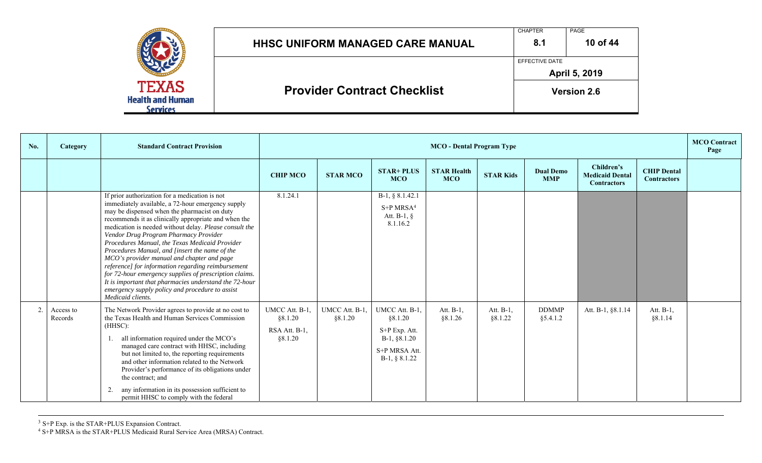|                                                     | <b>HHSC UNIFORM MANAGED CARE MANUAL</b> | <b>CHAPTER</b><br>8.1 | <b>PAGE</b><br>10 of 44 |
|-----------------------------------------------------|-----------------------------------------|-----------------------|-------------------------|
|                                                     |                                         | EFFECTIVE DATE        | April 5, 2019           |
| <b>TEXAS</b><br><b>Health and Human</b><br>Services | <b>Provider Contract Checklist</b>      |                       | <b>Version 2.6</b>      |

| No.            | Category             | <b>Standard Contract Provision</b>                                                                                                                                                                                                                                                                                                                                                                                                                                                                                                                                                                                                                                                                                 |                                                       | <b>MCO</b> - Dental Program Type |                                                                                                  |                                  |                      |                                |                                                            | <b>MCO</b> Contract<br>Page              |  |
|----------------|----------------------|--------------------------------------------------------------------------------------------------------------------------------------------------------------------------------------------------------------------------------------------------------------------------------------------------------------------------------------------------------------------------------------------------------------------------------------------------------------------------------------------------------------------------------------------------------------------------------------------------------------------------------------------------------------------------------------------------------------------|-------------------------------------------------------|----------------------------------|--------------------------------------------------------------------------------------------------|----------------------------------|----------------------|--------------------------------|------------------------------------------------------------|------------------------------------------|--|
|                |                      |                                                                                                                                                                                                                                                                                                                                                                                                                                                                                                                                                                                                                                                                                                                    | <b>CHIP MCO</b>                                       | <b>STAR MCO</b>                  | <b>STAR+ PLUS</b><br><b>MCO</b>                                                                  | <b>STAR Health</b><br><b>MCO</b> | <b>STAR Kids</b>     | <b>Dual Demo</b><br><b>MMP</b> | Children's<br><b>Medicaid Dental</b><br><b>Contractors</b> | <b>CHIP Dental</b><br><b>Contractors</b> |  |
|                |                      | If prior authorization for a medication is not<br>immediately available, a 72-hour emergency supply<br>may be dispensed when the pharmacist on duty<br>recommends it as clinically appropriate and when the<br>medication is needed without delay. Please consult the<br>Vendor Drug Program Pharmacy Provider<br>Procedures Manual, the Texas Medicaid Provider<br>Procedures Manual, and [insert the name of the<br>MCO's provider manual and chapter and page<br>reference] for information regarding reimbursement<br>for 72-hour emergency supplies of prescription claims.<br>It is important that pharmacies understand the 72-hour<br>emergency supply policy and procedure to assist<br>Medicaid clients. | 8.1.24.1                                              |                                  | B-1, § 8.1.42.1<br>$S+P MRSA4$<br>Att. B-1, $\S$<br>8.1.16.2                                     |                                  |                      |                                |                                                            |                                          |  |
| $\overline{2}$ | Access to<br>Records | The Network Provider agrees to provide at no cost to<br>the Texas Health and Human Services Commission<br>(HHSC):<br>all information required under the MCO's<br>1.<br>managed care contract with HHSC, including<br>but not limited to, the reporting requirements<br>and other information related to the Network<br>Provider's performance of its obligations under<br>the contract; and<br>any information in its possession sufficient to<br>permit HHSC to comply with the federal                                                                                                                                                                                                                           | UMCC Att. B-1,<br>§8.1.20<br>RSA Att. B-1.<br>§8.1.20 | UMCC Att. B-1.<br>§8.1.20        | UMCC Att. B-1,<br>§8.1.20<br>S+P Exp. Att.<br>$B-1, §8.1.20$<br>S+P MRSA Att.<br>$B-1, § 8.1.22$ | Att. B-1,<br>§8.1.26             | Att. B-1,<br>§8.1.22 | <b>DDMMP</b><br>§5.4.1.2       | Att. B-1, §8.1.14                                          | Att. B-1,<br>§8.1.14                     |  |

 $3$  S+P Exp. is the STAR+PLUS Expansion Contract.

4 S+P MRSA is the STAR+PLUS Medicaid Rural Service Area (MRSA) Contract.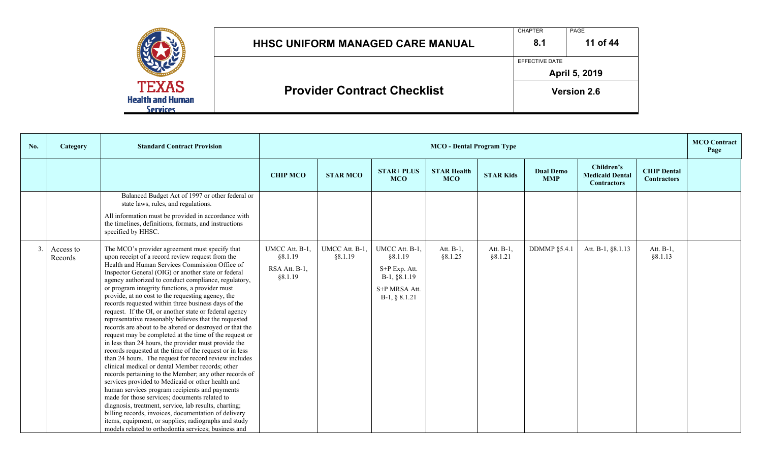|                                                            | <b>HHSC UNIFORM MANAGED CARE MANUAL</b> | <b>CHAPTER</b><br>8.1 | PAGE<br>11 of 44   |
|------------------------------------------------------------|-----------------------------------------|-----------------------|--------------------|
|                                                            |                                         | EFFECTIVE DATE        | April 5, 2019      |
| <b>TEXAS</b><br><b>Health and Human</b><br><b>Services</b> | <b>Provider Contract Checklist</b>      |                       | <b>Version 2.6</b> |

| No. | Category             | <b>Standard Contract Provision</b>                                                                                                                                                                                                                                                                                                                                                                                                                                                                                                                                                                                                                                                                                                                                                                                                                                                                                                                                                                                                                                                                                                                                                                                                                                                                                                                             |                                                       | <b>MCO</b> - Dental Program Type |                                                                                                |                                  |                      |                                |                                                            | <b>MCO</b> Contract<br>Page              |  |
|-----|----------------------|----------------------------------------------------------------------------------------------------------------------------------------------------------------------------------------------------------------------------------------------------------------------------------------------------------------------------------------------------------------------------------------------------------------------------------------------------------------------------------------------------------------------------------------------------------------------------------------------------------------------------------------------------------------------------------------------------------------------------------------------------------------------------------------------------------------------------------------------------------------------------------------------------------------------------------------------------------------------------------------------------------------------------------------------------------------------------------------------------------------------------------------------------------------------------------------------------------------------------------------------------------------------------------------------------------------------------------------------------------------|-------------------------------------------------------|----------------------------------|------------------------------------------------------------------------------------------------|----------------------------------|----------------------|--------------------------------|------------------------------------------------------------|------------------------------------------|--|
|     |                      |                                                                                                                                                                                                                                                                                                                                                                                                                                                                                                                                                                                                                                                                                                                                                                                                                                                                                                                                                                                                                                                                                                                                                                                                                                                                                                                                                                | <b>CHIP MCO</b>                                       | <b>STAR MCO</b>                  | <b>STAR+ PLUS</b><br><b>MCO</b>                                                                | <b>STAR Health</b><br><b>MCO</b> | <b>STAR Kids</b>     | <b>Dual Demo</b><br><b>MMP</b> | Children's<br><b>Medicaid Dental</b><br><b>Contractors</b> | <b>CHIP Dental</b><br><b>Contractors</b> |  |
|     |                      | Balanced Budget Act of 1997 or other federal or<br>state laws, rules, and regulations.<br>All information must be provided in accordance with<br>the timelines, definitions, formats, and instructions<br>specified by HHSC.                                                                                                                                                                                                                                                                                                                                                                                                                                                                                                                                                                                                                                                                                                                                                                                                                                                                                                                                                                                                                                                                                                                                   |                                                       |                                  |                                                                                                |                                  |                      |                                |                                                            |                                          |  |
| 3.  | Access to<br>Records | The MCO's provider agreement must specify that<br>upon receipt of a record review request from the<br>Health and Human Services Commission Office of<br>Inspector General (OIG) or another state or federal<br>agency authorized to conduct compliance, regulatory,<br>or program integrity functions, a provider must<br>provide, at no cost to the requesting agency, the<br>records requested within three business days of the<br>request. If the OI, or another state or federal agency<br>representative reasonably believes that the requested<br>records are about to be altered or destroyed or that the<br>request may be completed at the time of the request or<br>in less than 24 hours, the provider must provide the<br>records requested at the time of the request or in less<br>than 24 hours. The request for record review includes<br>clinical medical or dental Member records; other<br>records pertaining to the Member; any other records of<br>services provided to Medicaid or other health and<br>human services program recipients and payments<br>made for those services; documents related to<br>diagnosis, treatment, service, lab results, charting;<br>billing records, invoices, documentation of delivery<br>items, equipment, or supplies; radiographs and study<br>models related to orthodontia services; business and | UMCC Att. B-1,<br>§8.1.19<br>RSA Att. B-1,<br>§8.1.19 | UMCC Att. B-1,<br>§8.1.19        | UMCC Att. B-1,<br>§8.1.19<br>S+P Exp. Att.<br>B-1, §8.1.19<br>S+P MRSA Att.<br>$B-1, § 8.1.21$ | Att. B-1,<br>§8.1.25             | Att. B-1,<br>§8.1.21 | <b>DDMMP</b> §5.4.1            | Att. B-1, §8.1.13                                          | Att. $B-1$ ,<br>§8.1.13                  |  |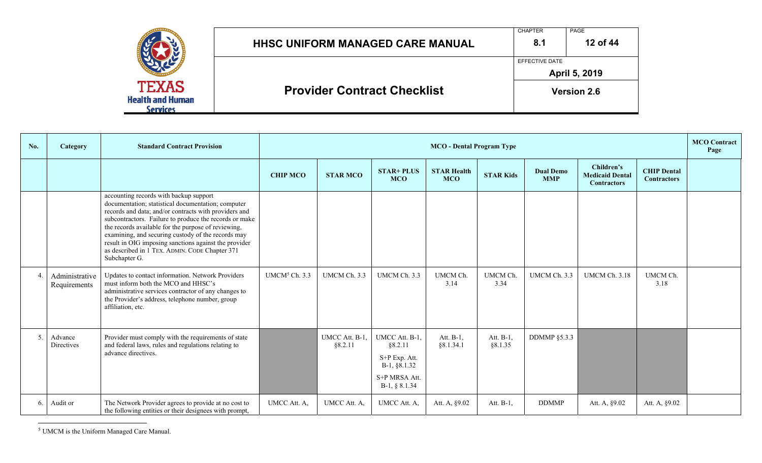|                                                            | <b>HHSC UNIFORM MANAGED CARE MANUAL</b> | <b>CHAPTER</b><br>8.1 | PAGE<br>12 of 44   |
|------------------------------------------------------------|-----------------------------------------|-----------------------|--------------------|
|                                                            |                                         | EFFECTIVE DATE        | April 5, 2019      |
| <b>TEXAS</b><br><b>Health and Human</b><br><b>Services</b> | <b>Provider Contract Checklist</b>      |                       | <b>Version 2.6</b> |

| No.            | Category                       | <b>Standard Contract Provision</b>                                                                                                                                                                                                                                                                                                                                                                                                                       |                           | <b>MCO</b> - Dental Program Type |                                                                                                |                                  |                      |                                |                                                            |                                          | <b>MCO</b> Contract<br>Page |
|----------------|--------------------------------|----------------------------------------------------------------------------------------------------------------------------------------------------------------------------------------------------------------------------------------------------------------------------------------------------------------------------------------------------------------------------------------------------------------------------------------------------------|---------------------------|----------------------------------|------------------------------------------------------------------------------------------------|----------------------------------|----------------------|--------------------------------|------------------------------------------------------------|------------------------------------------|-----------------------------|
|                |                                |                                                                                                                                                                                                                                                                                                                                                                                                                                                          | <b>CHIP MCO</b>           | <b>STAR MCO</b>                  | <b>STAR+ PLUS</b><br><b>MCO</b>                                                                | <b>STAR Health</b><br><b>MCO</b> | <b>STAR Kids</b>     | <b>Dual Demo</b><br><b>MMP</b> | Children's<br><b>Medicaid Dental</b><br><b>Contractors</b> | <b>CHIP Dental</b><br><b>Contractors</b> |                             |
|                |                                | accounting records with backup support<br>documentation; statistical documentation; computer<br>records and data; and/or contracts with providers and<br>subcontractors. Failure to produce the records or make<br>the records available for the purpose of reviewing,<br>examining, and securing custody of the records may<br>result in OIG imposing sanctions against the provider<br>as described in 1 TEX. ADMIN. CODE Chapter 371<br>Subchapter G. |                           |                                  |                                                                                                |                                  |                      |                                |                                                            |                                          |                             |
| $\overline{4}$ | Administrative<br>Requirements | Updates to contact information. Network Providers<br>must inform both the MCO and HHSC's<br>administrative services contractor of any changes to<br>the Provider's address, telephone number, group<br>affiliation, etc.                                                                                                                                                                                                                                 | UMCM <sup>5</sup> Ch. 3.3 | UMCM Ch. 3.3                     | UMCM Ch. 3.3                                                                                   | UMCM Ch.<br>3.14                 | UMCM Ch.<br>3.34     | UMCM Ch. 3.3                   | <b>UMCM Ch. 3.18</b>                                       | UMCM Ch.<br>3.18                         |                             |
| 5.             | Advance<br>Directives          | Provider must comply with the requirements of state<br>and federal laws, rules and regulations relating to<br>advance directives.                                                                                                                                                                                                                                                                                                                        |                           | UMCC Att. B-1.<br>§8.2.11        | UMCC Att. B-1,<br>§8.2.11<br>S+P Exp. Att.<br>B-1, §8.1.32<br>S+P MRSA Att.<br>$B-1, § 8.1.34$ | Att. $B-1$ ,<br>§8.1.34.1        | Att. B-1,<br>§8.1.35 | <b>DDMMP</b> §5.3.3            |                                                            |                                          |                             |
| 6.             | Audit or                       | The Network Provider agrees to provide at no cost to<br>the following entities or their designees with prompt,                                                                                                                                                                                                                                                                                                                                           | UMCC Att. A,              | UMCC Att. A,                     | UMCC Att. A,                                                                                   | Att. A, §9.02                    | Att. B-1,            | <b>DDMMP</b>                   | Att. A, §9.02                                              | Att. A, §9.02                            |                             |

<sup>5</sup> UMCM is the Uniform Managed Care Manual.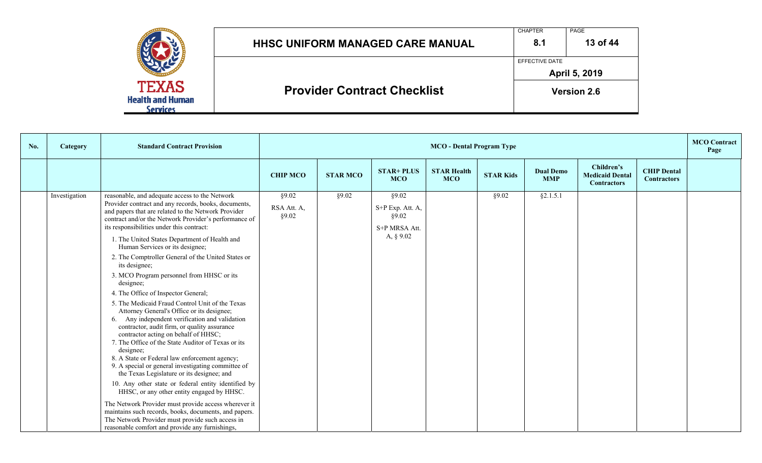|                                                            | <b>HHSC UNIFORM MANAGED CARE MANUAL</b> | <b>CHAPTER</b><br>8.1 | PAGE<br>13 of 44   |
|------------------------------------------------------------|-----------------------------------------|-----------------------|--------------------|
|                                                            |                                         | EFFECTIVE DATE        | April 5, 2019      |
| <b>TEXAS</b><br><b>Health and Human</b><br><b>Services</b> | <b>Provider Contract Checklist</b>      |                       | <b>Version 2.6</b> |

| No. | Category      | <b>Standard Contract Provision</b>                                                                                                                                                                                                                                                                                                                                                                                                                                                                                                                                                                                                                                                                                                                                                                                                                                                                                                                                                                                                                                                                                                                                                                                                                                                                                              |                               | <b>MCO</b> - Dental Program Type |                                                                     |                                  |                  |                                |                                                            |                                          | <b>MCO</b> Contract<br>Page |
|-----|---------------|---------------------------------------------------------------------------------------------------------------------------------------------------------------------------------------------------------------------------------------------------------------------------------------------------------------------------------------------------------------------------------------------------------------------------------------------------------------------------------------------------------------------------------------------------------------------------------------------------------------------------------------------------------------------------------------------------------------------------------------------------------------------------------------------------------------------------------------------------------------------------------------------------------------------------------------------------------------------------------------------------------------------------------------------------------------------------------------------------------------------------------------------------------------------------------------------------------------------------------------------------------------------------------------------------------------------------------|-------------------------------|----------------------------------|---------------------------------------------------------------------|----------------------------------|------------------|--------------------------------|------------------------------------------------------------|------------------------------------------|-----------------------------|
|     |               |                                                                                                                                                                                                                                                                                                                                                                                                                                                                                                                                                                                                                                                                                                                                                                                                                                                                                                                                                                                                                                                                                                                                                                                                                                                                                                                                 | <b>CHIP MCO</b>               | <b>STAR MCO</b>                  | <b>STAR+ PLUS</b><br><b>MCO</b>                                     | <b>STAR Health</b><br><b>MCO</b> | <b>STAR Kids</b> | <b>Dual Demo</b><br><b>MMP</b> | Children's<br><b>Medicaid Dental</b><br><b>Contractors</b> | <b>CHIP Dental</b><br><b>Contractors</b> |                             |
|     | Investigation | reasonable, and adequate access to the Network<br>Provider contract and any records, books, documents,<br>and papers that are related to the Network Provider<br>contract and/or the Network Provider's performance of<br>its responsibilities under this contract:<br>1. The United States Department of Health and<br>Human Services or its designee;<br>2. The Comptroller General of the United States or<br>its designee;<br>3. MCO Program personnel from HHSC or its<br>designee;<br>4. The Office of Inspector General;<br>5. The Medicaid Fraud Control Unit of the Texas<br>Attorney General's Office or its designee;<br>6. Any independent verification and validation<br>contractor, audit firm, or quality assurance<br>contractor acting on behalf of HHSC;<br>7. The Office of the State Auditor of Texas or its<br>designee;<br>8. A State or Federal law enforcement agency;<br>9. A special or general investigating committee of<br>the Texas Legislature or its designee; and<br>10. Any other state or federal entity identified by<br>HHSC, or any other entity engaged by HHSC.<br>The Network Provider must provide access wherever it<br>maintains such records, books, documents, and papers.<br>The Network Provider must provide such access in<br>reasonable comfort and provide any furnishings, | §9.02<br>RSA Att. A,<br>§9.02 | §9.02                            | §9.02<br>S+P Exp. Att. A,<br>§9.02<br>S+P MRSA Att.<br>A, $\S 9.02$ |                                  | §9.02            | §2.1.5.1                       |                                                            |                                          |                             |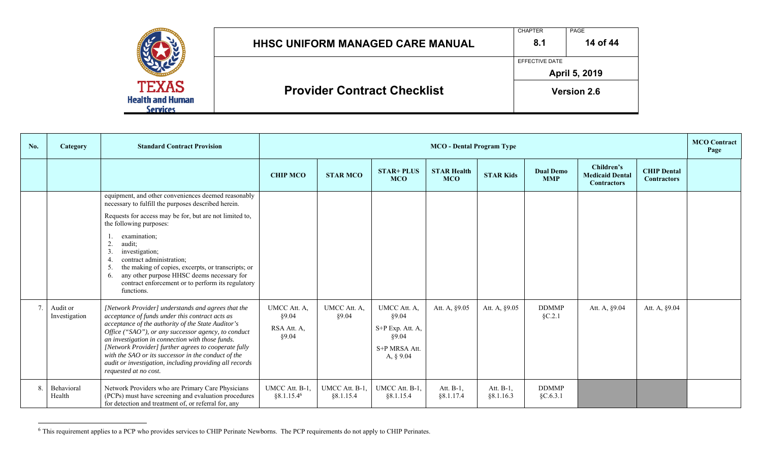|                                                     | HHSC UNIFORM MANAGED CARE MANUAL   | <b>CHAPTER</b><br>8.1 | PAGE<br>14 of 44   |
|-----------------------------------------------------|------------------------------------|-----------------------|--------------------|
|                                                     |                                    | EFFECTIVE DATE        | April 5, 2019      |
| <b>TEXAS</b><br><b>Health and Human</b><br>Services | <b>Provider Contract Checklist</b> |                       | <b>Version 2.6</b> |

| No. | <b>Category</b>           | <b>Standard Contract Provision</b>                                                                                                                                                                                                                                                                                                                                                                                                                                        |                                               | <b>MCO</b> - Dental Program Type |                                                                                      |                                  |                        |                                |                                                            |                                          |  |
|-----|---------------------------|---------------------------------------------------------------------------------------------------------------------------------------------------------------------------------------------------------------------------------------------------------------------------------------------------------------------------------------------------------------------------------------------------------------------------------------------------------------------------|-----------------------------------------------|----------------------------------|--------------------------------------------------------------------------------------|----------------------------------|------------------------|--------------------------------|------------------------------------------------------------|------------------------------------------|--|
|     |                           |                                                                                                                                                                                                                                                                                                                                                                                                                                                                           | <b>CHIP MCO</b>                               | <b>STAR MCO</b>                  | <b>STAR+ PLUS</b><br><b>MCO</b>                                                      | <b>STAR Health</b><br><b>MCO</b> | <b>STAR Kids</b>       | <b>Dual Demo</b><br><b>MMP</b> | Children's<br><b>Medicaid Dental</b><br><b>Contractors</b> | <b>CHIP Dental</b><br><b>Contractors</b> |  |
|     |                           | equipment, and other conveniences deemed reasonably<br>necessary to fulfill the purposes described herein.<br>Requests for access may be for, but are not limited to,<br>the following purposes:<br>examination;<br>2.<br>audit;<br>investigation;<br>3.<br>contract administration;<br>the making of copies, excerpts, or transcripts; or<br>-5.<br>any other purpose HHSC deems necessary for<br>6.<br>contract enforcement or to perform its regulatory<br>functions.  |                                               |                                  |                                                                                      |                                  |                        |                                |                                                            |                                          |  |
|     | Audit or<br>Investigation | [Network Provider] understands and agrees that the<br>acceptance of funds under this contract acts as<br>acceptance of the authority of the State Auditor's<br>Office ("SAO"), or any successor agency, to conduct<br>an investigation in connection with those funds.<br>[Network Provider] further agrees to cooperate fully<br>with the SAO or its successor in the conduct of the<br>audit or investigation, including providing all records<br>requested at no cost. | UMCC Att. A,<br>§9.04<br>RSA Att. A,<br>§9.04 | UMCC Att. A,<br>§9.04            | UMCC Att. A,<br>§9.04<br>S+P Exp. Att. A,<br>\$9.04<br>S+P MRSA Att.<br>A, $\S$ 9.04 | Att. A, §9.05                    | Att. A, §9.05          | <b>DDMMP</b><br>$\S C.2.1$     | Att. A, §9.04                                              | Att. A, §9.04                            |  |
| 8.  | Behavioral<br>Health      | Network Providers who are Primary Care Physicians<br>(PCPs) must have screening and evaluation procedures<br>for detection and treatment of, or referral for, any                                                                                                                                                                                                                                                                                                         | UMCC Att. B-1,<br>§8.1.15.4 <sup>6</sup>      | UMCC Att. B-1.<br>§8.1.15.4      | UMCC Att. B-1,<br>§8.1.15.4                                                          | Att. $B-1$ ,<br>§8.1.17.4        | Att. B-1,<br>§8.1.16.3 | <b>DDMMP</b><br>$\S C.6.3.1$   |                                                            |                                          |  |

 $6$  This requirement applies to a PCP who provides services to CHIP Perinate Newborns. The PCP requirements do not apply to CHIP Perinates.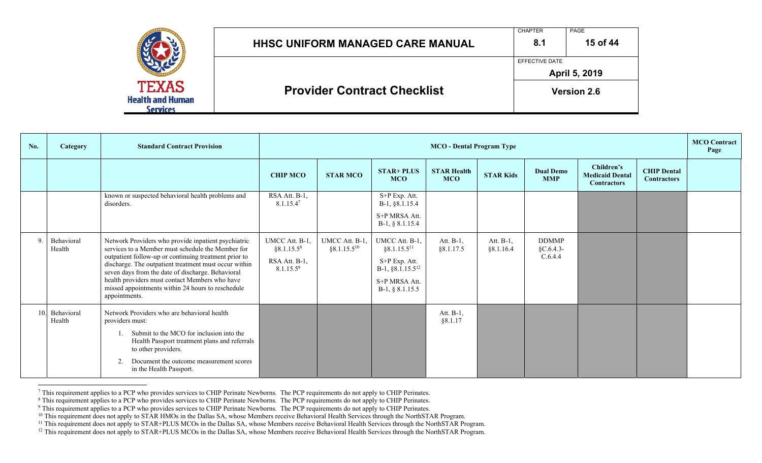|                                                     | <b>HHSC UNIFORM MANAGED CARE MANUAL</b> | <b>CHAPTER</b><br>8.1 | PAGE<br>15 of 44   |
|-----------------------------------------------------|-----------------------------------------|-----------------------|--------------------|
|                                                     |                                         | EFFECTIVE DATE        | April 5, 2019      |
| <b>TEXAS</b><br><b>Health and Human</b><br>Services | <b>Provider Contract Checklist</b>      |                       | <b>Version 2.6</b> |

| No.          | Category                 | <b>Standard Contract Provision</b>                                                                                                                                                                                                                                                                                                                                                                      |                                                                                    | <b>MCO</b> Contract<br><b>MCO</b> - Dental Program Type |                                                                                                                            |                                  |                        |                                          |                                                            |                                          |  |
|--------------|--------------------------|---------------------------------------------------------------------------------------------------------------------------------------------------------------------------------------------------------------------------------------------------------------------------------------------------------------------------------------------------------------------------------------------------------|------------------------------------------------------------------------------------|---------------------------------------------------------|----------------------------------------------------------------------------------------------------------------------------|----------------------------------|------------------------|------------------------------------------|------------------------------------------------------------|------------------------------------------|--|
|              |                          |                                                                                                                                                                                                                                                                                                                                                                                                         | <b>CHIP MCO</b>                                                                    | <b>STAR MCO</b>                                         | <b>STAR+ PLUS</b><br><b>MCO</b>                                                                                            | <b>STAR Health</b><br><b>MCO</b> | <b>STAR Kids</b>       | <b>Dual Demo</b><br><b>MMP</b>           | Children's<br><b>Medicaid Dental</b><br><b>Contractors</b> | <b>CHIP Dental</b><br><b>Contractors</b> |  |
|              |                          | known or suspected behavioral health problems and<br>disorders.                                                                                                                                                                                                                                                                                                                                         | RSA Att. B-1,<br>8.1.15.4 <sup>7</sup>                                             |                                                         | S+P Exp. Att.<br>B-1, §8.1.15.4<br>S+P MRSA Att.<br>$B-1, § 8.1.15.4$                                                      |                                  |                        |                                          |                                                            |                                          |  |
| $\mathbf{Q}$ | Behavioral<br>Health     | Network Providers who provide inpatient psychiatric<br>services to a Member must schedule the Member for<br>outpatient follow-up or continuing treatment prior to<br>discharge. The outpatient treatment must occur within<br>seven days from the date of discharge. Behavioral<br>health providers must contact Members who have<br>missed appointments within 24 hours to reschedule<br>appointments. | UMCC Att. B-1,<br>§8.1.15.5 <sup>8</sup><br>RSA Att. B-1,<br>8.1.15.5 <sup>9</sup> | UMCC Att. B-1,<br>$§8.1.15.5^{10}$                      | UMCC Att. B-1,<br>§8.1.15.5 <sup>11</sup><br>S+P Exp. Att.<br>B-1, $§ 8.1.15.5^{12}$<br>S+P MRSA Att.<br>$B-1, § 8.1.15.5$ | Att. B-1,<br>§8.1.17.5           | Att. B-1,<br>§8.1.16.4 | <b>DDMMP</b><br>$\S C.6.4.3-$<br>C.6.4.4 |                                                            |                                          |  |
|              | 10. Behavioral<br>Health | Network Providers who are behavioral health<br>providers must:<br>Submit to the MCO for inclusion into the<br>Health Passport treatment plans and referrals<br>to other providers.<br>Document the outcome measurement scores<br>2.<br>in the Health Passport.                                                                                                                                          |                                                                                    |                                                         |                                                                                                                            | Att. B-1,<br>§8.1.17             |                        |                                          |                                                            |                                          |  |

<sup>7</sup> This requirement applies to a PCP who provides services to CHIP Perinate Newborns. The PCP requirements do not apply to CHIP Perinates.

<sup>8</sup> This requirement applies to a PCP who provides services to CHIP Perinate Newborns. The PCP requirements do not apply to CHIP Perinates.

 $9$  This requirement applies to a PCP who provides services to CHIP Perinate Newborns. The PCP requirements do not apply to CHIP Perinates.

<sup>10</sup> This requirement does not apply to STAR HMOs in the Dallas SA, whose Members receive Behavioral Health Services through the NorthSTAR Program.

<sup>11</sup> This requirement does not apply to STAR+PLUS MCOs in the Dallas SA, whose Members receive Behavioral Health Services through the NorthSTAR Program.

<sup>12</sup> This requirement does not apply to STAR+PLUS MCOs in the Dallas SA, whose Members receive Behavioral Health Services through the NorthSTAR Program.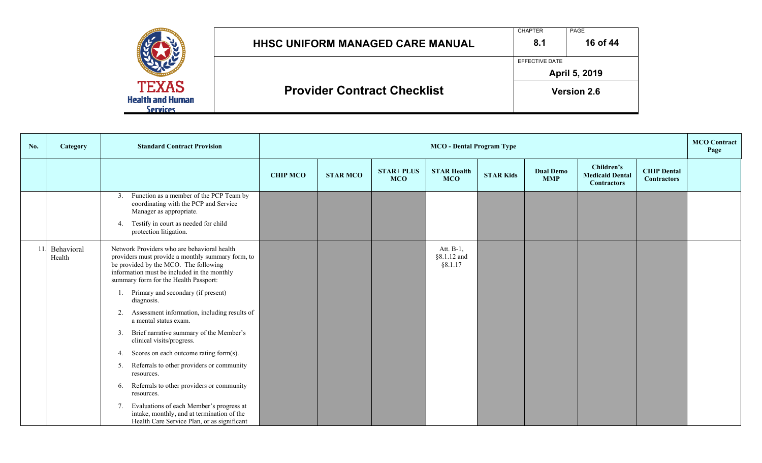|                                                            | <b>HHSC UNIFORM MANAGED CARE MANUAL</b> | <b>CHAPTER</b><br>8.1 | PAGE<br>16 of 44     |
|------------------------------------------------------------|-----------------------------------------|-----------------------|----------------------|
|                                                            |                                         | EFFECTIVE DATE        | <b>April 5, 2019</b> |
| <b>TEXAS</b><br><b>Health and Human</b><br><b>Services</b> | <b>Provider Contract Checklist</b>      |                       | <b>Version 2.6</b>   |

| No. | <b>Category</b>      | <b>Standard Contract Provision</b>                                                                                                                                                                                                |                 | <b>MCO</b> - Dental Program Type |                                 |                                        |                  |                                |                                                            |                                          | <b>MCO</b> Contract<br>Page |
|-----|----------------------|-----------------------------------------------------------------------------------------------------------------------------------------------------------------------------------------------------------------------------------|-----------------|----------------------------------|---------------------------------|----------------------------------------|------------------|--------------------------------|------------------------------------------------------------|------------------------------------------|-----------------------------|
|     |                      |                                                                                                                                                                                                                                   | <b>CHIP MCO</b> | <b>STAR MCO</b>                  | <b>STAR+ PLUS</b><br><b>MCO</b> | <b>STAR Health</b><br><b>MCO</b>       | <b>STAR Kids</b> | <b>Dual Demo</b><br><b>MMP</b> | Children's<br><b>Medicaid Dental</b><br><b>Contractors</b> | <b>CHIP Dental</b><br><b>Contractors</b> |                             |
|     |                      | Function as a member of the PCP Team by<br>3.<br>coordinating with the PCP and Service<br>Manager as appropriate.<br>Testify in court as needed for child<br>4.<br>protection litigation.                                         |                 |                                  |                                 |                                        |                  |                                |                                                            |                                          |                             |
| 11. | Behavioral<br>Health | Network Providers who are behavioral health<br>providers must provide a monthly summary form, to<br>be provided by the MCO. The following<br>information must be included in the monthly<br>summary form for the Health Passport: |                 |                                  |                                 | Att. $B-1$ ,<br>§8.1.12 and<br>§8.1.17 |                  |                                |                                                            |                                          |                             |
|     |                      | Primary and secondary (if present)<br>diagnosis.                                                                                                                                                                                  |                 |                                  |                                 |                                        |                  |                                |                                                            |                                          |                             |
|     |                      | Assessment information, including results of<br>2.<br>a mental status exam.                                                                                                                                                       |                 |                                  |                                 |                                        |                  |                                |                                                            |                                          |                             |
|     |                      | Brief narrative summary of the Member's<br>3.<br>clinical visits/progress.                                                                                                                                                        |                 |                                  |                                 |                                        |                  |                                |                                                            |                                          |                             |
|     |                      | Scores on each outcome rating form(s).<br>4.                                                                                                                                                                                      |                 |                                  |                                 |                                        |                  |                                |                                                            |                                          |                             |
|     |                      | Referrals to other providers or community<br>5.<br>resources.                                                                                                                                                                     |                 |                                  |                                 |                                        |                  |                                |                                                            |                                          |                             |
|     |                      | Referrals to other providers or community<br>6.<br>resources.                                                                                                                                                                     |                 |                                  |                                 |                                        |                  |                                |                                                            |                                          |                             |
|     |                      | Evaluations of each Member's progress at<br>7.<br>intake, monthly, and at termination of the<br>Health Care Service Plan, or as significant                                                                                       |                 |                                  |                                 |                                        |                  |                                |                                                            |                                          |                             |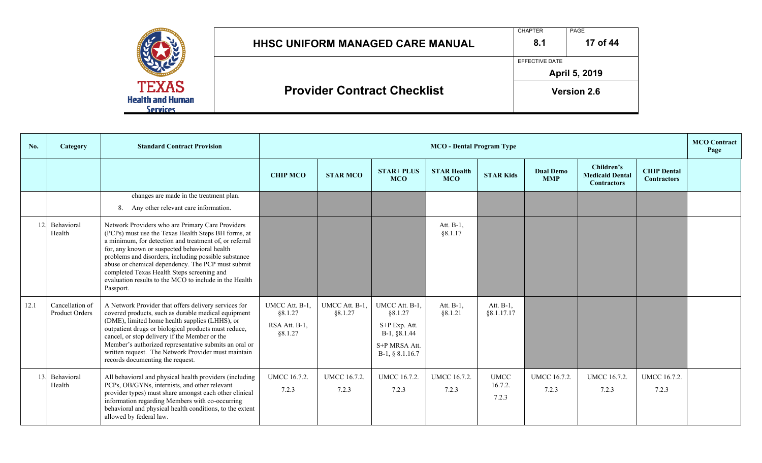|                                                     | <b>HHSC UNIFORM MANAGED CARE MANUAL</b> | <b>CHAPTER</b><br>8.1 | PAGE<br>17 of 44   |
|-----------------------------------------------------|-----------------------------------------|-----------------------|--------------------|
|                                                     |                                         | EFFECTIVE DATE        | April 5, 2019      |
| <b>TEXAS</b><br><b>Health and Human</b><br>Services | <b>Provider Contract Checklist</b>      |                       | <b>Version 2.6</b> |

| No.  | Category                          | <b>Standard Contract Provision</b>                                                                                                                                                                                                                                                                                                                                                                                                                   |                                                       | <b>MCO</b> - Dental Program Type |                                                                                                  |                                  |                                 |                                |                                                            |                                          | <b>MCO</b> Contract<br>Page |
|------|-----------------------------------|------------------------------------------------------------------------------------------------------------------------------------------------------------------------------------------------------------------------------------------------------------------------------------------------------------------------------------------------------------------------------------------------------------------------------------------------------|-------------------------------------------------------|----------------------------------|--------------------------------------------------------------------------------------------------|----------------------------------|---------------------------------|--------------------------------|------------------------------------------------------------|------------------------------------------|-----------------------------|
|      |                                   |                                                                                                                                                                                                                                                                                                                                                                                                                                                      | <b>CHIP MCO</b>                                       | <b>STAR MCO</b>                  | <b>STAR+ PLUS</b><br><b>MCO</b>                                                                  | <b>STAR Health</b><br><b>MCO</b> | <b>STAR Kids</b>                | <b>Dual Demo</b><br><b>MMP</b> | Children's<br><b>Medicaid Dental</b><br><b>Contractors</b> | <b>CHIP Dental</b><br><b>Contractors</b> |                             |
|      |                                   | changes are made in the treatment plan.<br>Any other relevant care information.<br>8.                                                                                                                                                                                                                                                                                                                                                                |                                                       |                                  |                                                                                                  |                                  |                                 |                                |                                                            |                                          |                             |
| 12.  | Behavioral<br>Health              | Network Providers who are Primary Care Providers<br>(PCPs) must use the Texas Health Steps BH forms, at<br>a minimum, for detection and treatment of, or referral<br>for, any known or suspected behavioral health<br>problems and disorders, including possible substance<br>abuse or chemical dependency. The PCP must submit<br>completed Texas Health Steps screening and<br>evaluation results to the MCO to include in the Health<br>Passport. |                                                       |                                  |                                                                                                  | Att. B-1.<br>§8.1.17             |                                 |                                |                                                            |                                          |                             |
| 12.1 | Cancellation of<br>Product Orders | A Network Provider that offers delivery services for<br>covered products, such as durable medical equipment<br>(DME), limited home health supplies (LHHS), or<br>outpatient drugs or biological products must reduce,<br>cancel, or stop delivery if the Member or the<br>Member's authorized representative submits an oral or<br>written request. The Network Provider must maintain<br>records documenting the request.                           | UMCC Att. B-1.<br>§8.1.27<br>RSA Att. B-1,<br>§8.1.27 | UMCC Att. B-1.<br>§8.1.27        | UMCC Att. B-1,<br>§8.1.27<br>S+P Exp. Att.<br>B-1, §8.1.44<br>S+P MRSA Att.<br>$B-1, § 8.1.16.7$ | Att. B-1,<br>§8.1.21             | Att. B-1,<br>§8.1.17.17         |                                |                                                            |                                          |                             |
| 13.  | Behavioral<br>Health              | All behavioral and physical health providers (including<br>PCPs, OB/GYNs, internists, and other relevant<br>provider types) must share amongst each other clinical<br>information regarding Members with co-occurring<br>behavioral and physical health conditions, to the extent<br>allowed by federal law.                                                                                                                                         | <b>UMCC 16.7.2.</b><br>7.2.3                          | <b>UMCC 16.7.2.</b><br>7.2.3     | <b>UMCC 16.7.2.</b><br>7.2.3                                                                     | <b>UMCC 16.7.2.</b><br>7.2.3     | <b>UMCC</b><br>16.7.2.<br>7.2.3 | <b>UMCC 16.7.2.</b><br>7.2.3   | <b>UMCC 16.7.2.</b><br>7.2.3                               | <b>UMCC 16.7.2.</b><br>7.2.3             |                             |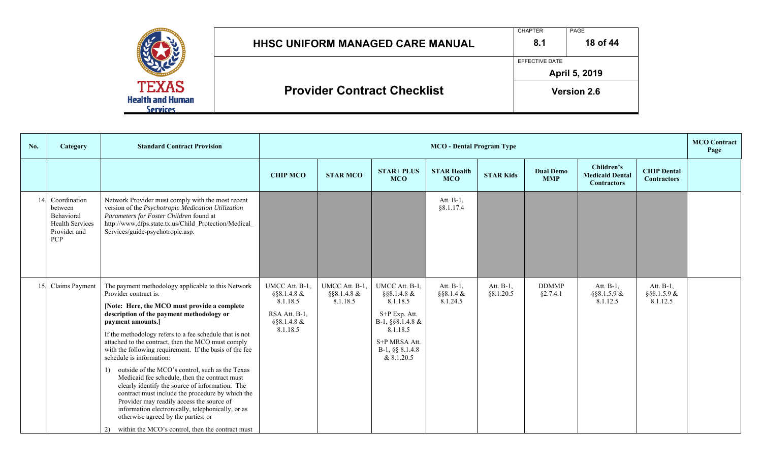|                                                     | <b>HHSC UNIFORM MANAGED CARE MANUAL</b> | <b>CHAPTER</b><br>8.1 | PAGE<br>18 of 44   |
|-----------------------------------------------------|-----------------------------------------|-----------------------|--------------------|
|                                                     |                                         | EFFECTIVE DATE        | April 5, 2019      |
| <b>TEXAS</b><br><b>Health and Human</b><br>Services | <b>Provider Contract Checklist</b>      |                       | <b>Version 2.6</b> |

| No. | <b>Category</b>                                                                               | <b>Standard Contract Provision</b>                                                                                                                                                                                                                                                                                                                                                                                                                                                                                                                                                                                                                                                                                                                                                                                     |                                                                                          | <b>MCO</b> - Dental Program Type              |                                                                                                                                              |                                       |                        |                                |                                                            |                                          | <b>MCO</b> Contract<br>Page |
|-----|-----------------------------------------------------------------------------------------------|------------------------------------------------------------------------------------------------------------------------------------------------------------------------------------------------------------------------------------------------------------------------------------------------------------------------------------------------------------------------------------------------------------------------------------------------------------------------------------------------------------------------------------------------------------------------------------------------------------------------------------------------------------------------------------------------------------------------------------------------------------------------------------------------------------------------|------------------------------------------------------------------------------------------|-----------------------------------------------|----------------------------------------------------------------------------------------------------------------------------------------------|---------------------------------------|------------------------|--------------------------------|------------------------------------------------------------|------------------------------------------|-----------------------------|
|     |                                                                                               |                                                                                                                                                                                                                                                                                                                                                                                                                                                                                                                                                                                                                                                                                                                                                                                                                        | <b>CHIP MCO</b>                                                                          | <b>STAR MCO</b>                               | <b>STAR+ PLUS</b><br><b>MCO</b>                                                                                                              | <b>STAR Health</b><br><b>MCO</b>      | <b>STAR Kids</b>       | <b>Dual Demo</b><br><b>MMP</b> | Children's<br><b>Medicaid Dental</b><br><b>Contractors</b> | <b>CHIP Dental</b><br><b>Contractors</b> |                             |
| 14. | Coordination<br>between<br>Behavioral<br><b>Health Services</b><br>Provider and<br><b>PCP</b> | Network Provider must comply with the most recent<br>version of the Psychotropic Medication Utilization<br>Parameters for Foster Children found at<br>http://www.dfps.state.tx.us/Child Protection/Medical<br>Services/guide-psychotropic.asp.                                                                                                                                                                                                                                                                                                                                                                                                                                                                                                                                                                         |                                                                                          |                                               |                                                                                                                                              | Att. $B-1$ ,<br>§ 8.1.17.4            |                        |                                |                                                            |                                          |                             |
| 15. | Claims Payment                                                                                | The payment methodology applicable to this Network<br>Provider contract is:<br>[Note: Here, the MCO must provide a complete<br>description of the payment methodology or<br>payment amounts.]<br>If the methodology refers to a fee schedule that is not<br>attached to the contract, then the MCO must comply<br>with the following requirement. If the basis of the fee<br>schedule is information:<br>outside of the MCO's control, such as the Texas<br>1)<br>Medicaid fee schedule, then the contract must<br>clearly identify the source of information. The<br>contract must include the procedure by which the<br>Provider may readily access the source of<br>information electronically, telephonically, or as<br>otherwise agreed by the parties; or<br>2) within the MCO's control, then the contract must | UMCC Att. B-1.<br>$§$ §8.1.4.8 &<br>8.1.18.5<br>RSA Att. B-1,<br>§§8.1.4.8 &<br>8.1.18.5 | UMCC Att. B-1.<br>$\S$ §8.1.4.8 &<br>8.1.18.5 | UMCC Att. B-1,<br>§§8.1.4.8 &<br>8.1.18.5<br>S+P Exp. Att.<br>B-1, §§8.1.4.8 &<br>8.1.18.5<br>S+P MRSA Att.<br>B-1, §§ 8.1.4.8<br>& 8.1.20.5 | Att. B-1,<br>$§$ §8.1.4 &<br>8.1.24.5 | Att. B-1,<br>§8.1.20.5 | <b>DDMMP</b><br>§2.7.4.1       | Att. B-1,<br>$\S$ §8.1.5.9 &<br>8.1.12.5                   | Att. B-1,<br>$\S$ §8.1.5.9 &<br>8.1.12.5 |                             |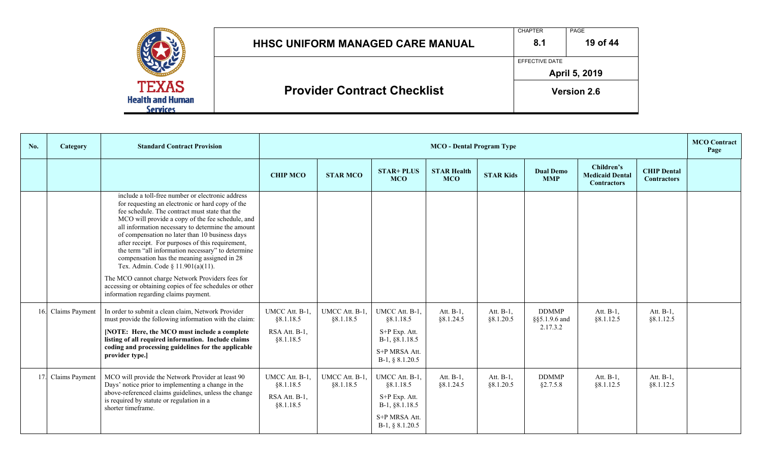|                                                            | <b>HHSC UNIFORM MANAGED CARE MANUAL</b> | <b>CHAPTER</b><br>8.1 | <b>PAGE</b><br>19 of 44 |
|------------------------------------------------------------|-----------------------------------------|-----------------------|-------------------------|
|                                                            |                                         | EFFECTIVE DATE        | April 5, 2019           |
| <b>TEXAS</b><br><b>Health and Human</b><br><b>Services</b> | <b>Provider Contract Checklist</b>      |                       | <b>Version 2.6</b>      |

| No. | Category           | <b>Standard Contract Provision</b>                                                                                                                                                                                                                                                                                                                                                                                                                                                                                                                                                                                                                                     |                                                           | <b>MCO</b> - Dental Program Type |                                                                                                      |                                  |                            |                                           |                                                            |                                          | <b>MCO</b> Contract<br>Page |
|-----|--------------------|------------------------------------------------------------------------------------------------------------------------------------------------------------------------------------------------------------------------------------------------------------------------------------------------------------------------------------------------------------------------------------------------------------------------------------------------------------------------------------------------------------------------------------------------------------------------------------------------------------------------------------------------------------------------|-----------------------------------------------------------|----------------------------------|------------------------------------------------------------------------------------------------------|----------------------------------|----------------------------|-------------------------------------------|------------------------------------------------------------|------------------------------------------|-----------------------------|
|     |                    |                                                                                                                                                                                                                                                                                                                                                                                                                                                                                                                                                                                                                                                                        | <b>CHIP MCO</b>                                           | <b>STAR MCO</b>                  | <b>STAR+ PLUS</b><br><b>MCO</b>                                                                      | <b>STAR Health</b><br><b>MCO</b> | <b>STAR Kids</b>           | <b>Dual Demo</b><br><b>MMP</b>            | Children's<br><b>Medicaid Dental</b><br><b>Contractors</b> | <b>CHIP Dental</b><br><b>Contractors</b> |                             |
|     |                    | include a toll-free number or electronic address<br>for requesting an electronic or hard copy of the<br>fee schedule. The contract must state that the<br>MCO will provide a copy of the fee schedule, and<br>all information necessary to determine the amount<br>of compensation no later than 10 business days<br>after receipt. For purposes of this requirement,<br>the term "all information necessary" to determine<br>compensation has the meaning assigned in 28<br>Tex. Admin. Code § 11.901(a)(11).<br>The MCO cannot charge Network Providers fees for<br>accessing or obtaining copies of fee schedules or other<br>information regarding claims payment. |                                                           |                                  |                                                                                                      |                                  |                            |                                           |                                                            |                                          |                             |
|     | 16. Claims Payment | In order to submit a clean claim. Network Provider<br>must provide the following information with the claim:<br>[NOTE: Here, the MCO must include a complete<br>listing of all required information. Include claims<br>coding and processing guidelines for the applicable<br>provider type.]                                                                                                                                                                                                                                                                                                                                                                          | UMCC Att. B-1.<br>§8.1.18.5<br>RSA Att. B-1,<br>§8.1.18.5 | UMCC Att. B-1.<br>88.1.18.5      | UMCC Att. B-1.<br>§8.1.18.5<br>S+P Exp. Att.<br>B-1, §8.1.18.5<br>S+P MRSA Att.<br>$B-1, § 8.1.20.5$ | Att. B-1,<br>§8.1.24.5           | Att. $B-1$ ,<br>§ 8.1.20.5 | <b>DDMMP</b><br>§§5.1.9.6 and<br>2.17.3.2 | Att. B-1,<br>§8.1.12.5                                     | Att. B-1,<br>§8.1.12.5                   |                             |
|     | 17. Claims Payment | MCO will provide the Network Provider at least 90<br>Days' notice prior to implementing a change in the<br>above-referenced claims guidelines, unless the change<br>is required by statute or regulation in a<br>shorter timeframe.                                                                                                                                                                                                                                                                                                                                                                                                                                    | UMCC Att. B-1,<br>§8.1.18.5<br>RSA Att. B-1,<br>§8.1.18.5 | UMCC Att. B-1,<br>§8.1.18.5      | UMCC Att. B-1,<br>§8.1.18.5<br>S+P Exp. Att.<br>B-1, §8.1.18.5<br>S+P MRSA Att.<br>$B-1, § 8.1.20.5$ | Att. B-1,<br>§8.1.24.5           | Att. $B-1$ ,<br>§ 8.1.20.5 | <b>DDMMP</b><br>§2.7.5.8                  | Att. B-1,<br>§8.1.12.5                                     | Att. B-1,<br>§8.1.12.5                   |                             |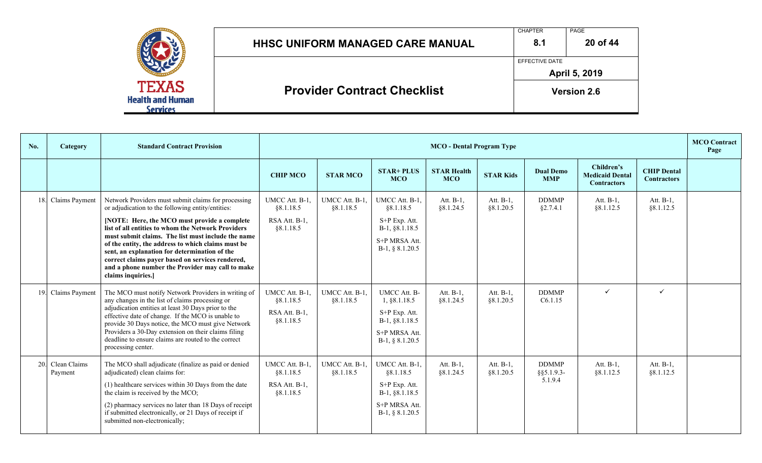|                                                     | <b>HHSC UNIFORM MANAGED CARE MANUAL</b> | <b>CHAPTER</b><br>8.1 | PAGE<br>20 of 44   |
|-----------------------------------------------------|-----------------------------------------|-----------------------|--------------------|
|                                                     |                                         | EFFECTIVE DATE        | April 5, 2019      |
| <b>TEXAS</b><br><b>Health and Human</b><br>Services | <b>Provider Contract Checklist</b>      |                       | <b>Version 2.6</b> |

| No. | Category                    | <b>Standard Contract Provision</b>                                                                                                                                                                                                                                                                                                                                                                          |                                                           | <b>MCO</b> Contract<br><b>MCO</b> - Dental Program Type |                                                                                                              |                                  |                        |                                          |                                                            |                                          |  |  |
|-----|-----------------------------|-------------------------------------------------------------------------------------------------------------------------------------------------------------------------------------------------------------------------------------------------------------------------------------------------------------------------------------------------------------------------------------------------------------|-----------------------------------------------------------|---------------------------------------------------------|--------------------------------------------------------------------------------------------------------------|----------------------------------|------------------------|------------------------------------------|------------------------------------------------------------|------------------------------------------|--|--|
|     |                             |                                                                                                                                                                                                                                                                                                                                                                                                             | <b>CHIP MCO</b>                                           | <b>STAR MCO</b>                                         | <b>STAR+ PLUS</b><br><b>MCO</b>                                                                              | <b>STAR Health</b><br><b>MCO</b> | <b>STAR Kids</b>       | <b>Dual Demo</b><br><b>MMP</b>           | Children's<br><b>Medicaid Dental</b><br><b>Contractors</b> | <b>CHIP Dental</b><br><b>Contractors</b> |  |  |
|     | 18. Claims Payment          | Network Providers must submit claims for processing<br>or adjudication to the following entity/entities:                                                                                                                                                                                                                                                                                                    | UMCC Att. B-1,<br>§8.1.18.5                               | UMCC Att. B-1,<br>§8.1.18.5                             | UMCC Att. B-1,<br>§8.1.18.5                                                                                  | Att. B-1,<br>§8.1.24.5           | Att. B-1,<br>§8.1.20.5 | <b>DDMMP</b><br>§2.7.4.1                 | Att. B-1,<br>§8.1.12.5                                     | Att. B-1,<br>§8.1.12.5                   |  |  |
|     |                             | [NOTE: Here, the MCO must provide a complete<br>list of all entities to whom the Network Providers                                                                                                                                                                                                                                                                                                          | RSA Att. B-1,<br>§8.1.18.5                                |                                                         | S+P Exp. Att.<br>B-1, §8.1.18.5                                                                              |                                  |                        |                                          |                                                            |                                          |  |  |
|     |                             | must submit claims. The list must include the name<br>of the entity, the address to which claims must be<br>sent, an explanation for determination of the<br>correct claims payer based on services rendered,<br>and a phone number the Provider may call to make<br>claims inquiries.]                                                                                                                     |                                                           |                                                         | S+P MRSA Att.<br>$B-1, § 8.1.20.5$                                                                           |                                  |                        |                                          |                                                            |                                          |  |  |
|     | 19. Claims Payment          | The MCO must notify Network Providers in writing of<br>any changes in the list of claims processing or<br>adjudication entities at least 30 Days prior to the<br>effective date of change. If the MCO is unable to<br>provide 30 Days notice, the MCO must give Network<br>Providers a 30-Day extension on their claims filing<br>deadline to ensure claims are routed to the correct<br>processing center. | UMCC Att. B-1.<br>§8.1.18.5<br>RSA Att. B-1,<br>§8.1.18.5 | UMCC Att. B-1.<br>§8.1.18.5                             | <b>UMCC Att. B-</b><br>1, §8.1.18.5<br>S+P Exp. Att.<br>B-1, §8.1.18.5<br>S+P MRSA Att.<br>$B-1, § 8.1.20.5$ | Att. B-1,<br>§8.1.24.5           | Att. B-1.<br>§8.1.20.5 | <b>DDMMP</b><br>C6.1.15                  | $\checkmark$                                               | $\checkmark$                             |  |  |
|     | 20. Clean Claims<br>Payment | The MCO shall adjudicate (finalize as paid or denied<br>adjudicated) clean claims for:<br>(1) healthcare services within 30 Days from the date<br>the claim is received by the MCO;<br>(2) pharmacy services no later than 18 Days of receipt<br>if submitted electronically, or 21 Days of receipt if<br>submitted non-electronically;                                                                     | UMCC Att. B-1,<br>§8.1.18.5<br>RSA Att. B-1,<br>§8.1.18.5 | UMCC Att. B-1,<br>§8.1.18.5                             | UMCC Att. B-1,<br>§8.1.18.5<br>S+P Exp. Att.<br>B-1, §8.1.18.5<br>S+P MRSA Att.<br>$B-1, § 8.1.20.5$         | Att. B-1,<br>§8.1.24.5           | Att. B-1,<br>§8.1.20.5 | <b>DDMMP</b><br>$§$ §5.1.9.3-<br>5.1.9.4 | Att. B-1,<br>§8.1.12.5                                     | Att. B-1,<br>§8.1.12.5                   |  |  |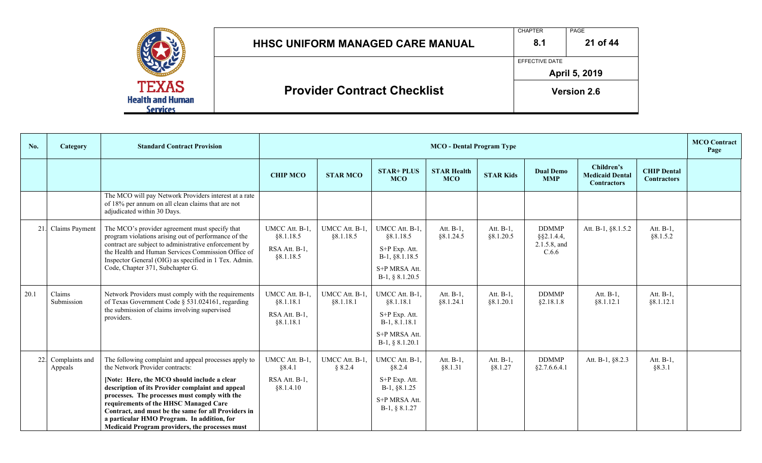|                                                     | <b>HHSC UNIFORM MANAGED CARE MANUAL</b> | <b>CHAPTER</b><br>8.1 | PAGE<br>21 of 44   |
|-----------------------------------------------------|-----------------------------------------|-----------------------|--------------------|
|                                                     |                                         | EFFECTIVE DATE        | April 5, 2019      |
| TEXAS<br><b>Health and Human</b><br><b>Services</b> | <b>Provider Contract Checklist</b>      |                       | <b>Version 2.6</b> |

| No.  | Category                      | <b>Standard Contract Provision</b>                                                                                                                                                                                                                                                                                                                                                                                                           |                                                           | <b>MCO</b> Contract<br><b>MCO</b> - Dental Program Type |                                                                                                        |                                  |                         |                                                        |                                                            |                                          |  |
|------|-------------------------------|----------------------------------------------------------------------------------------------------------------------------------------------------------------------------------------------------------------------------------------------------------------------------------------------------------------------------------------------------------------------------------------------------------------------------------------------|-----------------------------------------------------------|---------------------------------------------------------|--------------------------------------------------------------------------------------------------------|----------------------------------|-------------------------|--------------------------------------------------------|------------------------------------------------------------|------------------------------------------|--|
|      |                               |                                                                                                                                                                                                                                                                                                                                                                                                                                              | <b>CHIP MCO</b>                                           | <b>STAR MCO</b>                                         | <b>STAR+ PLUS</b><br><b>MCO</b>                                                                        | <b>STAR Health</b><br><b>MCO</b> | <b>STAR Kids</b>        | <b>Dual Demo</b><br><b>MMP</b>                         | Children's<br><b>Medicaid Dental</b><br><b>Contractors</b> | <b>CHIP Dental</b><br><b>Contractors</b> |  |
|      |                               | The MCO will pay Network Providers interest at a rate<br>of 18% per annum on all clean claims that are not<br>adjudicated within 30 Days.                                                                                                                                                                                                                                                                                                    |                                                           |                                                         |                                                                                                        |                                  |                         |                                                        |                                                            |                                          |  |
| 21.  | Claims Payment                | The MCO's provider agreement must specify that<br>program violations arising out of performance of the<br>contract are subject to administrative enforcement by<br>the Health and Human Services Commission Office of<br>Inspector General (OIG) as specified in 1 Tex. Admin.<br>Code, Chapter 371, Subchapter G.                                                                                                                           | UMCC Att. B-1,<br>§8.1.18.5<br>RSA Att. B-1,<br>§8.1.18.5 | UMCC Att. B-1,<br>§8.1.18.5                             | UMCC Att. B-1,<br>§8.1.18.5<br>S+P Exp. Att.<br>$B-1, §8.1.18.5$<br>S+P MRSA Att.<br>$B-1, § 8.1.20.5$ | Att. B-1,<br>§8.1.24.5           | Att. B-1,<br>§8.1.20.5  | <b>DDMMP</b><br>$§$ §2.1.4.4,<br>2.1.5.8, and<br>C.6.6 | Att. B-1, §8.1.5.2                                         | Att. $B-1$ ,<br>§8.1.5.2                 |  |
| 20.1 | Claims<br>Submission          | Network Providers must comply with the requirements<br>of Texas Government Code § 531.024161, regarding<br>the submission of claims involving supervised<br>providers.                                                                                                                                                                                                                                                                       | UMCC Att. B-1<br>§ 8.1.18.1<br>RSA Att. B-1.<br>§8.1.18.1 | UMCC Att. B-1.<br>§8.1.18.1                             | UMCC Att. B-1,<br>§8.1.18.1<br>S+P Exp. Att.<br>B-1, 8.1.18.1<br>S+P MRSA Att.<br>$B-1, § 8.1.20.1$    | Att. B-1,<br>§8.1.24.1           | Att. B-1,<br>§ 8.1.20.1 | <b>DDMMP</b><br>§2.18.1.8                              | Att. B-1,<br>§ 8.1.12.1                                    | Att. B-1,<br>§8.1.12.1                   |  |
|      | 22. Complaints and<br>Appeals | The following complaint and appeal processes apply to<br>the Network Provider contracts:<br>[Note: Here, the MCO should include a clear<br>description of its Provider complaint and appeal<br>processes. The processes must comply with the<br>requirements of the HHSC Managed Care<br>Contract, and must be the same for all Providers in<br>a particular HMO Program. In addition, for<br>Medicaid Program providers, the processes must | UMCC Att. B-1.<br>§8.4.1<br>RSA Att. B-1,<br>§ 8.1.4.10   | UMCC Att. B-1.<br>§ 8.2.4                               | UMCC Att. B-1,<br>§8.2.4<br>S+P Exp. Att.<br>$B-1, §8.1.25$<br>S+P MRSA Att.<br>$B-1, § 8.1.27$        | Att. B-1,<br>§8.1.31             | Att. B-1,<br>§8.1.27    | <b>DDMMP</b><br>§2.7.6.6.4.1                           | Att. B-1, §8.2.3                                           | Att. B-1,<br>§8.3.1                      |  |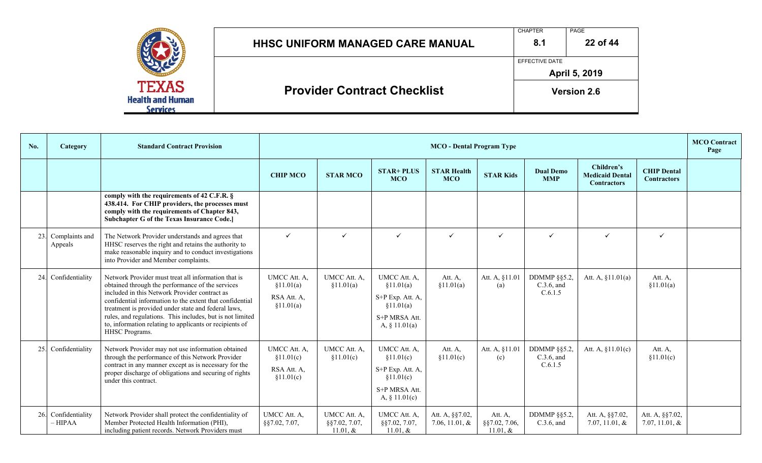|                                            | <b>HHSC UNIFORM MANAGED CARE MANUAL</b> | <b>CHAPTER</b><br>8.1 | PAGE<br>22 of 44                    |
|--------------------------------------------|-----------------------------------------|-----------------------|-------------------------------------|
| <b>TEXAS</b>                               | <b>Provider Contract Checklist</b>      | <b>EFFECTIVE DATE</b> | April 5, 2019<br><b>Version 2.6</b> |
| <b>Health and Human</b><br><b>Services</b> |                                         |                       |                                     |

| No. | Category                      | <b>Standard Contract Provision</b>                                                                                                                                                                                                                                                                                                                                                                                    |                                                         | <b>MCO</b> Contract<br><b>MCO</b> - Dental Program Type |                                                                                                 |                                     |                                             |                                              |                                                            |                                          |  |  |
|-----|-------------------------------|-----------------------------------------------------------------------------------------------------------------------------------------------------------------------------------------------------------------------------------------------------------------------------------------------------------------------------------------------------------------------------------------------------------------------|---------------------------------------------------------|---------------------------------------------------------|-------------------------------------------------------------------------------------------------|-------------------------------------|---------------------------------------------|----------------------------------------------|------------------------------------------------------------|------------------------------------------|--|--|
|     |                               |                                                                                                                                                                                                                                                                                                                                                                                                                       | <b>CHIP MCO</b>                                         | <b>STAR MCO</b>                                         | <b>STAR+ PLUS</b><br><b>MCO</b>                                                                 | <b>STAR Health</b><br><b>MCO</b>    | <b>STAR Kids</b>                            | <b>Dual Demo</b><br><b>MMP</b>               | Children's<br><b>Medicaid Dental</b><br><b>Contractors</b> | <b>CHIP Dental</b><br><b>Contractors</b> |  |  |
|     |                               | comply with the requirements of 42 C.F.R. $\S$<br>438.414. For CHIP providers, the processes must<br>comply with the requirements of Chapter 843,<br>Subchapter G of the Texas Insurance Code.]                                                                                                                                                                                                                       |                                                         |                                                         |                                                                                                 |                                     |                                             |                                              |                                                            |                                          |  |  |
|     | 23. Complaints and<br>Appeals | The Network Provider understands and agrees that<br>HHSC reserves the right and retains the authority to<br>make reasonable inquiry and to conduct investigations<br>into Provider and Member complaints.                                                                                                                                                                                                             | $\checkmark$                                            | $\checkmark$                                            | $\checkmark$                                                                                    | $\checkmark$                        | $\checkmark$                                | $\checkmark$                                 | $\checkmark$                                               | $\checkmark$                             |  |  |
|     | 24. Confidentiality           | Network Provider must treat all information that is<br>obtained through the performance of the services<br>included in this Network Provider contract as<br>confidential information to the extent that confidential<br>treatment is provided under state and federal laws,<br>rules, and regulations. This includes, but is not limited<br>to, information relating to applicants or recipients of<br>HHSC Programs. | UMCC Att. A.<br>§11.01(a)<br>RSA Att. A,<br>\$11.01(a)  | UMCC Att. A.<br>\$11.01(a)                              | UMCC Att. A.<br>§11.01(a)<br>S+P Exp. Att. A,<br>\$11.01(a)<br>S+P MRSA Att.<br>A, $§ 11.01(a)$ | Att. A.<br>\$11.01(a)               | Att. A, §11.01<br>(a)                       | DDMMP $\S$ §5.2,<br>$C.3.6$ , and<br>C.6.1.5 | Att. A, $$11.01(a)$                                        | Att. A.<br>\$11.01(a)                    |  |  |
|     | 25. Confidentiality           | Network Provider may not use information obtained<br>through the performance of this Network Provider<br>contract in any manner except as is necessary for the<br>proper discharge of obligations and securing of rights<br>under this contract.                                                                                                                                                                      | UMCC Att. A,<br>\$11.01(c)<br>RSA Att. A,<br>\$11.01(c) | UMCC Att. A,<br>\$11.01(c)                              | UMCC Att. A,<br>§11.01(c)<br>S+P Exp. Att. A,<br>§11.01(c)<br>S+P MRSA Att.<br>A, $§ 11.01(c)$  | Att. A,<br>\$11.01(c)               | Att. A, §11.01<br>(c)                       | DDMMP §§5.2,<br>C.3.6, and<br>C.6.1.5        | Att. A, §11.01(c)                                          | Att. A,<br>\$11.01(c)                    |  |  |
| 26. | Confidentiality<br>$- HIPAA$  | Network Provider shall protect the confidentiality of<br>Member Protected Health Information (PHI),<br>including patient records. Network Providers must                                                                                                                                                                                                                                                              | UMCC Att. A,<br>§§7.02, 7.07,                           | UMCC Att. A,<br>§§7.02, 7.07,<br>11.01, $&$             | UMCC Att. A,<br>§§7.02, 7.07,<br>11.01, $&$                                                     | Att. A, §§7.02,<br>7.06, 11.01, $&$ | Att. A,<br>$\S$ \$7.02, 7.06,<br>11.01, $&$ | DDMMP §§5.2,<br>$C.3.6$ , and                | Att. A, §§7.02,<br>7.07, 11.01, $&$                        | Att. A, §§7.02,<br>7.07, 11.01, &        |  |  |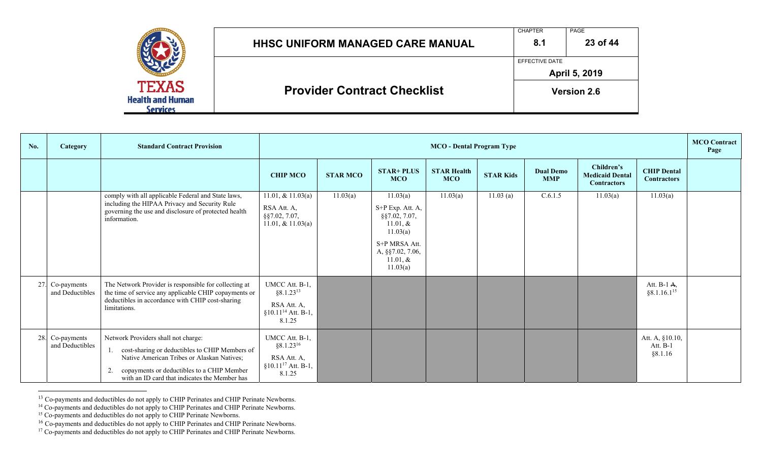|                                                     | HHSC UNIFORM MANAGED CARE MANUAL   | <b>CHAPTER</b><br>8.1 | PAGE<br>23 of 44   |
|-----------------------------------------------------|------------------------------------|-----------------------|--------------------|
|                                                     |                                    | EFFECTIVE DATE        | April 5, 2019      |
| <b>TEXAS</b><br><b>Health and Human</b><br>Services | <b>Provider Contract Checklist</b> |                       | <b>Version 2.6</b> |

| No. | <b>Category</b>                    | <b>Standard Contract Provision</b>                                                                                                                                                                                                 |                                                                                               | <b>MCO</b> - Dental Program Type |                                                                                                                                             |                                  |                  |                                |                                                            |                                          |  |
|-----|------------------------------------|------------------------------------------------------------------------------------------------------------------------------------------------------------------------------------------------------------------------------------|-----------------------------------------------------------------------------------------------|----------------------------------|---------------------------------------------------------------------------------------------------------------------------------------------|----------------------------------|------------------|--------------------------------|------------------------------------------------------------|------------------------------------------|--|
|     |                                    |                                                                                                                                                                                                                                    | <b>CHIP MCO</b>                                                                               | <b>STAR MCO</b>                  | <b>STAR+ PLUS</b><br><b>MCO</b>                                                                                                             | <b>STAR Health</b><br><b>MCO</b> | <b>STAR Kids</b> | <b>Dual Demo</b><br><b>MMP</b> | Children's<br><b>Medicaid Dental</b><br><b>Contractors</b> | <b>CHIP Dental</b><br><b>Contractors</b> |  |
|     |                                    | comply with all applicable Federal and State laws,<br>including the HIPAA Privacy and Security Rule<br>governing the use and disclosure of protected health<br>information.                                                        | 11.01, & $11.03(a)$<br>RSA Att. A,<br>$\S$ \$7.02, 7.07,<br>11.01, & $11.03(a)$               | 11.03(a)                         | 11.03(a)<br>S+P Exp. Att. A,<br>$\S$ §7.02, 7.07,<br>$11.01, \&$<br>11.03(a)<br>S+P MRSA Att.<br>A, §§7.02, 7.06,<br>11.01, $&$<br>11.03(a) | 11.03(a)                         | 11.03(a)         | C.6.1.5                        | 11.03(a)                                                   | 11.03(a)                                 |  |
|     | 27. Co-payments<br>and Deductibles | The Network Provider is responsible for collecting at<br>the time of service any applicable CHIP copayments or<br>deductibles in accordance with CHIP cost-sharing<br>limitations.                                                 | UMCC Att. B-1,<br>$§8.1.23^{13}$<br>RSA Att. A,<br>$§10.11$ <sup>14</sup> Att. B-1,<br>8.1.25 |                                  |                                                                                                                                             |                                  |                  |                                |                                                            | Att. $B-1$ A,<br>§8.1.16.1 <sup>15</sup> |  |
|     | 28. Co-payments<br>and Deductibles | Network Providers shall not charge:<br>cost-sharing or deductibles to CHIP Members of<br>Native American Tribes or Alaskan Natives;<br>copayments or deductibles to a CHIP Member<br>with an ID card that indicates the Member has | UMCC Att. B-1,<br>$§8.1.23^{16}$<br>RSA Att. A,<br>$§10.11^{17}$ Att. B-1,<br>8.1.25          |                                  |                                                                                                                                             |                                  |                  |                                |                                                            | Att. A, §10.10,<br>Att. B-1<br>§8.1.16   |  |

<sup>&</sup>lt;sup>13</sup> Co-payments and deductibles do not apply to CHIP Perinates and CHIP Perinate Newborns.

<sup>&</sup>lt;sup>14</sup> Co-payments and deductibles do not apply to CHIP Perinates and CHIP Perinate Newborns.

<sup>&</sup>lt;sup>15</sup> Co-payments and deductibles do not apply to CHIP Perinate Newborns.<br><sup>16</sup> Co-payments and deductibles do not apply to CHIP Perinates and CHIP Perinate Newborns.

 $17^1$  Co-payments and deductibles do not apply to CHIP Perinates and CHIP Perinate Newborns.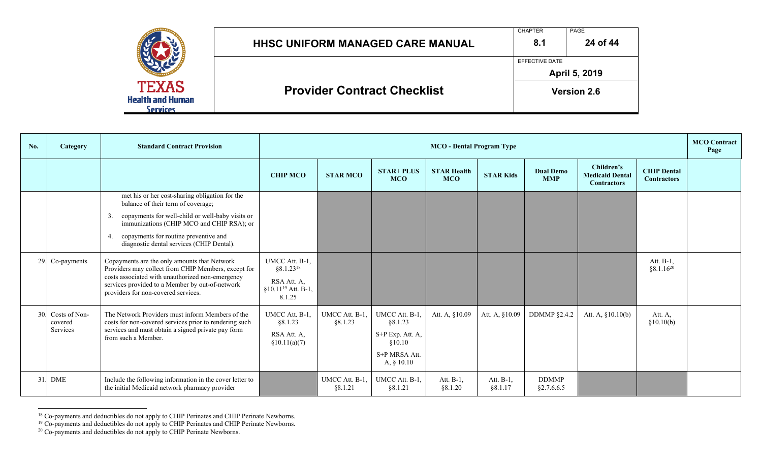|                                                            | HHSC UNIFORM MANAGED CARE MANUAL   | <b>CHAPTER</b><br>8.1 | PAGE<br>24 of 44   |
|------------------------------------------------------------|------------------------------------|-----------------------|--------------------|
|                                                            |                                    | EFFECTIVE DATE        | April 5, 2019      |
| <b>TEXAS</b><br><b>Health and Human</b><br><b>Services</b> | <b>Provider Contract Checklist</b> |                       | <b>Version 2.6</b> |

| No. | Category                     | <b>Standard Contract Provision</b>                                                                                                         |                                                  | <b>MCO</b> - Dental Program Type |                                 |                                  |                      |                                |                                                            |                                          |  |
|-----|------------------------------|--------------------------------------------------------------------------------------------------------------------------------------------|--------------------------------------------------|----------------------------------|---------------------------------|----------------------------------|----------------------|--------------------------------|------------------------------------------------------------|------------------------------------------|--|
|     |                              |                                                                                                                                            | <b>CHIP MCO</b>                                  | <b>STAR MCO</b>                  | <b>STAR+ PLUS</b><br><b>MCO</b> | <b>STAR Health</b><br><b>MCO</b> | <b>STAR Kids</b>     | <b>Dual Demo</b><br><b>MMP</b> | Children's<br><b>Medicaid Dental</b><br><b>Contractors</b> | <b>CHIP Dental</b><br><b>Contractors</b> |  |
|     |                              | met his or her cost-sharing obligation for the<br>balance of their term of coverage;                                                       |                                                  |                                  |                                 |                                  |                      |                                |                                                            |                                          |  |
|     |                              | copayments for well-child or well-baby visits or<br>3.<br>immunizations (CHIP MCO and CHIP RSA); or                                        |                                                  |                                  |                                 |                                  |                      |                                |                                                            |                                          |  |
|     |                              | copayments for routine preventive and<br>4.<br>diagnostic dental services (CHIP Dental).                                                   |                                                  |                                  |                                 |                                  |                      |                                |                                                            |                                          |  |
|     | 29. Co-payments              | Copayments are the only amounts that Network<br>Providers may collect from CHIP Members, except for                                        | UMCC Att. B-1,<br>$§8.1.23^{18}$                 |                                  |                                 |                                  |                      |                                |                                                            | Att. B-1,<br>$§ 8.1.16^{20}$             |  |
|     |                              | costs associated with unauthorized non-emergency<br>services provided to a Member by out-of-network<br>providers for non-covered services. | RSA Att. A,<br>$§10.11^{19}$ Att. B-1,<br>8.1.25 |                                  |                                 |                                  |                      |                                |                                                            |                                          |  |
|     | 30. Costs of Non-<br>covered | The Network Providers must inform Members of the<br>costs for non-covered services prior to rendering such                                 | UMCC Att. B-1,<br>§8.1.23                        | UMCC Att. B-1,<br>§8.1.23        | UMCC Att. B-1,<br>88.1.23       | Att. A, §10.09                   | Att. A, §10.09       | <b>DDMMP</b> §2.4.2            | Att. A, $§10.10(b)$                                        | Att. A,<br>\$10.10(b)                    |  |
|     | Services                     | services and must obtain a signed private pay form<br>from such a Member.                                                                  | RSA Att. A,<br>\$10.11(a)(7)                     |                                  | S+P Exp. Att. A,<br>\$10.10     |                                  |                      |                                |                                                            |                                          |  |
|     |                              |                                                                                                                                            |                                                  |                                  | S+P MRSA Att.<br>A, $§ 10.10$   |                                  |                      |                                |                                                            |                                          |  |
|     | 31. DME                      | Include the following information in the cover letter to<br>the initial Medicaid network pharmacy provider                                 |                                                  | UMCC Att. B-1,<br>§8.1.21        | UMCC Att. B-1,<br>§8.1.21       | Att. B-1,<br>§8.1.20             | Att. B-1,<br>§8.1.17 | <b>DDMMP</b><br>§2.7.6.6.5     |                                                            |                                          |  |

<sup>&</sup>lt;sup>18</sup> Co-payments and deductibles do not apply to CHIP Perinates and CHIP Perinate Newborns.

<sup>&</sup>lt;sup>19</sup> Co-payments and deductibles do not apply to CHIP Perinates and CHIP Perinate Newborns.

 $20$  Co-payments and deductibles do not apply to CHIP Perinate Newborns.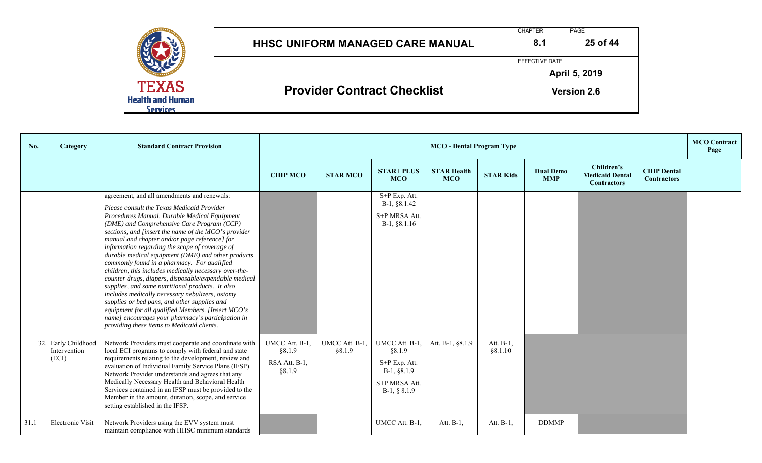|                                                            |                                         | <b>CHAPTER</b>        | PAGE               |
|------------------------------------------------------------|-----------------------------------------|-----------------------|--------------------|
|                                                            | <b>HHSC UNIFORM MANAGED CARE MANUAL</b> | 8.1                   | 25 of 44           |
|                                                            |                                         | <b>EFFECTIVE DATE</b> |                    |
|                                                            |                                         |                       | April 5, 2019      |
| <b>TEXAS</b><br><b>Health and Human</b><br><b>Services</b> | <b>Provider Contract Checklist</b>      |                       | <b>Version 2.6</b> |

| No.  | Category                                     | <b>Standard Contract Provision</b>                                                                                                                                                                                                                                                                                                                                                                                                                                                                                                                                                                                                                                                                                                                                                                                                                                                        |                                                     | <b>MCO</b> - Dental Program Type |                                                                                               |                                  |                       |                                |                                                            |                                          | <b>MCO</b> Contract<br>Page |
|------|----------------------------------------------|-------------------------------------------------------------------------------------------------------------------------------------------------------------------------------------------------------------------------------------------------------------------------------------------------------------------------------------------------------------------------------------------------------------------------------------------------------------------------------------------------------------------------------------------------------------------------------------------------------------------------------------------------------------------------------------------------------------------------------------------------------------------------------------------------------------------------------------------------------------------------------------------|-----------------------------------------------------|----------------------------------|-----------------------------------------------------------------------------------------------|----------------------------------|-----------------------|--------------------------------|------------------------------------------------------------|------------------------------------------|-----------------------------|
|      |                                              |                                                                                                                                                                                                                                                                                                                                                                                                                                                                                                                                                                                                                                                                                                                                                                                                                                                                                           | <b>CHIP MCO</b>                                     | <b>STAR MCO</b>                  | <b>STAR+ PLUS</b><br><b>MCO</b>                                                               | <b>STAR Health</b><br><b>MCO</b> | <b>STAR Kids</b>      | <b>Dual Demo</b><br><b>MMP</b> | Children's<br><b>Medicaid Dental</b><br><b>Contractors</b> | <b>CHIP Dental</b><br><b>Contractors</b> |                             |
|      |                                              | agreement, and all amendments and renewals:<br>Please consult the Texas Medicaid Provider<br>Procedures Manual, Durable Medical Equipment<br>(DME) and Comprehensive Care Program (CCP)<br>sections, and [insert the name of the MCO's provider<br>manual and chapter and/or page reference] for<br>information regarding the scope of coverage of<br>durable medical equipment (DME) and other products<br>commonly found in a pharmacy. For qualified<br>children, this includes medically necessary over-the-<br>counter drugs, diapers, disposable/expendable medical<br>supplies, and some nutritional products. It also<br>includes medically necessary nebulizers, ostomy<br>supplies or bed pans, and other supplies and<br>equipment for all qualified Members. [Insert MCO's<br>name] encourages your pharmacy's participation in<br>providing these items to Medicaid clients. |                                                     |                                  | S+P Exp. Att.<br>B-1, §8.1.42<br>S+P MRSA Att.<br>$B-1, §8.1.16$                              |                                  |                       |                                |                                                            |                                          |                             |
|      | 32. Early Childhood<br>Intervention<br>(ECI) | Network Providers must cooperate and coordinate with<br>local ECI programs to comply with federal and state<br>requirements relating to the development, review and<br>evaluation of Individual Family Service Plans (IFSP).<br>Network Provider understands and agrees that any<br>Medically Necessary Health and Behavioral Health<br>Services contained in an IFSP must be provided to the<br>Member in the amount, duration, scope, and service<br>setting established in the IFSP.                                                                                                                                                                                                                                                                                                                                                                                                   | UMCC Att. B-1,<br>§8.1.9<br>RSA Att. B-1,<br>§8.1.9 | UMCC Att. B-1,<br>§8.1.9         | UMCC Att. B-1,<br>§8.1.9<br>S+P Exp. Att.<br>$B-1, §8.1.9$<br>S+P MRSA Att.<br>$B-1, § 8.1.9$ | Att. B-1, §8.1.9                 | Att. B-1.<br>§ 8.1.10 |                                |                                                            |                                          |                             |
| 31.1 | Electronic Visit                             | Network Providers using the EVV system must<br>maintain compliance with HHSC minimum standards                                                                                                                                                                                                                                                                                                                                                                                                                                                                                                                                                                                                                                                                                                                                                                                            |                                                     |                                  | UMCC Att. B-1,                                                                                | Att. B-1,                        | Att. B-1,             | <b>DDMMP</b>                   |                                                            |                                          |                             |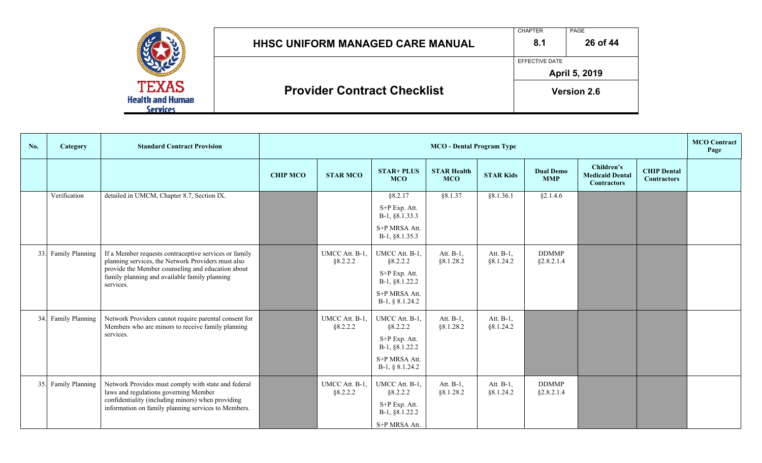|                                                    | <b>HHSC UNIFORM MANAGED CARE MANUAL</b> | <b>CHAPTER</b><br>8.1 | PAGE<br>26 of 44   |
|----------------------------------------------------|-----------------------------------------|-----------------------|--------------------|
|                                                    |                                         | EFFECTIVE DATE        | April 5, 2019      |
| <b>TEXAS</b><br><b>Health and Human</b><br>ervices | <b>Provider Contract Checklist</b>      |                       | <b>Version 2.6</b> |

| No. | Category            | <b>Standard Contract Provision</b>                                                                                                                                                                                             |                 | <b>MCO</b> - Dental Program Type |                                                                                                     |                                  |                        |                                |                                                            |                                          | <b>MCO</b> Contract<br>Page |
|-----|---------------------|--------------------------------------------------------------------------------------------------------------------------------------------------------------------------------------------------------------------------------|-----------------|----------------------------------|-----------------------------------------------------------------------------------------------------|----------------------------------|------------------------|--------------------------------|------------------------------------------------------------|------------------------------------------|-----------------------------|
|     |                     |                                                                                                                                                                                                                                | <b>CHIP MCO</b> | <b>STAR MCO</b>                  | <b>STAR+ PLUS</b><br><b>MCO</b>                                                                     | <b>STAR Health</b><br><b>MCO</b> | <b>STAR Kids</b>       | <b>Dual Demo</b><br><b>MMP</b> | Children's<br><b>Medicaid Dental</b><br><b>Contractors</b> | <b>CHIP Dental</b><br><b>Contractors</b> |                             |
|     | Verification        | detailed in UMCM, Chapter 8.7, Section IX.                                                                                                                                                                                     |                 |                                  | §8.2.17<br>S+P Exp. Att.<br>B-1, §8.1.33.3                                                          | §8.1.37                          | §8.1.36.1              | §2.1.4.6                       |                                                            |                                          |                             |
|     |                     |                                                                                                                                                                                                                                |                 |                                  | S+P MRSA Att.<br>B-1, §8.1.35.3                                                                     |                                  |                        |                                |                                                            |                                          |                             |
| 33. | Family Planning     | If a Member requests contraceptive services or family<br>planning services, the Network Providers must also<br>provide the Member counseling and education about<br>family planning and available family planning<br>services. |                 | UMCC Att. B-1,<br>§8.2.2.2       | UMCC Att. B-1,<br>§8.2.2.2<br>S+P Exp. Att.<br>B-1, §8.1.22.2<br>S+P MRSA Att.<br>$B-1, § 8.1.24.2$ | Att. B-1,<br>§8.1.28.2           | Att. B-1,<br>§8.1.24.2 | <b>DDMMP</b><br>§2.8.2.1.4     |                                                            |                                          |                             |
|     | 34. Family Planning | Network Providers cannot require parental consent for<br>Members who are minors to receive family planning<br>services.                                                                                                        |                 | UMCC Att. B-1,<br>§8.2.2.2       | UMCC Att. B-1,<br>§8.2.2.2<br>S+P Exp. Att.<br>B-1, §8.1.22.2<br>S+P MRSA Att.<br>B-1, § 8.1.24.2   | Att. B-1,<br>§8.1.28.2           | Att. B-1,<br>§8.1.24.2 |                                |                                                            |                                          |                             |
| 35. | Family Planning     | Network Provides must comply with state and federal<br>laws and regulations governing Member<br>confidentiality (including minors) when providing<br>information on family planning services to Members.                       |                 | UMCC Att. B-1,<br>§8.2.2.2       | UMCC Att. B-1,<br>§8.2.2.2<br>S+P Exp. Att.<br>B-1, §8.1.22.2<br>S+P MRSA Att.                      | Att. B-1,<br>§8.1.28.2           | Att. B-1,<br>§8.1.24.2 | <b>DDMMP</b><br>§2.8.2.1.4     |                                                            |                                          |                             |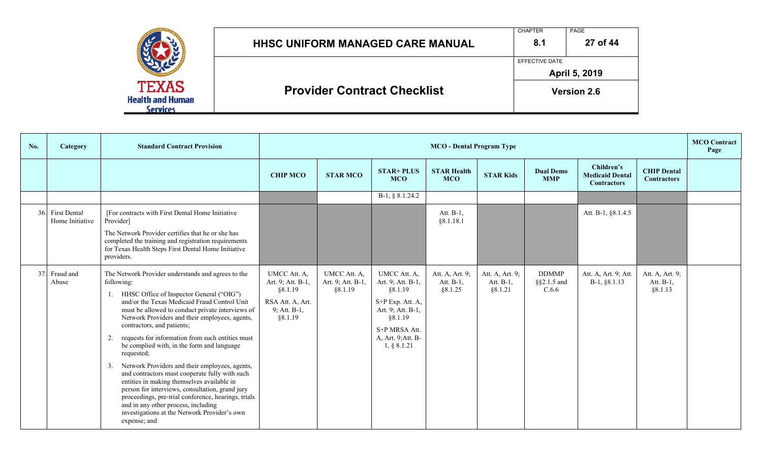|                                         | <b>HHSC UNIFORM MANAGED CARE MANUAL</b> | <b>CHAPTER</b><br>8.1 | PAGE<br>27 of 44   |
|-----------------------------------------|-----------------------------------------|-----------------------|--------------------|
|                                         |                                         | EFFECTIVE DATE        | April 5, 2019      |
| <b>TEXAS</b><br><b>Health and Human</b> | <b>Provider Contract Checklist</b>      |                       | <b>Version 2.6</b> |

| No. | <b>Category</b>                     | <b>Standard Contract Provision</b>                                                                                                                                                                                                                                                                                                                                                                                                                                                                                                                                                                                                                                                                                                                                                              |                                                                                             | <b>MCO</b> Contract<br><b>MCO</b> - Dental Program Type |                                                                                                                                                        |                                         |                                         |                                      |                                                            |                                          |  |
|-----|-------------------------------------|-------------------------------------------------------------------------------------------------------------------------------------------------------------------------------------------------------------------------------------------------------------------------------------------------------------------------------------------------------------------------------------------------------------------------------------------------------------------------------------------------------------------------------------------------------------------------------------------------------------------------------------------------------------------------------------------------------------------------------------------------------------------------------------------------|---------------------------------------------------------------------------------------------|---------------------------------------------------------|--------------------------------------------------------------------------------------------------------------------------------------------------------|-----------------------------------------|-----------------------------------------|--------------------------------------|------------------------------------------------------------|------------------------------------------|--|
|     |                                     |                                                                                                                                                                                                                                                                                                                                                                                                                                                                                                                                                                                                                                                                                                                                                                                                 | <b>CHIP MCO</b>                                                                             | <b>STAR MCO</b>                                         | <b>STAR+ PLUS</b><br><b>MCO</b>                                                                                                                        | <b>STAR Health</b><br><b>MCO</b>        | <b>STAR Kids</b>                        | <b>Dual Demo</b><br><b>MMP</b>       | Children's<br><b>Medicaid Dental</b><br><b>Contractors</b> | <b>CHIP Dental</b><br><b>Contractors</b> |  |
|     |                                     |                                                                                                                                                                                                                                                                                                                                                                                                                                                                                                                                                                                                                                                                                                                                                                                                 |                                                                                             |                                                         | $B-1, § 8.1.24.2$                                                                                                                                      |                                         |                                         |                                      |                                                            |                                          |  |
|     | 36. First Dental<br>Home Initiative | [For contracts with First Dental Home Initiative<br>Provider]<br>The Network Provider certifies that he or she has<br>completed the training and registration requirements<br>for Texas Health Steps First Dental Home Initiative<br>providers.                                                                                                                                                                                                                                                                                                                                                                                                                                                                                                                                                 |                                                                                             |                                                         |                                                                                                                                                        | Att. B-1,<br>§ 8.1.18.1                 |                                         |                                      | Att. B-1, §8.1.4.5                                         |                                          |  |
| 37. | Fraud and<br>Abuse                  | The Network Provider understands and agrees to the<br>following:<br>HHSC Office of Inspector General ("OIG")<br>and/or the Texas Medicaid Fraud Control Unit<br>must be allowed to conduct private interviews of<br>Network Providers and their employees, agents,<br>contractors, and patients;<br>requests for information from such entities must<br>2.<br>be complied with, in the form and language<br>requested;<br>Network Providers and their employees, agents,<br>3.<br>and contractors must cooperate fully with such<br>entities in making themselves available in<br>person for interviews, consultation, grand jury<br>proceedings, pre-trial conference, hearings, trials<br>and in any other process, including<br>investigations at the Network Provider's own<br>expense; and | UMCC Att. A,<br>Art. 9; Att. B-1.<br>§8.1.19<br>RSA Att. A, Art.<br>9; Att. B-1,<br>§8.1.19 | UMCC Att. A,<br>Art. 9; Att. B-1,<br>§8.1.19            | UMCC Att. A,<br>Art. 9; Att. B-1,<br>§8.1.19<br>S+P Exp. Att. A,<br>Art. 9; Att. B-1,<br>§8.1.19<br>S+P MRSA Att.<br>A, Art. 9; Att. B-<br>1, § 8.1.21 | Att. A, Art. 9;<br>Att. B-1,<br>§8.1.25 | Att. A, Art. 9;<br>Att. B-1,<br>§8.1.21 | <b>DDMMP</b><br>§§2.1.5 and<br>C.6.6 | Att. A, Art. 9; Att.<br>B-1, §8.1.13                       | Att. A, Art. 9;<br>Att. B-1,<br>§8.1.13  |  |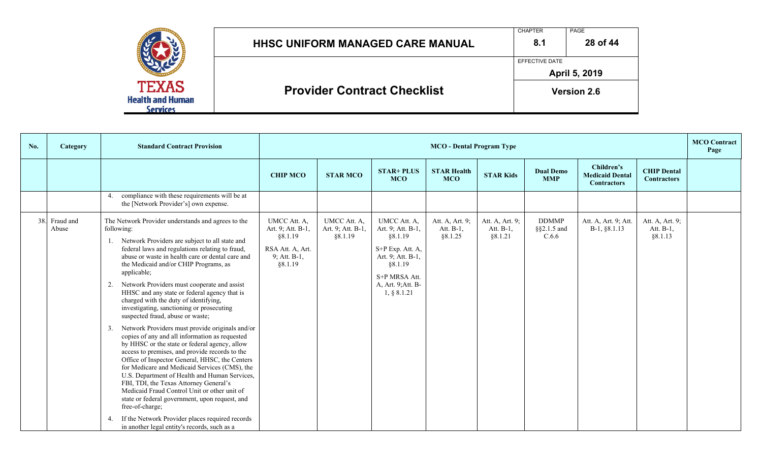|                                                            | <b>HHSC UNIFORM MANAGED CARE MANUAL</b> | <b>CHAPTER</b><br>8.1 | PAGE<br>28 of 44   |
|------------------------------------------------------------|-----------------------------------------|-----------------------|--------------------|
|                                                            |                                         | EFFECTIVE DATE        | April 5, 2019      |
| <b>TEXAS</b><br><b>Health and Human</b><br><b>Services</b> | <b>Provider Contract Checklist</b>      |                       | <b>Version 2.6</b> |

| No. | <b>Category</b>        | <b>Standard Contract Provision</b>                                                                                                                                                                                                                                                                                                                                                                                                                                                                                                                                                                                                                                                                                                                                                                                                                                                                                                                                                                                                                                                                                                                         |                                                                                             | <b>MCO</b> - Dental Program Type             |                                                                                                                                                        |                                         |                                         |                                      |                                                            |                                          | <b>MCO</b> Contract<br>Page |
|-----|------------------------|------------------------------------------------------------------------------------------------------------------------------------------------------------------------------------------------------------------------------------------------------------------------------------------------------------------------------------------------------------------------------------------------------------------------------------------------------------------------------------------------------------------------------------------------------------------------------------------------------------------------------------------------------------------------------------------------------------------------------------------------------------------------------------------------------------------------------------------------------------------------------------------------------------------------------------------------------------------------------------------------------------------------------------------------------------------------------------------------------------------------------------------------------------|---------------------------------------------------------------------------------------------|----------------------------------------------|--------------------------------------------------------------------------------------------------------------------------------------------------------|-----------------------------------------|-----------------------------------------|--------------------------------------|------------------------------------------------------------|------------------------------------------|-----------------------------|
|     |                        |                                                                                                                                                                                                                                                                                                                                                                                                                                                                                                                                                                                                                                                                                                                                                                                                                                                                                                                                                                                                                                                                                                                                                            | <b>CHIP MCO</b>                                                                             | <b>STAR MCO</b>                              | <b>STAR+ PLUS</b><br><b>MCO</b>                                                                                                                        | <b>STAR Health</b><br><b>MCO</b>        | <b>STAR Kids</b>                        | <b>Dual Demo</b><br><b>MMP</b>       | Children's<br><b>Medicaid Dental</b><br><b>Contractors</b> | <b>CHIP Dental</b><br><b>Contractors</b> |                             |
|     |                        | compliance with these requirements will be at<br>4.<br>the [Network Provider's] own expense.                                                                                                                                                                                                                                                                                                                                                                                                                                                                                                                                                                                                                                                                                                                                                                                                                                                                                                                                                                                                                                                               |                                                                                             |                                              |                                                                                                                                                        |                                         |                                         |                                      |                                                            |                                          |                             |
|     | 38. Fraud and<br>Abuse | The Network Provider understands and agrees to the<br>following:<br>Network Providers are subject to all state and<br>1.<br>federal laws and regulations relating to fraud,<br>abuse or waste in health care or dental care and<br>the Medicaid and/or CHIP Programs, as<br>applicable;<br>Network Providers must cooperate and assist<br>2.<br>HHSC and any state or federal agency that is<br>charged with the duty of identifying,<br>investigating, sanctioning or prosecuting<br>suspected fraud, abuse or waste;<br>Network Providers must provide originals and/or<br>3.<br>copies of any and all information as requested<br>by HHSC or the state or federal agency, allow<br>access to premises, and provide records to the<br>Office of Inspector General, HHSC, the Centers<br>for Medicare and Medicaid Services (CMS), the<br>U.S. Department of Health and Human Services,<br>FBI, TDI, the Texas Attorney General's<br>Medicaid Fraud Control Unit or other unit of<br>state or federal government, upon request, and<br>free-of-charge;<br>If the Network Provider places required records<br>in another legal entity's records, such as a | UMCC Att. A,<br>Art. 9; Att. B-1,<br>§8.1.19<br>RSA Att. A, Art.<br>9; Att. B-1,<br>§8.1.19 | UMCC Att. A,<br>Art. 9; Att. B-1,<br>§8.1.19 | UMCC Att. A,<br>Art. 9; Att. B-1,<br>§8.1.19<br>S+P Exp. Att. A,<br>Art. 9; Att. B-1,<br>§8.1.19<br>S+P MRSA Att.<br>A, Art. 9; Att. B-<br>1, § 8.1.21 | Att. A, Art. 9;<br>Att. B-1,<br>§8.1.25 | Att. A, Art. 9;<br>Att. B-1,<br>§8.1.21 | <b>DDMMP</b><br>§§2.1.5 and<br>C.6.6 | Att. A, Art. 9; Att.<br>B-1, §8.1.13                       | Att. A, Art. 9;<br>Att. B-1,<br>§8.1.13  |                             |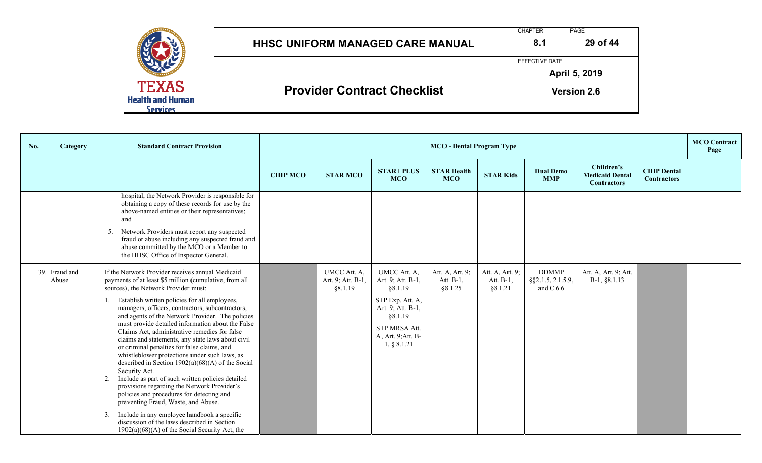|                                                            | <b>HHSC UNIFORM MANAGED CARE MANUAL</b> | <b>CHAPTER</b><br>8.1 | PAGE<br>29 of 44   |
|------------------------------------------------------------|-----------------------------------------|-----------------------|--------------------|
|                                                            |                                         | EFFECTIVE DATE        | April 5, 2019      |
| <b>TEXAS</b><br><b>Health and Human</b><br><b>Services</b> | <b>Provider Contract Checklist</b>      |                       | <b>Version 2.6</b> |

| No. | Category               | <b>Standard Contract Provision</b>                                                                                                                                                                                                                                                                                                                                                                                                                                                                                                                                                                                                                                                                                                                                                                                                                                                                                                                                                             |                 | <b>MCO</b> - Dental Program Type             |                                                                                                                                                        |                                         |                                         |                                                    |                                                            |                                          | <b>MCO</b> Contract<br>Page |
|-----|------------------------|------------------------------------------------------------------------------------------------------------------------------------------------------------------------------------------------------------------------------------------------------------------------------------------------------------------------------------------------------------------------------------------------------------------------------------------------------------------------------------------------------------------------------------------------------------------------------------------------------------------------------------------------------------------------------------------------------------------------------------------------------------------------------------------------------------------------------------------------------------------------------------------------------------------------------------------------------------------------------------------------|-----------------|----------------------------------------------|--------------------------------------------------------------------------------------------------------------------------------------------------------|-----------------------------------------|-----------------------------------------|----------------------------------------------------|------------------------------------------------------------|------------------------------------------|-----------------------------|
|     |                        |                                                                                                                                                                                                                                                                                                                                                                                                                                                                                                                                                                                                                                                                                                                                                                                                                                                                                                                                                                                                | <b>CHIP MCO</b> | <b>STAR MCO</b>                              | <b>STAR+ PLUS</b><br><b>MCO</b>                                                                                                                        | <b>STAR Health</b><br><b>MCO</b>        | <b>STAR Kids</b>                        | <b>Dual Demo</b><br><b>MMP</b>                     | Children's<br><b>Medicaid Dental</b><br><b>Contractors</b> | <b>CHIP Dental</b><br><b>Contractors</b> |                             |
|     |                        | hospital, the Network Provider is responsible for<br>obtaining a copy of these records for use by the<br>above-named entities or their representatives;<br>and<br>Network Providers must report any suspected<br>5.<br>fraud or abuse including any suspected fraud and<br>abuse committed by the MCO or a Member to<br>the HHSC Office of Inspector General.                                                                                                                                                                                                                                                                                                                                                                                                                                                                                                                                                                                                                                  |                 |                                              |                                                                                                                                                        |                                         |                                         |                                                    |                                                            |                                          |                             |
|     | 39. Fraud and<br>Abuse | If the Network Provider receives annual Medicaid<br>payments of at least \$5 million (cumulative, from all<br>sources), the Network Provider must:<br>Establish written policies for all employees,<br>managers, officers, contractors, subcontractors,<br>and agents of the Network Provider. The policies<br>must provide detailed information about the False<br>Claims Act, administrative remedies for false<br>claims and statements, any state laws about civil<br>or criminal penalties for false claims, and<br>whistleblower protections under such laws, as<br>described in Section $1902(a)(68)(A)$ of the Social<br>Security Act.<br>Include as part of such written policies detailed<br>provisions regarding the Network Provider's<br>policies and procedures for detecting and<br>preventing Fraud, Waste, and Abuse.<br>Include in any employee handbook a specific<br>3.<br>discussion of the laws described in Section<br>$1902(a)(68)(A)$ of the Social Security Act, the |                 | UMCC Att. A,<br>Art. 9; Att. B-1,<br>§8.1.19 | UMCC Att. A,<br>Art. 9; Att. B-1,<br>§8.1.19<br>S+P Exp. Att. A,<br>Art. 9; Att. B-1,<br>§8.1.19<br>S+P MRSA Att.<br>A, Art. 9; Att. B-<br>1, § 8.1.21 | Att. A, Art. 9;<br>Att. B-1,<br>§8.1.25 | Att. A, Art. 9;<br>Att. B-1,<br>§8.1.21 | <b>DDMMP</b><br>$\S$ §2.1.5, 2.1.5.9,<br>and C.6.6 | Att. A, Art. 9; Att.<br>B-1, §8.1.13                       |                                          |                             |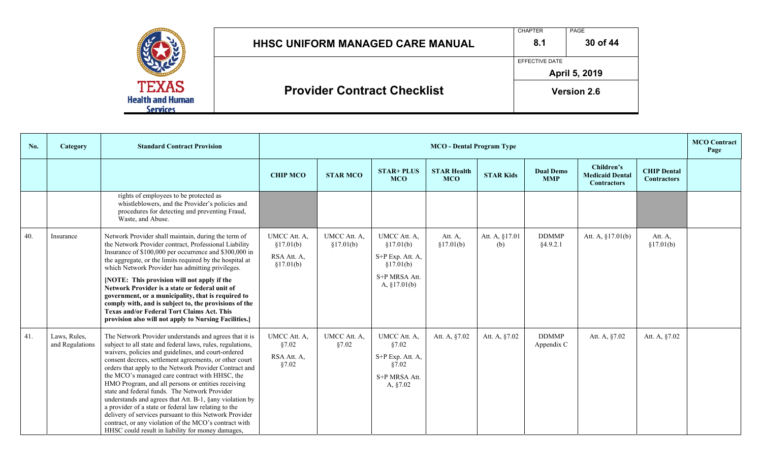|                                                     | <b>HHSC UNIFORM MANAGED CARE MANUAL</b> | <b>CHAPTER</b><br>8.1 | PAGE<br>30 of 44   |
|-----------------------------------------------------|-----------------------------------------|-----------------------|--------------------|
|                                                     |                                         | EFFECTIVE DATE        | April 5, 2019      |
| TEXAS<br><b>Health and Human</b><br><b>Services</b> | <b>Provider Contract Checklist</b>      |                       | <b>Version 2.6</b> |

| No. | Category                        | <b>Standard Contract Provision</b>                                                                                                                                                                                                                                                                                                                                                                                                                                                                                                                                                                                                                                                                                                                  |                                                       | <b>MCO</b> Contract<br><b>MCO</b> - Dental Program Type |                                                                                               |                                  |                       |                                |                                                            |                                          |  |
|-----|---------------------------------|-----------------------------------------------------------------------------------------------------------------------------------------------------------------------------------------------------------------------------------------------------------------------------------------------------------------------------------------------------------------------------------------------------------------------------------------------------------------------------------------------------------------------------------------------------------------------------------------------------------------------------------------------------------------------------------------------------------------------------------------------------|-------------------------------------------------------|---------------------------------------------------------|-----------------------------------------------------------------------------------------------|----------------------------------|-----------------------|--------------------------------|------------------------------------------------------------|------------------------------------------|--|
|     |                                 |                                                                                                                                                                                                                                                                                                                                                                                                                                                                                                                                                                                                                                                                                                                                                     | <b>CHIP MCO</b>                                       | <b>STAR MCO</b>                                         | <b>STAR+ PLUS</b><br><b>MCO</b>                                                               | <b>STAR Health</b><br><b>MCO</b> | <b>STAR Kids</b>      | <b>Dual Demo</b><br><b>MMP</b> | Children's<br><b>Medicaid Dental</b><br><b>Contractors</b> | <b>CHIP Dental</b><br><b>Contractors</b> |  |
|     |                                 | rights of employees to be protected as<br>whistleblowers, and the Provider's policies and<br>procedures for detecting and preventing Fraud,<br>Waste, and Abuse.                                                                                                                                                                                                                                                                                                                                                                                                                                                                                                                                                                                    |                                                       |                                                         |                                                                                               |                                  |                       |                                |                                                            |                                          |  |
| 40. | Insurance                       | Network Provider shall maintain, during the term of<br>the Network Provider contract, Professional Liability<br>Insurance of \$100,000 per occurrence and \$300,000 in<br>the aggregate, or the limits required by the hospital at<br>which Network Provider has admitting privileges.<br>[NOTE: This provision will not apply if the<br>Network Provider is a state or federal unit of<br>government, or a municipality, that is required to<br>comply with, and is subject to, the provisions of the<br><b>Texas and/or Federal Tort Claims Act. This</b><br>provision also will not apply to Nursing Facilities.]                                                                                                                                | UMCC Att. A,<br>§17.01(b)<br>RSA Att. A,<br>§17.01(b) | UMCC Att. A,<br>§17.01(b)                               | UMCC Att. A,<br>§17.01(b)<br>S+P Exp. Att. A,<br>§17.01(b)<br>S+P MRSA Att.<br>A, $§17.01(b)$ | Att. A,<br>§17.01(b)             | Att. A, §17.01<br>(b) | <b>DDMMP</b><br>§4.9.2.1       | Att. A, $§17.01(b)$                                        | Att. A,<br>§17.01(b)                     |  |
| 41. | Laws, Rules,<br>and Regulations | The Network Provider understands and agrees that it is<br>subject to all state and federal laws, rules, regulations,<br>waivers, policies and guidelines, and court-ordered<br>consent decrees, settlement agreements, or other court<br>orders that apply to the Network Provider Contract and<br>the MCO's managed care contract with HHSC, the<br>HMO Program, and all persons or entities receiving<br>state and federal funds. The Network Provider<br>understands and agrees that Att. B-1, §any violation by<br>a provider of a state or federal law relating to the<br>delivery of services pursuant to this Network Provider<br>contract, or any violation of the MCO's contract with<br>HHSC could result in liability for money damages, | UMCC Att. A,<br>§7.02<br>RSA Att. A,<br>§7.02         | UMCC Att. A,<br>§7.02                                   | UMCC Att. A,<br>§7.02<br>$S+P$ Exp. Att. A,<br>§7.02<br>S+P MRSA Att.<br>A, §7.02             | Att. A, §7.02                    | Att. A, §7.02         | <b>DDMMP</b><br>Appendix C     | Att. A, §7.02                                              | Att. A, §7.02                            |  |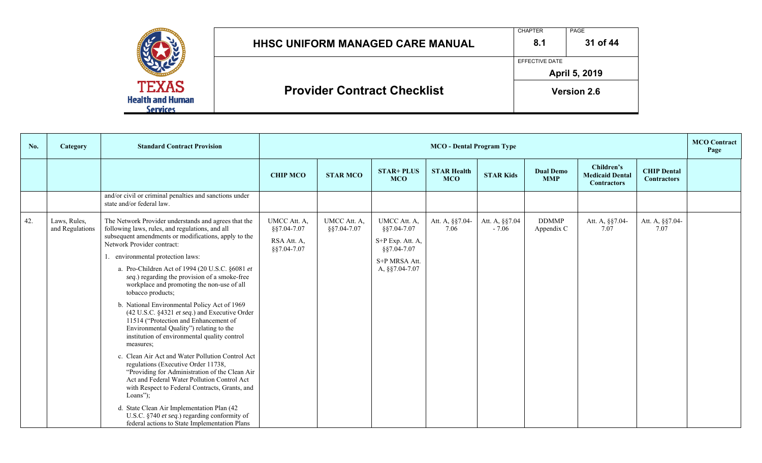|                                                            | <b>HHSC UNIFORM MANAGED CARE MANUAL</b> | <b>CHAPTER</b><br>8.1 | PAGE<br>31 of 44   |
|------------------------------------------------------------|-----------------------------------------|-----------------------|--------------------|
|                                                            |                                         | EFFECTIVE DATE        | April 5, 2019      |
| <b>TEXAS</b><br><b>Health and Human</b><br><b>Services</b> | <b>Provider Contract Checklist</b>      |                       | <b>Version 2.6</b> |

| No. | Category                        | <b>Standard Contract Provision</b>                                                                                                                                                                                                                                                                                                                                                                                                                                                                                                                                                                                                                                                                                                                                                                                                                                                                                                                                                                                                                                   |                                                           | <b>MCO</b> Contract<br><b>MCO</b> - Dental Program Type |                                                                                                   |                                  |                           |                                |                                                            |                                          |  |
|-----|---------------------------------|----------------------------------------------------------------------------------------------------------------------------------------------------------------------------------------------------------------------------------------------------------------------------------------------------------------------------------------------------------------------------------------------------------------------------------------------------------------------------------------------------------------------------------------------------------------------------------------------------------------------------------------------------------------------------------------------------------------------------------------------------------------------------------------------------------------------------------------------------------------------------------------------------------------------------------------------------------------------------------------------------------------------------------------------------------------------|-----------------------------------------------------------|---------------------------------------------------------|---------------------------------------------------------------------------------------------------|----------------------------------|---------------------------|--------------------------------|------------------------------------------------------------|------------------------------------------|--|
|     |                                 |                                                                                                                                                                                                                                                                                                                                                                                                                                                                                                                                                                                                                                                                                                                                                                                                                                                                                                                                                                                                                                                                      | <b>CHIP MCO</b>                                           | <b>STAR MCO</b>                                         | <b>STAR+ PLUS</b><br><b>MCO</b>                                                                   | <b>STAR Health</b><br><b>MCO</b> | <b>STAR Kids</b>          | <b>Dual Demo</b><br><b>MMP</b> | Children's<br><b>Medicaid Dental</b><br><b>Contractors</b> | <b>CHIP Dental</b><br><b>Contractors</b> |  |
|     |                                 | and/or civil or criminal penalties and sanctions under<br>state and/or federal law.                                                                                                                                                                                                                                                                                                                                                                                                                                                                                                                                                                                                                                                                                                                                                                                                                                                                                                                                                                                  |                                                           |                                                         |                                                                                                   |                                  |                           |                                |                                                            |                                          |  |
| 42. | Laws, Rules,<br>and Regulations | The Network Provider understands and agrees that the<br>following laws, rules, and regulations, and all<br>subsequent amendments or modifications, apply to the<br>Network Provider contract:<br>1. environmental protection laws:<br>a. Pro-Children Act of 1994 (20 U.S.C. §6081 et<br>seq.) regarding the provision of a smoke-free<br>workplace and promoting the non-use of all<br>tobacco products;<br>b. National Environmental Policy Act of 1969<br>(42 U.S.C. §4321 et seq.) and Executive Order<br>11514 ("Protection and Enhancement of<br>Environmental Quality") relating to the<br>institution of environmental quality control<br>measures;<br>c. Clean Air Act and Water Pollution Control Act<br>regulations (Executive Order 11738,<br>"Providing for Administration of the Clean Air<br>Act and Federal Water Pollution Control Act<br>with Respect to Federal Contracts, Grants, and<br>Loans");<br>d. State Clean Air Implementation Plan (42<br>U.S.C. §740 et seq.) regarding conformity of<br>federal actions to State Implementation Plans | UMCC Att. A,<br>§§7.04-7.07<br>RSA Att. A,<br>§§7.04-7.07 | UMCC Att. A,<br>\$§7.04-7.07                            | UMCC Att. A,<br>§§7.04-7.07<br>S+P Exp. Att. A,<br>§§7.04-7.07<br>S+P MRSA Att.<br>A, §§7.04-7.07 | Att. A, §§7.04-<br>7.06          | Att. A, §§7.04<br>$-7.06$ | <b>DDMMP</b><br>Appendix C     | Att. A, §§7.04-<br>7.07                                    | Att. A, §§7.04-<br>7.07                  |  |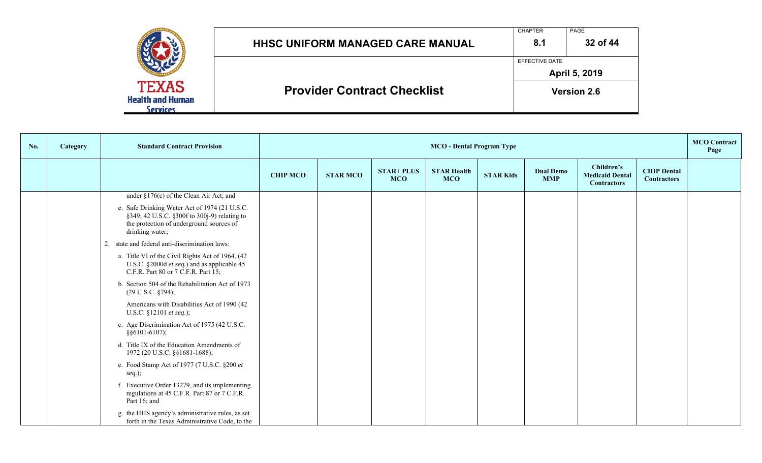|                                                     | <b>HHSC UNIFORM MANAGED CARE MANUAL</b> | <b>CHAPTER</b><br>PAGE<br>32 of 44<br>8.1 |                    |  |  |  |  |
|-----------------------------------------------------|-----------------------------------------|-------------------------------------------|--------------------|--|--|--|--|
|                                                     |                                         | EFFECTIVE DATE                            | April 5, 2019      |  |  |  |  |
| <b>TEXAS</b><br><b>Health and Human</b><br>Services | <b>Provider Contract Checklist</b>      |                                           | <b>Version 2.6</b> |  |  |  |  |

| No. | <b>Category</b> | <b>Standard Contract Provision</b>                                                                                                                           |                 | <b>MCO</b> - Dental Program Type |                                 |                                  |                  |                                |                                                            |                                          | <b>MCO</b> Contract<br>Page |
|-----|-----------------|--------------------------------------------------------------------------------------------------------------------------------------------------------------|-----------------|----------------------------------|---------------------------------|----------------------------------|------------------|--------------------------------|------------------------------------------------------------|------------------------------------------|-----------------------------|
|     |                 |                                                                                                                                                              | <b>CHIP MCO</b> | <b>STAR MCO</b>                  | <b>STAR+ PLUS</b><br><b>MCO</b> | <b>STAR Health</b><br><b>MCO</b> | <b>STAR Kids</b> | <b>Dual Demo</b><br><b>MMP</b> | Children's<br><b>Medicaid Dental</b><br><b>Contractors</b> | <b>CHIP Dental</b><br><b>Contractors</b> |                             |
|     |                 | under §176(c) of the Clean Air Act; and                                                                                                                      |                 |                                  |                                 |                                  |                  |                                |                                                            |                                          |                             |
|     |                 | e. Safe Drinking Water Act of 1974 (21 U.S.C.<br>§349; 42 U.S.C. §300f to 300j-9) relating to<br>the protection of underground sources of<br>drinking water; |                 |                                  |                                 |                                  |                  |                                |                                                            |                                          |                             |
|     |                 | 2. state and federal anti-discrimination laws:                                                                                                               |                 |                                  |                                 |                                  |                  |                                |                                                            |                                          |                             |
|     |                 | a. Title VI of the Civil Rights Act of 1964, (42<br>U.S.C. §2000d et seq.) and as applicable 45<br>C.F.R. Part 80 or 7 C.F.R. Part 15;                       |                 |                                  |                                 |                                  |                  |                                |                                                            |                                          |                             |
|     |                 | b. Section 504 of the Rehabilitation Act of 1973<br>$(29 \text{ U.S.C. }$ \$794);                                                                            |                 |                                  |                                 |                                  |                  |                                |                                                            |                                          |                             |
|     |                 | Americans with Disabilities Act of 1990 (42<br>U.S.C. §12101 et seq.);                                                                                       |                 |                                  |                                 |                                  |                  |                                |                                                            |                                          |                             |
|     |                 | c. Age Discrimination Act of 1975 (42 U.S.C.<br>$§$ §6101-6107);                                                                                             |                 |                                  |                                 |                                  |                  |                                |                                                            |                                          |                             |
|     |                 | d. Title IX of the Education Amendments of<br>1972 (20 U.S.C. §§1681-1688);                                                                                  |                 |                                  |                                 |                                  |                  |                                |                                                            |                                          |                             |
|     |                 | e. Food Stamp Act of 1977 (7 U.S.C. §200 et<br>$seq.$ );                                                                                                     |                 |                                  |                                 |                                  |                  |                                |                                                            |                                          |                             |
|     |                 | f. Executive Order 13279, and its implementing<br>regulations at 45 C.F.R. Part 87 or 7 C.F.R.<br>Part 16; and                                               |                 |                                  |                                 |                                  |                  |                                |                                                            |                                          |                             |
|     |                 | g. the HHS agency's administrative rules, as set<br>forth in the Texas Administrative Code, to the                                                           |                 |                                  |                                 |                                  |                  |                                |                                                            |                                          |                             |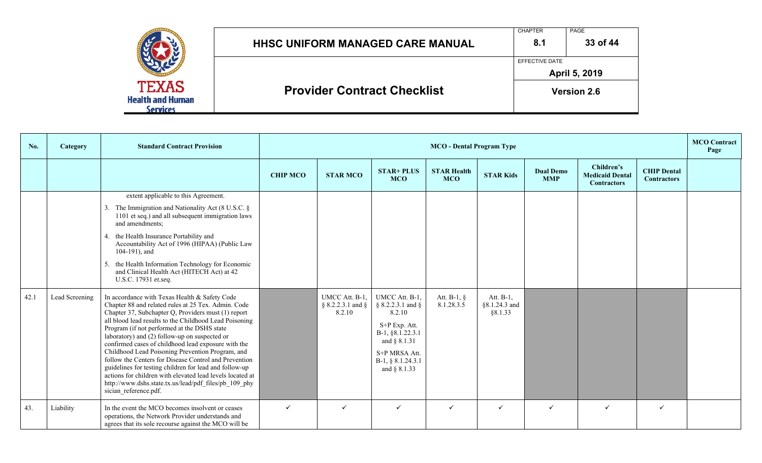|                                         | <b>HHSC UNIFORM MANAGED CARE MANUAL</b> | <b>CHAPTER</b><br>8.1 | PAGE<br>33 of 44   |  |  |
|-----------------------------------------|-----------------------------------------|-----------------------|--------------------|--|--|
|                                         |                                         | <b>EFFECTIVE DATE</b> |                    |  |  |
|                                         |                                         | April 5, 2019         |                    |  |  |
| <b>TEXAS</b><br><b>Health and Human</b> | <b>Provider Contract Checklist</b>      |                       | <b>Version 2.6</b> |  |  |
| <b>Services</b>                         |                                         |                       |                    |  |  |

| No.  | Category       | <b>Standard Contract Provision</b>                                                                                                                                                                                                                                                                                                                                                                                                                                                                                                                                                                                                                                                                 |                 | <b>MCO</b> - Dental Program Type                  |                                                                                                                                                          |                                  |                                          |                                |                                                            |                                          | <b>MCO</b> Contract<br>Page |
|------|----------------|----------------------------------------------------------------------------------------------------------------------------------------------------------------------------------------------------------------------------------------------------------------------------------------------------------------------------------------------------------------------------------------------------------------------------------------------------------------------------------------------------------------------------------------------------------------------------------------------------------------------------------------------------------------------------------------------------|-----------------|---------------------------------------------------|----------------------------------------------------------------------------------------------------------------------------------------------------------|----------------------------------|------------------------------------------|--------------------------------|------------------------------------------------------------|------------------------------------------|-----------------------------|
|      |                |                                                                                                                                                                                                                                                                                                                                                                                                                                                                                                                                                                                                                                                                                                    | <b>CHIP MCO</b> | <b>STAR MCO</b>                                   | <b>STAR+ PLUS</b><br><b>MCO</b>                                                                                                                          | <b>STAR Health</b><br><b>MCO</b> | <b>STAR Kids</b>                         | <b>Dual Demo</b><br><b>MMP</b> | Children's<br><b>Medicaid Dental</b><br><b>Contractors</b> | <b>CHIP Dental</b><br><b>Contractors</b> |                             |
|      |                | extent applicable to this Agreement.<br>3. The Immigration and Nationality Act (8 U.S.C. §<br>1101 et seq.) and all subsequent immigration laws<br>and amendments;<br>4. the Health Insurance Portability and<br>Accountability Act of 1996 (HIPAA) (Public Law<br>104-191), and<br>5. the Health Information Technology for Economic<br>and Clinical Health Act (HITECH Act) at 42<br>U.S.C. 17931 et.seq.                                                                                                                                                                                                                                                                                        |                 |                                                   |                                                                                                                                                          |                                  |                                          |                                |                                                            |                                          |                             |
| 42.1 | Lead Screening | In accordance with Texas Health & Safety Code<br>Chapter 88 and related rules at 25 Tex. Admin. Code<br>Chapter 37, Subchapter Q, Providers must (1) report<br>all blood lead results to the Childhood Lead Poisoning<br>Program (if not performed at the DSHS state<br>laboratory) and (2) follow-up on suspected or<br>confirmed cases of childhood lead exposure with the<br>Childhood Lead Poisoning Prevention Program, and<br>follow the Centers for Disease Control and Prevention<br>guidelines for testing children for lead and follow-up<br>actions for children with elevated lead levels located at<br>http://www.dshs.state.tx.us/lead/pdf_files/pb_109_phy<br>sician reference.pdf. |                 | UMCC Att. B-1,<br>$§ 8.2.2.3.1$ and $§$<br>8.2.10 | UMCC Att. B-1,<br>§ 8.2.2.3.1 and §<br>8.2.10<br>S+P Exp. Att.<br>B-1, §8.1.22.3.1<br>and § 8.1.31<br>S+P MRSA Att.<br>B-1, § 8.1.24.3.1<br>and § 8.1.33 | Att. $B-1$ , §<br>8.1.28.3.5     | Att. $B-1$ ,<br>§8.1.24.3 and<br>§8.1.33 |                                |                                                            |                                          |                             |
| 43.  | Liability      | In the event the MCO becomes insolvent or ceases<br>operations, the Network Provider understands and<br>agrees that its sole recourse against the MCO will be                                                                                                                                                                                                                                                                                                                                                                                                                                                                                                                                      | $\checkmark$    | $\checkmark$                                      | $\checkmark$                                                                                                                                             | $\checkmark$                     | $\checkmark$                             |                                | $\checkmark$                                               | $\checkmark$                             |                             |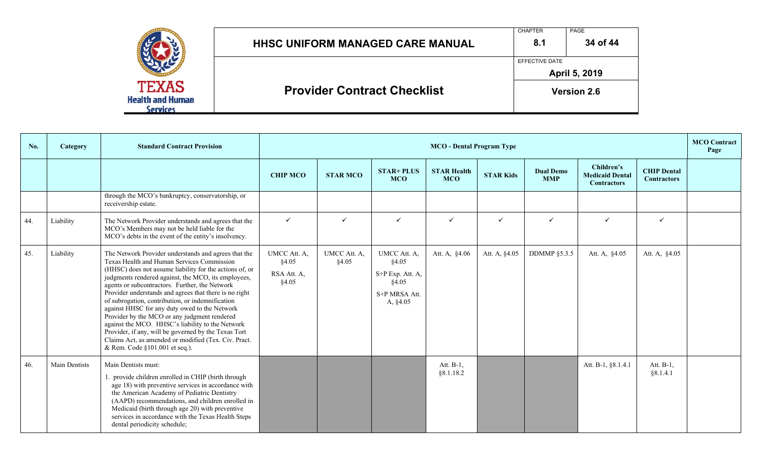|                                                            | <b>HHSC UNIFORM MANAGED CARE MANUAL</b> | <b>CHAPTER</b><br>8.1 | PAGE<br>34 of 44   |
|------------------------------------------------------------|-----------------------------------------|-----------------------|--------------------|
|                                                            |                                         | EFFECTIVE DATE        | April 5, 2019      |
| <b>TEXAS</b><br><b>Health and Human</b><br><b>Services</b> | <b>Provider Contract Checklist</b>      |                       | <b>Version 2.6</b> |

| No. | Category             | <b>Standard Contract Provision</b>                                                                                                                                                                                                                                                                                                                                                                                                                                                                                                                                                                                                                                                          |                                               | <b>MCO</b> Contract<br><b>MCO</b> - Dental Program Type |                                                                                 |                                  |                  |                                |                                                            |                                          |  |
|-----|----------------------|---------------------------------------------------------------------------------------------------------------------------------------------------------------------------------------------------------------------------------------------------------------------------------------------------------------------------------------------------------------------------------------------------------------------------------------------------------------------------------------------------------------------------------------------------------------------------------------------------------------------------------------------------------------------------------------------|-----------------------------------------------|---------------------------------------------------------|---------------------------------------------------------------------------------|----------------------------------|------------------|--------------------------------|------------------------------------------------------------|------------------------------------------|--|
|     |                      |                                                                                                                                                                                                                                                                                                                                                                                                                                                                                                                                                                                                                                                                                             | <b>CHIP MCO</b>                               | <b>STAR MCO</b>                                         | <b>STAR+ PLUS</b><br><b>MCO</b>                                                 | <b>STAR Health</b><br><b>MCO</b> | <b>STAR Kids</b> | <b>Dual Demo</b><br><b>MMP</b> | Children's<br><b>Medicaid Dental</b><br><b>Contractors</b> | <b>CHIP Dental</b><br><b>Contractors</b> |  |
|     |                      | through the MCO's bankruptcy, conservatorship, or<br>receivership estate.                                                                                                                                                                                                                                                                                                                                                                                                                                                                                                                                                                                                                   |                                               |                                                         |                                                                                 |                                  |                  |                                |                                                            |                                          |  |
| 44. | Liability            | The Network Provider understands and agrees that the<br>MCO's Members may not be held liable for the<br>MCO's debts in the event of the entity's insolvency.                                                                                                                                                                                                                                                                                                                                                                                                                                                                                                                                | $\checkmark$                                  | $\checkmark$                                            | $\checkmark$                                                                    | $\checkmark$                     | $\checkmark$     | $\checkmark$                   | $\checkmark$                                               | $\checkmark$                             |  |
| 45. | Liability            | The Network Provider understands and agrees that the<br>Texas Health and Human Services Commission<br>(HHSC) does not assume liability for the actions of, or<br>judgments rendered against, the MCO, its employees,<br>agents or subcontractors. Further, the Network<br>Provider understands and agrees that there is no right<br>of subrogation, contribution, or indemnification<br>against HHSC for any duty owed to the Network<br>Provider by the MCO or any judgment rendered<br>against the MCO. HHSC's liability to the Network<br>Provider, if any, will be governed by the Texas Tort<br>Claims Act, as amended or modified (Tex. Civ. Pract.<br>& Rem. Code §101.001 et seq.). | UMCC Att. A,<br>§4.05<br>RSA Att. A,<br>§4.05 | UMCC Att. A,<br>§4.05                                   | UMCC Att. A,<br>§4.05<br>S+P Exp. Att. A,<br>§4.05<br>S+P MRSA Att.<br>A, §4.05 | Att. A, §4.06                    | Att. A, §4.05    | <b>DDMMP §5.3.5</b>            | Att. A, §4.05                                              | Att. A, §4.05                            |  |
| 46. | <b>Main Dentists</b> | Main Dentists must:<br>1. provide children enrolled in CHIP (birth through<br>age 18) with preventive services in accordance with<br>the American Academy of Pediatric Dentistry<br>(AAPD) recommendations, and children enrolled in<br>Medicaid (birth through age 20) with preventive<br>services in accordance with the Texas Health Steps<br>dental periodicity schedule;                                                                                                                                                                                                                                                                                                               |                                               |                                                         |                                                                                 | Att. B-1.<br>§8.1.18.2           |                  |                                | Att. B-1, §8.1.4.1                                         | Att. B-1,<br>§8.1.4.1                    |  |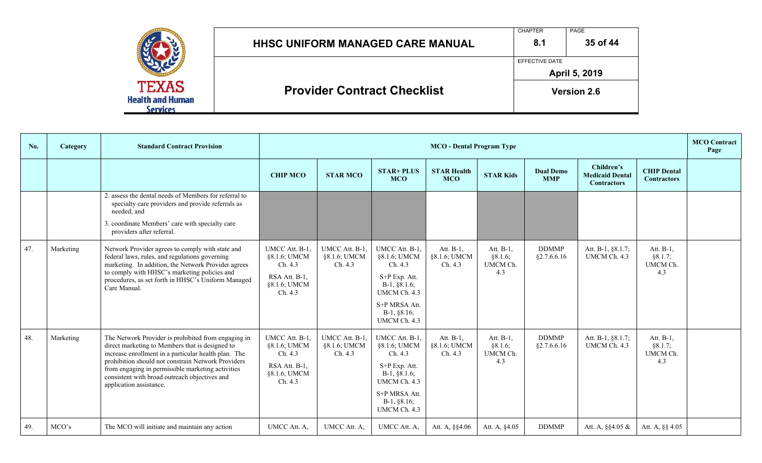|                                            |                                         | <b>CHAPTER</b>        | PAGE               |  |  |
|--------------------------------------------|-----------------------------------------|-----------------------|--------------------|--|--|
|                                            | <b>HHSC UNIFORM MANAGED CARE MANUAL</b> | 8.1                   | 35 of 44           |  |  |
|                                            |                                         | <b>EFFECTIVE DATE</b> |                    |  |  |
| <b>TEXAS</b>                               |                                         | April 5, 2019         |                    |  |  |
| <b>Health and Human</b><br><b>Services</b> | <b>Provider Contract Checklist</b>      |                       | <b>Version 2.6</b> |  |  |

| No. | Category  | <b>Standard Contract Provision</b>                                                                                                                                                                                                                                                                                                                    |                                                                                       | <b>MCO</b> Contract<br><b>MCO</b> - Dental Program Type |                                                                                                                                                |                                      |                                            |                                |                                                            |                                            |  |
|-----|-----------|-------------------------------------------------------------------------------------------------------------------------------------------------------------------------------------------------------------------------------------------------------------------------------------------------------------------------------------------------------|---------------------------------------------------------------------------------------|---------------------------------------------------------|------------------------------------------------------------------------------------------------------------------------------------------------|--------------------------------------|--------------------------------------------|--------------------------------|------------------------------------------------------------|--------------------------------------------|--|
|     |           |                                                                                                                                                                                                                                                                                                                                                       | <b>CHIP MCO</b>                                                                       | <b>STAR MCO</b>                                         | $STAR+PLUS$<br><b>MCO</b>                                                                                                                      | <b>STAR Health</b><br><b>MCO</b>     | <b>STAR Kids</b>                           | <b>Dual Demo</b><br><b>MMP</b> | Children's<br><b>Medicaid Dental</b><br><b>Contractors</b> | <b>CHIP Dental</b><br><b>Contractors</b>   |  |
|     |           | 2. assess the dental needs of Members for referral to<br>specialty care providers and provide referrals as<br>needed: and<br>3. coordinate Members' care with specialty care<br>providers after referral.                                                                                                                                             |                                                                                       |                                                         |                                                                                                                                                |                                      |                                            |                                |                                                            |                                            |  |
| 47. | Marketing | Network Provider agrees to comply with state and<br>federal laws, rules, and regulations governing<br>marketing. In addition, the Network Provider agrees<br>to comply with HHSC's marketing policies and<br>procedures, as set forth in HHSC's Uniform Managed<br>Care Manual.                                                                       | UMCC Att. B-1.<br>§8.1.6; UMCM<br>Ch. 4.3<br>RSA Att. B-1,<br>§8.1.6; UMCM<br>Ch. 4.3 | UMCC Att. B-1.<br>§8.1.6; UMCM<br>Ch. 4.3               | UMCC Att. B-1,<br>§8.1.6; UMCM<br>Ch. 4.3<br>S+P Exp. Att.<br>$B-1, §8.1.6;$<br>UMCM Ch. 4.3<br>S+P MRSA Att.<br>$B-1, §8.16;$<br>UMCM Ch. 4.3 | Att. B-1,<br>§8.1.6; UMCM<br>Ch. 4.3 | Att. $B-1$ ,<br>§8.1.6;<br>UMCM Ch.<br>4.3 | <b>DDMMP</b><br>§2.7.6.6.16    | Att. B-1, §8.1.7;<br>UMCM Ch. 4.3                          | Att. $B-1$ ,<br>§8.1.7;<br>UMCM Ch.<br>4.3 |  |
| 48. | Marketing | The Network Provider is prohibited from engaging in<br>direct marketing to Members that is designed to<br>increase enrollment in a particular health plan. The<br>prohibition should not constrain Network Providers<br>from engaging in permissible marketing activities<br>consistent with broad outreach objectives and<br>application assistance. | UMCC Att. B-1.<br>§8.1.6; UMCM<br>Ch. 4.3<br>RSA Att. B-1,<br>§8.1.6; UMCM<br>Ch. 4.3 | UMCC Att. B-1.<br>§8.1.6; UMCM<br>Ch. 4.3               | UMCC Att. B-1.<br>§8.1.6; UMCM<br>Ch. 4.3<br>S+P Exp. Att.<br>$B-1, §8.1.6;$<br>UMCM Ch. 4.3<br>S+P MRSA Att.<br>$B-1, §8.16;$<br>UMCM Ch. 4.3 | Att. B-1.<br>§8.1.6; UMCM<br>Ch. 4.3 | Att. $B-1$ ,<br>§8.1.6;<br>UMCM Ch.<br>4.3 | <b>DDMMP</b><br>§2.7.6.6.16    | Att. B-1, §8.1.7;<br>UMCM Ch. 4.3                          | Att. $B-1$ ,<br>§8.1.7;<br>UMCM Ch.<br>4.3 |  |
| 49. | MCO's     | The MCO will initiate and maintain any action                                                                                                                                                                                                                                                                                                         | UMCC Att. A.                                                                          | UMCC Att. A,                                            | UMCC Att. A.                                                                                                                                   | Att. A, §§4.06                       | Att. A, §4.05                              | <b>DDMMP</b>                   | Att. A, $\S$ $4.05 \&$                                     | Att. A, §§ 4.05                            |  |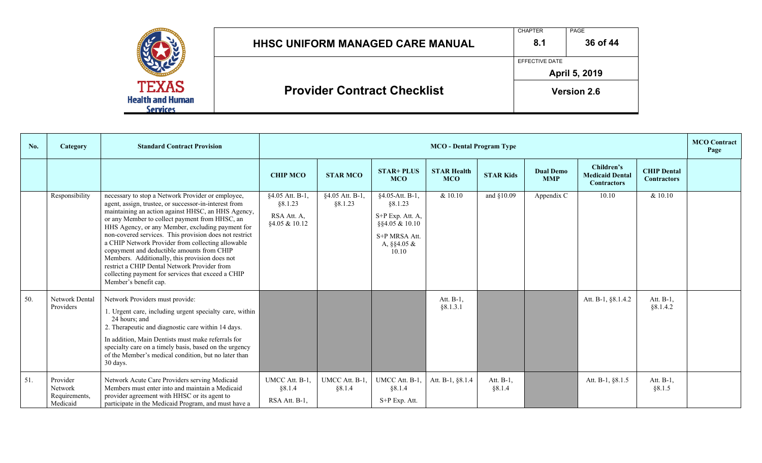|                                                     | <b>HHSC UNIFORM MANAGED CARE MANUAL</b> | <b>CHAPTER</b><br>8.1 | PAGE<br>36 of 44   |
|-----------------------------------------------------|-----------------------------------------|-----------------------|--------------------|
|                                                     |                                         | EFFECTIVE DATE        | April 5, 2019      |
| <b>TEXAS</b><br><b>Health and Human</b><br>Services | <b>Provider Contract Checklist</b>      |                       | <b>Version 2.6</b> |

| No. | Category                                         | <b>Standard Contract Provision</b>                                                                                                                                                                                                                                                                                                                                                                                                                                                                                                                                                                                   |                                                            | <b>MCO</b> - Dental Program Type |                                                                                                                 |                                  |                     |                                |                                                            |                                          | <b>MCO</b> Contract<br>Page |
|-----|--------------------------------------------------|----------------------------------------------------------------------------------------------------------------------------------------------------------------------------------------------------------------------------------------------------------------------------------------------------------------------------------------------------------------------------------------------------------------------------------------------------------------------------------------------------------------------------------------------------------------------------------------------------------------------|------------------------------------------------------------|----------------------------------|-----------------------------------------------------------------------------------------------------------------|----------------------------------|---------------------|--------------------------------|------------------------------------------------------------|------------------------------------------|-----------------------------|
|     |                                                  |                                                                                                                                                                                                                                                                                                                                                                                                                                                                                                                                                                                                                      | <b>CHIP MCO</b>                                            | <b>STAR MCO</b>                  | <b>STAR+ PLUS</b><br><b>MCO</b>                                                                                 | <b>STAR Health</b><br><b>MCO</b> | <b>STAR Kids</b>    | <b>Dual Demo</b><br><b>MMP</b> | Children's<br><b>Medicaid Dental</b><br><b>Contractors</b> | <b>CHIP Dental</b><br><b>Contractors</b> |                             |
|     | Responsibility                                   | necessary to stop a Network Provider or employee,<br>agent, assign, trustee, or successor-in-interest from<br>maintaining an action against HHSC, an HHS Agency,<br>or any Member to collect payment from HHSC, an<br>HHS Agency, or any Member, excluding payment for<br>non-covered services. This provision does not restrict<br>a CHIP Network Provider from collecting allowable<br>copayment and deductible amounts from CHIP<br>Members. Additionally, this provision does not<br>restrict a CHIP Dental Network Provider from<br>collecting payment for services that exceed a CHIP<br>Member's benefit cap. | §4.05 Att. B-1,<br>§8.1.23<br>RSA Att. A,<br>§4.05 & 10.12 | §4.05 Att. B-1,<br>§8.1.23       | §4.05-Att. B-1,<br>§8.1.23<br>S+P Exp. Att. A,<br>§§4.05 & 10.10<br>S+P MRSA Att.<br>A, $\S$ $4.05 \&$<br>10.10 | & 10.10                          | and §10.09          | Appendix C                     | 10.10                                                      | & 10.10                                  |                             |
| 50. | Network Dental<br>Providers                      | Network Providers must provide:<br>1. Urgent care, including urgent specialty care, within<br>24 hours; and<br>2. Therapeutic and diagnostic care within 14 days.<br>In addition, Main Dentists must make referrals for<br>specialty care on a timely basis, based on the urgency<br>of the Member's medical condition, but no later than<br>30 days.                                                                                                                                                                                                                                                                |                                                            |                                  |                                                                                                                 | Att. B-1,<br>§8.1.3.1            |                     |                                | Att. B-1, §8.1.4.2                                         | Att. B-1,<br>§8.1.4.2                    |                             |
| 51. | Provider<br>Network<br>Requirements,<br>Medicaid | Network Acute Care Providers serving Medicaid<br>Members must enter into and maintain a Medicaid<br>provider agreement with HHSC or its agent to<br>participate in the Medicaid Program, and must have a                                                                                                                                                                                                                                                                                                                                                                                                             | UMCC Att. B-1,<br>§8.1.4<br>RSA Att. B-1,                  | UMCC Att. B-1,<br>§8.1.4         | UMCC Att. B-1,<br>§ 8.1.4<br>S+P Exp. Att.                                                                      | Att. B-1, §8.1.4                 | Att. B-1.<br>§8.1.4 |                                | Att. B-1, §8.1.5                                           | Att. $B-1$ ,<br>§8.1.5                   |                             |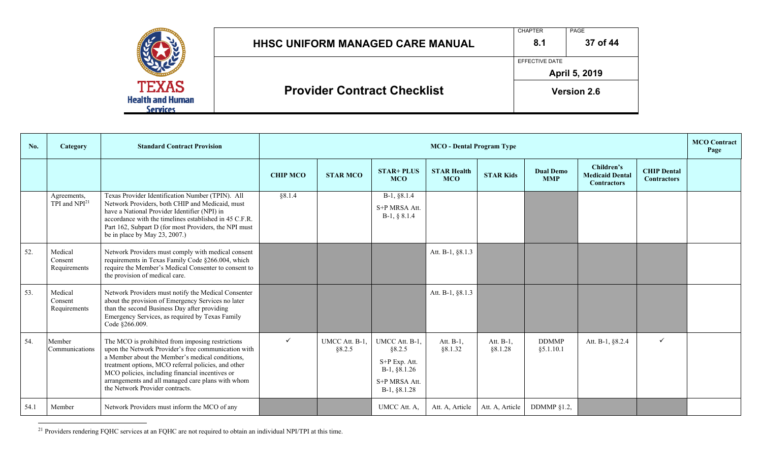|                                                     | <b>HHSC UNIFORM MANAGED CARE MANUAL</b> | <b>CHAPTER</b><br>8.1 | <b>PAGE</b><br>37 of 44 |
|-----------------------------------------------------|-----------------------------------------|-----------------------|-------------------------|
|                                                     |                                         | EFFECTIVE DATE        | April 5, 2019           |
| <b>TEXAS</b><br><b>Health and Human</b><br>Services | <b>Provider Contract Checklist</b>      |                       | <b>Version 2.6</b>      |

| No.  | Category                                 | <b>Standard Contract Provision</b>                                                                                                                                                                                                                                                                                                                           |                 | <b>MCO</b> Contract<br><b>MCO</b> - Dental Program Type |                                                                                              |                                  |                      |                                |                                                            |                                          |  |
|------|------------------------------------------|--------------------------------------------------------------------------------------------------------------------------------------------------------------------------------------------------------------------------------------------------------------------------------------------------------------------------------------------------------------|-----------------|---------------------------------------------------------|----------------------------------------------------------------------------------------------|----------------------------------|----------------------|--------------------------------|------------------------------------------------------------|------------------------------------------|--|
|      |                                          |                                                                                                                                                                                                                                                                                                                                                              | <b>CHIP MCO</b> | <b>STAR MCO</b>                                         | <b>STAR+ PLUS</b><br><b>MCO</b>                                                              | <b>STAR Health</b><br><b>MCO</b> | <b>STAR Kids</b>     | <b>Dual Demo</b><br><b>MMP</b> | Children's<br><b>Medicaid Dental</b><br><b>Contractors</b> | <b>CHIP Dental</b><br><b>Contractors</b> |  |
|      | Agreements,<br>TPI and NPI <sup>21</sup> | Texas Provider Identification Number (TPIN). All<br>Network Providers, both CHIP and Medicaid, must<br>have a National Provider Identifier (NPI) in<br>accordance with the timelines established in 45 C.F.R.<br>Part 162, Subpart D (for most Providers, the NPI must<br>be in place by May 23, 2007.)                                                      | §8.1.4          |                                                         | B-1, §8.1.4<br>S+P MRSA Att.<br>$B-1, § 8.1.4$                                               |                                  |                      |                                |                                                            |                                          |  |
| 52.  | Medical<br>Consent<br>Requirements       | Network Providers must comply with medical consent<br>requirements in Texas Family Code §266.004, which<br>require the Member's Medical Consenter to consent to<br>the provision of medical care.                                                                                                                                                            |                 |                                                         |                                                                                              | Att. B-1, §8.1.3                 |                      |                                |                                                            |                                          |  |
| 53.  | Medical<br>Consent<br>Requirements       | Network Providers must notify the Medical Consenter<br>about the provision of Emergency Services no later<br>than the second Business Day after providing<br>Emergency Services, as required by Texas Family<br>Code §266.009.                                                                                                                               |                 |                                                         |                                                                                              | Att. B-1, §8.1.3                 |                      |                                |                                                            |                                          |  |
| 54.  | Member<br>Communications                 | The MCO is prohibited from imposing restrictions<br>upon the Network Provider's free communication with<br>a Member about the Member's medical conditions,<br>treatment options, MCO referral policies, and other<br>MCO policies, including financial incentives or<br>arrangements and all managed care plans with whom<br>the Network Provider contracts. | $\checkmark$    | UMCC Att. B-1.<br>§8.2.5                                | UMCC Att. B-1,<br>§8.2.5<br>S+P Exp. Att.<br>B-1, §8.1.26<br>S+P MRSA Att.<br>$B-1, §8.1.28$ | Att. B-1,<br>§8.1.32             | Att. B-1,<br>§8.1.28 | <b>DDMMP</b><br>§ 5.1.10.1     | Att. B-1, §8.2.4                                           | $\checkmark$                             |  |
| 54.1 | Member                                   | Network Providers must inform the MCO of any                                                                                                                                                                                                                                                                                                                 |                 |                                                         | UMCC Att. A,                                                                                 | Att. A, Article                  | Att. A, Article      | DDMMP §1.2,                    |                                                            |                                          |  |

<sup>21</sup> Providers rendering FQHC services at an FQHC are not required to obtain an individual NPI/TPI at this time.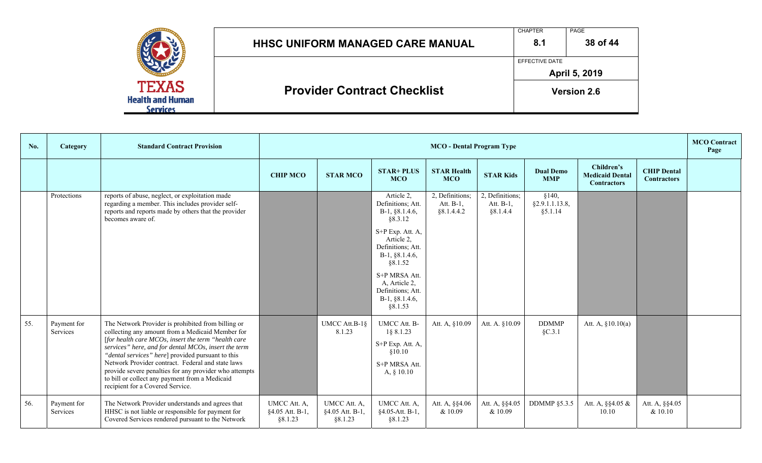|                                                    | <b>HHSC UNIFORM MANAGED CARE MANUAL</b> | <b>CHAPTER</b><br>8.1 | PAGE<br>38 of 44   |
|----------------------------------------------------|-----------------------------------------|-----------------------|--------------------|
|                                                    |                                         | EFFECTIVE DATE        | April 5, 2019      |
| <b>TEXAS</b><br><b>Health and Human</b><br>ervices | <b>Provider Contract Checklist</b>      |                       | <b>Version 2.6</b> |

| No. | Category                | <b>Standard Contract Provision</b>                                                                                                                                                                                                                                                                                                                                                                                                                                              |                                            | <b>MCO</b> - Dental Program Type           |                                                                                           |                                             |                                                        |                                     |                                                            |                                          |  |
|-----|-------------------------|---------------------------------------------------------------------------------------------------------------------------------------------------------------------------------------------------------------------------------------------------------------------------------------------------------------------------------------------------------------------------------------------------------------------------------------------------------------------------------|--------------------------------------------|--------------------------------------------|-------------------------------------------------------------------------------------------|---------------------------------------------|--------------------------------------------------------|-------------------------------------|------------------------------------------------------------|------------------------------------------|--|
|     |                         |                                                                                                                                                                                                                                                                                                                                                                                                                                                                                 | <b>CHIP MCO</b>                            | <b>STAR MCO</b>                            | <b>STAR+ PLUS</b><br><b>MCO</b>                                                           | <b>STAR Health</b><br><b>MCO</b>            | <b>STAR Kids</b>                                       | <b>Dual Demo</b><br><b>MMP</b>      | Children's<br><b>Medicaid Dental</b><br><b>Contractors</b> | <b>CHIP Dental</b><br><b>Contractors</b> |  |
|     | Protections             | reports of abuse, neglect, or exploitation made<br>regarding a member. This includes provider self-<br>reports and reports made by others that the provider<br>becomes aware of.                                                                                                                                                                                                                                                                                                |                                            |                                            | Article 2,<br>Definitions; Att.<br>$B-1, §8.1.4.6,$<br>§8.3.12                            | 2, Definitions;<br>Att. B-1,<br>§ 8.1.4.4.2 | $\overline{2}$ , Definitions;<br>Att. B-1,<br>§8.1.4.4 | §140,<br>§2.9.1.1.13.8,<br>§ 5.1.14 |                                                            |                                          |  |
|     |                         |                                                                                                                                                                                                                                                                                                                                                                                                                                                                                 |                                            |                                            | S+P Exp. Att. A,<br>Article 2,<br>Definitions; Att.<br>$B-1, §8.1.4.6,$<br>§8.1.52        |                                             |                                                        |                                     |                                                            |                                          |  |
|     |                         |                                                                                                                                                                                                                                                                                                                                                                                                                                                                                 |                                            |                                            | S+P MRSA Att.<br>A, Article 2,<br>Definitions; Att.<br>$B-1, §8.1.4.6,$<br>§8.1.53        |                                             |                                                        |                                     |                                                            |                                          |  |
| 55. | Payment for<br>Services | The Network Provider is prohibited from billing or<br>collecting any amount from a Medicaid Member for<br>[for health care MCOs, insert the term "health care<br>services" here, and for dental MCOs, insert the term<br>"dental services" here] provided pursuant to this<br>Network Provider contract. Federal and state laws<br>provide severe penalties for any provider who attempts<br>to bill or collect any payment from a Medicaid<br>recipient for a Covered Service. |                                            | UMCC Att.B-1§<br>8.1.23                    | UMCC Att. B-<br>1§ 8.1.23<br>S+P Exp. Att. A,<br>\$10.10<br>S+P MRSA Att.<br>A, $§ 10.10$ | Att. A, §10.09                              | Att. A. §10.09                                         | <b>DDMMP</b><br>$\S C.3.1$          | Att. A, §10.10(a)                                          |                                          |  |
| 56. | Payment for<br>Services | The Network Provider understands and agrees that<br>HHSC is not liable or responsible for payment for<br>Covered Services rendered pursuant to the Network                                                                                                                                                                                                                                                                                                                      | UMCC Att. A,<br>§4.05 Att. B-1,<br>§8.1.23 | UMCC Att. A,<br>§4.05 Att. B-1,<br>§8.1.23 | UMCC Att. A,<br>§4.05-Att. B-1,<br>§8.1.23                                                | Att. A, §§4.06<br>& 10.09                   | Att. A, §§4.05<br>& 10.09                              | <b>DDMMP §5.3.5</b>                 | Att. A, $\S$ $4.05 \&$<br>10.10                            | Att. A, §§4.05<br>& 10.10                |  |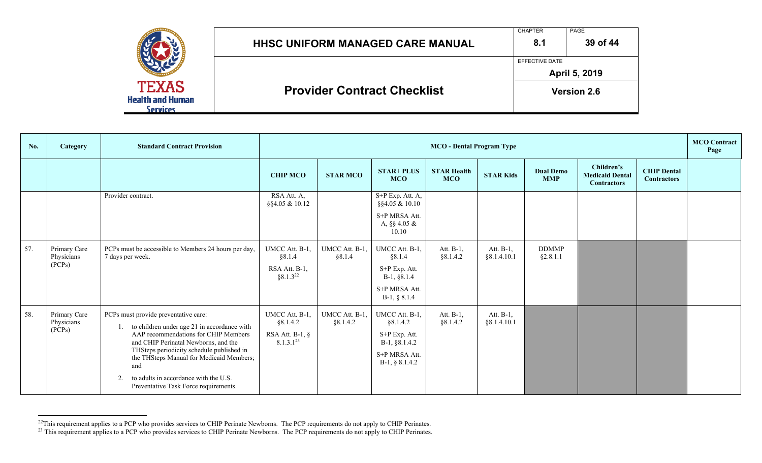|                                                     | HHSC UNIFORM MANAGED CARE MANUAL   | <b>CHAPTER</b><br>8.1 | <b>PAGE</b><br>39 of 44 |
|-----------------------------------------------------|------------------------------------|-----------------------|-------------------------|
|                                                     |                                    | EFFECTIVE DATE        | April 5, 2019           |
| <b>TEXAS</b><br><b>Health and Human</b><br>Services | <b>Provider Contract Checklist</b> |                       | <b>Version 2.6</b>      |

| No. | <b>Category</b>                      | <b>Standard Contract Provision</b>                                                                                                                                                                                                                                                                                                                          |                                                                    | <b>MCO</b> - Dental Program Type |                                                                                                   |                                  |                           |                                |                                                            | <b>MCO</b> Contract<br>Page              |  |
|-----|--------------------------------------|-------------------------------------------------------------------------------------------------------------------------------------------------------------------------------------------------------------------------------------------------------------------------------------------------------------------------------------------------------------|--------------------------------------------------------------------|----------------------------------|---------------------------------------------------------------------------------------------------|----------------------------------|---------------------------|--------------------------------|------------------------------------------------------------|------------------------------------------|--|
|     |                                      |                                                                                                                                                                                                                                                                                                                                                             | <b>CHIP MCO</b>                                                    | <b>STAR MCO</b>                  | <b>STAR+ PLUS</b><br><b>MCO</b>                                                                   | <b>STAR Health</b><br><b>MCO</b> | <b>STAR Kids</b>          | <b>Dual Demo</b><br><b>MMP</b> | Children's<br><b>Medicaid Dental</b><br><b>Contractors</b> | <b>CHIP Dental</b><br><b>Contractors</b> |  |
|     |                                      | Provider contract.                                                                                                                                                                                                                                                                                                                                          | $RSA$ Att. A,<br>§§4.05 & 10.12                                    |                                  | S+P Exp. Att. A,<br>§§4.05 & 10.10<br>S+P MRSA Att.<br>A, $\S$ 4.05 &<br>10.10                    |                                  |                           |                                |                                                            |                                          |  |
| 57. | Primary Care<br>Physicians<br>(PCPs) | PCPs must be accessible to Members 24 hours per day,<br>7 days per week.                                                                                                                                                                                                                                                                                    | UMCC Att. B-1.<br>§8.1.4<br>RSA Att. B-1,<br>$§8.1.3^{22}$         | UMCC Att. B-1,<br>§8.1.4         | UMCC Att. B-1,<br>§8.1.4<br>S+P Exp. Att.<br>B-1, §8.1.4<br>S+P MRSA Att.<br>$B-1, § 8.1.4$       | Att. B-1,<br>§8.1.4.2            | Att. B-1,<br>§ 8.1.4.10.1 | <b>DDMMP</b><br>§2.8.1.1       |                                                            |                                          |  |
| 58. | Primary Care<br>Physicians<br>(PCPs) | PCPs must provide preventative care:<br>to children under age 21 in accordance with<br>AAP recommendations for CHIP Members<br>and CHIP Perinatal Newborns, and the<br>THSteps periodicity schedule published in<br>the THSteps Manual for Medicaid Members;<br>and<br>to adults in accordance with the U.S.<br>2.<br>Preventative Task Force requirements. | UMCC Att. B-1,<br>§8.1.4.2<br>RSA Att. B-1, $\S$<br>$8.1.3.1^{23}$ | UMCC Att. B-1,<br>§8.1.4.2       | UMCC Att. B-1,<br>§8.1.4.2<br>S+P Exp. Att.<br>B-1, §8.1.4.2<br>S+P MRSA Att.<br>$B-1, § 8.1.4.2$ | Att. B-1,<br>§8.1.4.2            | Att. B-1,<br>§ 8.1.4.10.1 |                                |                                                            |                                          |  |

 $^{22}$ This requirement applies to a PCP who provides services to CHIP Perinate Newborns. The PCP requirements do not apply to CHIP Perinates.

<sup>&</sup>lt;sup>23</sup> This requirement applies to a PCP who provides services to CHIP Perinate Newborns. The PCP requirements do not apply to CHIP Perinates.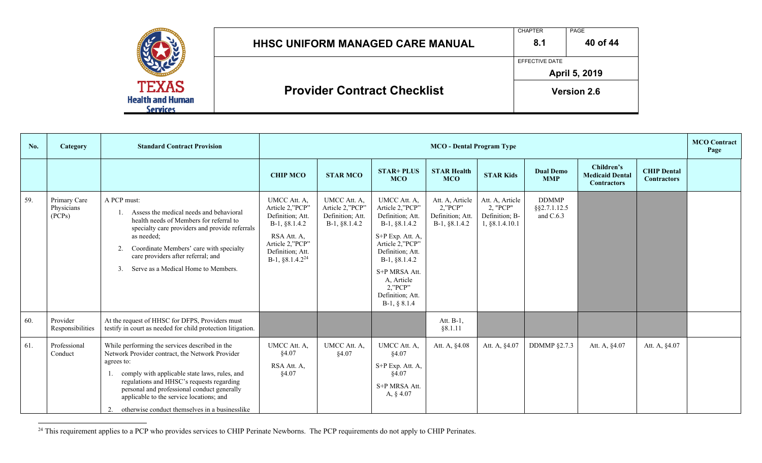|                                         | <b>HHSC UNIFORM MANAGED CARE MANUAL</b> | <b>CHAPTER</b><br>8.1 | PAGE<br>40 of 44   |
|-----------------------------------------|-----------------------------------------|-----------------------|--------------------|
|                                         |                                         | EFFECTIVE DATE        | April 5, 2019      |
| <b>TEXAS</b><br><b>Health and Human</b> | <b>Provider Contract Checklist</b>      |                       | <b>Version 2.6</b> |

| No. | Category                             | <b>Standard Contract Provision</b>                                                                                                                                                                                                                                                                                                                         |                                                                                                                                                 | <b>MCO</b> - Dental Program Type                                     |                                                                                                                                                                                                                                     |                                                                      |                                                                 |                                           |                                                            |                                          | <b>MCO</b> Contract<br>Page |
|-----|--------------------------------------|------------------------------------------------------------------------------------------------------------------------------------------------------------------------------------------------------------------------------------------------------------------------------------------------------------------------------------------------------------|-------------------------------------------------------------------------------------------------------------------------------------------------|----------------------------------------------------------------------|-------------------------------------------------------------------------------------------------------------------------------------------------------------------------------------------------------------------------------------|----------------------------------------------------------------------|-----------------------------------------------------------------|-------------------------------------------|------------------------------------------------------------|------------------------------------------|-----------------------------|
|     |                                      |                                                                                                                                                                                                                                                                                                                                                            | <b>CHIP MCO</b>                                                                                                                                 | <b>STAR MCO</b>                                                      | <b>STAR+ PLUS</b><br><b>MCO</b>                                                                                                                                                                                                     | <b>STAR Health</b><br><b>MCO</b>                                     | <b>STAR Kids</b>                                                | <b>Dual Demo</b><br><b>MMP</b>            | Children's<br><b>Medicaid Dental</b><br><b>Contractors</b> | <b>CHIP Dental</b><br><b>Contractors</b> |                             |
| 59. | Primary Care<br>Physicians<br>(PCPs) | A PCP must:<br>Assess the medical needs and behavioral<br>health needs of Members for referral to<br>specialty care providers and provide referrals<br>as needed;<br>Coordinate Members' care with specialty<br>2.<br>care providers after referral; and<br>Serve as a Medical Home to Members.<br>3.                                                      | UMCC Att. A,<br>Article 2,"PCP"<br>Definition; Att.<br>B-1, §8.1.4.2<br>RSA Att. A,<br>Article 2,"PCP"<br>Definition; Att.<br>$B-1, §8.1.4.224$ | UMCC Att. A,<br>Article 2,"PCP"<br>Definition; Att.<br>B-1, §8.1.4.2 | UMCC Att. A,<br>Article 2,"PCP"<br>Definition; Att.<br>$B-1, §8.1.4.2$<br>S+P Exp. Att. A,<br>Article 2,"PCP"<br>Definition; Att.<br>B-1, §8.1.4.2<br>S+P MRSA Att.<br>A, Article<br>2, 'PCP'<br>Definition; Att.<br>$B-1, § 8.1.4$ | Att. A, Article<br>$2,$ "PCP"<br>Definition; Att.<br>$B-1, §8.1.4.2$ | Att. A, Article<br>2, "PCP"<br>Definition; B-<br>1, §8.1.4.10.1 | <b>DDMMP</b><br>§§2.7.1.12.5<br>and C.6.3 |                                                            |                                          |                             |
| 60. | Provider<br>Responsibilities         | At the request of HHSC for DFPS, Providers must<br>testify in court as needed for child protection litigation.                                                                                                                                                                                                                                             |                                                                                                                                                 |                                                                      |                                                                                                                                                                                                                                     | Att. B-1,<br>88.1.11                                                 |                                                                 |                                           |                                                            |                                          |                             |
| 61. | Professional<br>Conduct              | While performing the services described in the<br>Network Provider contract, the Network Provider<br>agrees to:<br>comply with applicable state laws, rules, and<br>regulations and HHSC's requests regarding<br>personal and professional conduct generally<br>applicable to the service locations; and<br>otherwise conduct themselves in a businesslike | UMCC Att. A.<br>§4.07<br>RSA Att. A,<br>§4.07                                                                                                   | UMCC Att. A,<br>§4.07                                                | UMCC Att. A,<br>\$4.07<br>S+P Exp. Att. A,<br>§4.07<br>S+P MRSA Att.<br>A, § 4.07                                                                                                                                                   | Att. A, §4.08                                                        | Att. A, §4.07                                                   | DDMMP $§2.7.3$                            | Att. A, §4.07                                              | Att. A, §4.07                            |                             |

<sup>24</sup> This requirement applies to a PCP who provides services to CHIP Perinate Newborns. The PCP requirements do not apply to CHIP Perinates.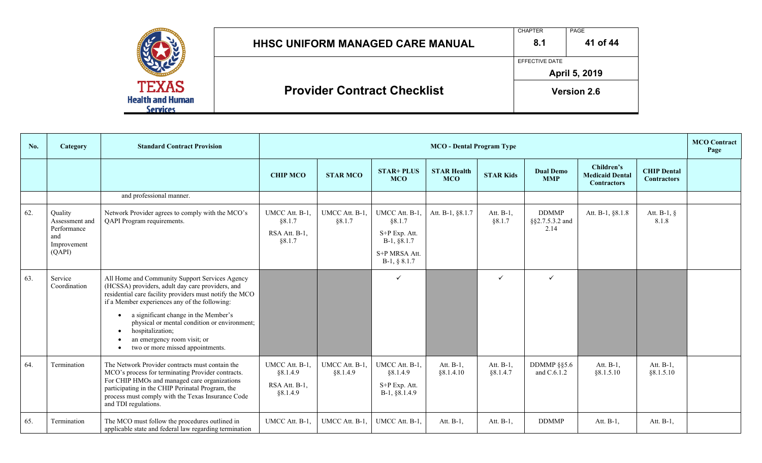|                                                            | <b>HHSC UNIFORM MANAGED CARE MANUAL</b> | <b>CHAPTER</b><br>8.1 | PAGE<br>41 of 44   |
|------------------------------------------------------------|-----------------------------------------|-----------------------|--------------------|
|                                                            |                                         | EFFECTIVE DATE        | April 5, 2019      |
| <b>TEXAS</b><br><b>Health and Human</b><br><b>Services</b> | <b>Provider Contract Checklist</b>      |                       | <b>Version 2.6</b> |

| No.    | Category                                 | <b>Standard Contract Provision</b>                                                                                                                                                                                 |                                           | <b>MCO</b> - Dental Program Type |                                            |                                  |                       |                                         |                                                            |                                          | <b>MCO</b> Contract<br>Page |
|--------|------------------------------------------|--------------------------------------------------------------------------------------------------------------------------------------------------------------------------------------------------------------------|-------------------------------------------|----------------------------------|--------------------------------------------|----------------------------------|-----------------------|-----------------------------------------|------------------------------------------------------------|------------------------------------------|-----------------------------|
|        |                                          |                                                                                                                                                                                                                    | <b>CHIP MCO</b>                           | <b>STAR MCO</b>                  | <b>STAR+ PLUS</b><br><b>MCO</b>            | <b>STAR Health</b><br><b>MCO</b> | <b>STAR Kids</b>      | <b>Dual Demo</b><br><b>MMP</b>          | Children's<br><b>Medicaid Dental</b><br><b>Contractors</b> | <b>CHIP Dental</b><br><b>Contractors</b> |                             |
|        |                                          | and professional manner.                                                                                                                                                                                           |                                           |                                  |                                            |                                  |                       |                                         |                                                            |                                          |                             |
| 62.    | Quality<br>Assessment and<br>Performance | Network Provider agrees to comply with the MCO's<br>QAPI Program requirements.                                                                                                                                     | UMCC Att. B-1,<br>§8.1.7<br>RSA Att. B-1, | UMCC Att. B-1,<br>§8.1.7         | UMCC Att. B-1,<br>§ 8.1.7<br>S+P Exp. Att. | Att. B-1, §8.1.7                 | Att. B-1,<br>§ 8.1.7  | <b>DDMMP</b><br>§§2.7.5.3.2 and<br>2.14 | Att. B-1, §8.1.8                                           | Att. $B-1$ , $\S$<br>8.1.8               |                             |
|        | and<br>Improvement                       |                                                                                                                                                                                                                    | §8.1.7                                    |                                  | B-1, §8.1.7                                |                                  |                       |                                         |                                                            |                                          |                             |
| (QAPI) |                                          |                                                                                                                                                                                                                    |                                           |                                  | S+P MRSA Att.<br>$B-1, § 8.1.7$            |                                  |                       |                                         |                                                            |                                          |                             |
| 63.    | Service<br>Coordination                  | All Home and Community Support Services Agency<br>(HCSSA) providers, adult day care providers, and<br>residential care facility providers must notify the MCO<br>if a Member experiences any of the following:     |                                           |                                  | $\checkmark$                               |                                  | $\checkmark$          | $\checkmark$                            |                                                            |                                          |                             |
|        |                                          | a significant change in the Member's<br>$\bullet$<br>physical or mental condition or environment;<br>hospitalization;<br>$\bullet$<br>an emergency room visit; or<br>two or more missed appointments.<br>$\bullet$ |                                           |                                  |                                            |                                  |                       |                                         |                                                            |                                          |                             |
| 64.    | Termination                              | The Network Provider contracts must contain the<br>MCO's process for terminating Provider contracts.                                                                                                               | UMCC Att. B-1,<br>§8.1.4.9                | UMCC Att. B-1,<br>§8.1.4.9       | UMCC Att. B-1,<br>§8.1.4.9                 | Att. B-1,<br>§ 8.1.4.10          | Att. B-1,<br>§8.1.4.7 | DDMMP $\S$ §5.6<br>and C.6.1.2          | Att. B-1,<br>§ 8.1.5.10                                    | Att. B-1,<br>§ 8.1.5.10                  |                             |
|        |                                          | For CHIP HMOs and managed care organizations<br>participating in the CHIP Perinatal Program, the<br>process must comply with the Texas Insurance Code<br>and TDI regulations.                                      | RSA Att. B-1,<br>§8.1.4.9                 |                                  | S+P Exp. Att.<br>B-1, §8.1.4.9             |                                  |                       |                                         |                                                            |                                          |                             |
| 65.    | Termination                              | The MCO must follow the procedures outlined in<br>applicable state and federal law regarding termination                                                                                                           | UMCC Att. B-1.                            | UMCC Att. B-1,                   | UMCC Att. B-1,                             | Att. B-1,                        | Att. B-1,             | <b>DDMMP</b>                            | Att. B-1,                                                  | Att. B-1,                                |                             |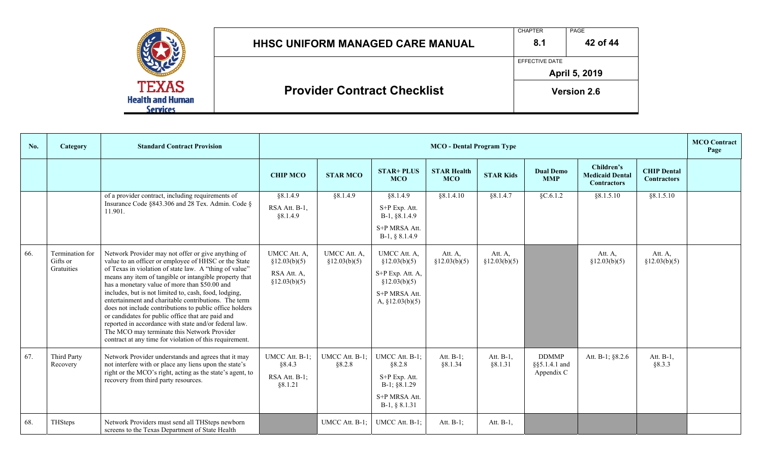|                                            |                                         | <b>CHAPTER</b>        | PAGE               |  |  |
|--------------------------------------------|-----------------------------------------|-----------------------|--------------------|--|--|
|                                            | <b>HHSC UNIFORM MANAGED CARE MANUAL</b> | 8.1                   | 42 of 44           |  |  |
|                                            |                                         | <b>EFFECTIVE DATE</b> |                    |  |  |
| <b>TEXAS</b>                               |                                         | April 5, 2019         |                    |  |  |
| <b>Health and Human</b><br><b>Services</b> | <b>Provider Contract Checklist</b>      |                       | <b>Version 2.6</b> |  |  |

| No. | Category                                  | <b>Standard Contract Provision</b>                                                                                                                                                                                                                                                                                                                                                                                                                                                                                                                                                                                                                                                  |                                                              |                               |                                                                                                          | <b>MCO</b> - Dental Program Type |                          |                                             |                                                            |                                          | <b>MCO</b> Contract<br>Page |
|-----|-------------------------------------------|-------------------------------------------------------------------------------------------------------------------------------------------------------------------------------------------------------------------------------------------------------------------------------------------------------------------------------------------------------------------------------------------------------------------------------------------------------------------------------------------------------------------------------------------------------------------------------------------------------------------------------------------------------------------------------------|--------------------------------------------------------------|-------------------------------|----------------------------------------------------------------------------------------------------------|----------------------------------|--------------------------|---------------------------------------------|------------------------------------------------------------|------------------------------------------|-----------------------------|
|     |                                           |                                                                                                                                                                                                                                                                                                                                                                                                                                                                                                                                                                                                                                                                                     | <b>CHIP MCO</b>                                              | <b>STAR MCO</b>               | <b>STAR+ PLUS</b><br><b>MCO</b>                                                                          | <b>STAR Health</b><br><b>MCO</b> | <b>STAR Kids</b>         | <b>Dual Demo</b><br><b>MMP</b>              | Children's<br><b>Medicaid Dental</b><br><b>Contractors</b> | <b>CHIP Dental</b><br><b>Contractors</b> |                             |
|     |                                           | of a provider contract, including requirements of<br>Insurance Code §843.306 and 28 Tex. Admin. Code §<br>11.901.                                                                                                                                                                                                                                                                                                                                                                                                                                                                                                                                                                   | §8.1.4.9<br>RSA Att. B-1,<br>88.1.4.9                        | §8.1.4.9                      | §8.1.4.9<br>S+P Exp. Att.<br>B-1, §8.1.4.9<br>S+P MRSA Att.<br>$B-1, § 8.1.4.9$                          | § 8.1.4.10                       | § 8.1.4.7                | \$C.6.1.2                                   | § 8.1.5.10                                                 | §8.1.5.10                                |                             |
| 66. | Termination for<br>Gifts or<br>Gratuities | Network Provider may not offer or give anything of<br>value to an officer or employee of HHSC or the State<br>of Texas in violation of state law. A "thing of value"<br>means any item of tangible or intangible property that<br>has a monetary value of more than \$50.00 and<br>includes, but is not limited to, cash, food, lodging,<br>entertainment and charitable contributions. The term<br>does not include contributions to public office holders<br>or candidates for public office that are paid and<br>reported in accordance with state and/or federal law.<br>The MCO may terminate this Network Provider<br>contract at any time for violation of this requirement. | UMCC Att. A,<br>\$12.03(b)(5)<br>RSA Att. A,<br>§12.03(b)(5) | UMCC Att. A,<br>\$12.03(b)(5) | UMCC Att. A,<br>\$12.03(b)(5)<br>S+P Exp. Att. A,<br>\$12.03(b)(5)<br>S+P MRSA Att.<br>A, $§12.03(b)(5)$ | Att. A,<br>\$12.03(b)(5)         | Att. A,<br>\$12.03(b)(5) |                                             | Att. A,<br>\$12.03(b)(5)                                   | Att. A,<br>\$12.03(b)(5)                 |                             |
| 67. | Third Party<br>Recovery                   | Network Provider understands and agrees that it may<br>not interfere with or place any liens upon the state's<br>right or the MCO's right, acting as the state's agent, to<br>recovery from third party resources.                                                                                                                                                                                                                                                                                                                                                                                                                                                                  | UMCC Att. B-1;<br>§8.4.3<br>RSA Att. B-1;<br>§8.1.21         | UMCC Att. B-1;<br>§8.2.8      | UMCC Att. B-1;<br>§8.2.8<br>S+P Exp. Att.<br>$B-1$ ; §8.1.29<br>S+P MRSA Att.<br>B-1, § 8.1.31           | Att. B-1;<br>§8.1.34             | Att. B-1,<br>§8.1.31     | <b>DDMMP</b><br>§§5.1.4.1 and<br>Appendix C | Att. B-1; §8.2.6                                           | Att. B-1,<br>§8.3.3                      |                             |
| 68. | THSteps                                   | Network Providers must send all THSteps newborn<br>screens to the Texas Department of State Health                                                                                                                                                                                                                                                                                                                                                                                                                                                                                                                                                                                  |                                                              | UMCC Att. B-1;                | UMCC Att. B-1;                                                                                           | Att. B-1;                        | Att. B-1,                |                                             |                                                            |                                          |                             |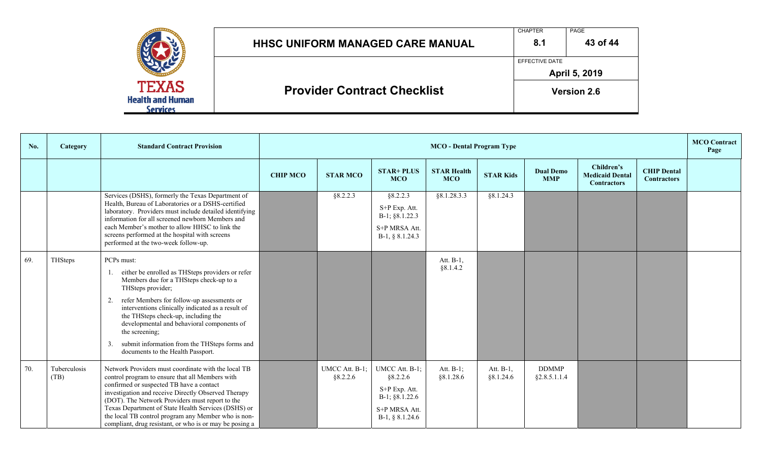|                                                            |                                         | <b>CHAPTER</b>        | PAGE               |  |  |
|------------------------------------------------------------|-----------------------------------------|-----------------------|--------------------|--|--|
|                                                            | <b>HHSC UNIFORM MANAGED CARE MANUAL</b> | 8.1                   | 43 of 44           |  |  |
|                                                            |                                         | <b>EFFECTIVE DATE</b> |                    |  |  |
|                                                            |                                         |                       | April 5, 2019      |  |  |
| <b>TEXAS</b><br><b>Health and Human</b><br><b>Services</b> | <b>Provider Contract Checklist</b>      |                       | <b>Version 2.6</b> |  |  |

| No. | Category             | <b>Standard Contract Provision</b>                                                                                                                                                                                                                                                                                                                                                                                                    | <b>MCO</b> - Dental Program Type |                            |                                                                                                        |                                  |                           |                                |                                                            | <b>MCO</b> Contract<br>Page              |  |
|-----|----------------------|---------------------------------------------------------------------------------------------------------------------------------------------------------------------------------------------------------------------------------------------------------------------------------------------------------------------------------------------------------------------------------------------------------------------------------------|----------------------------------|----------------------------|--------------------------------------------------------------------------------------------------------|----------------------------------|---------------------------|--------------------------------|------------------------------------------------------------|------------------------------------------|--|
|     |                      |                                                                                                                                                                                                                                                                                                                                                                                                                                       | <b>CHIP MCO</b>                  | <b>STAR MCO</b>            | <b>STAR+ PLUS</b><br><b>MCO</b>                                                                        | <b>STAR Health</b><br><b>MCO</b> | <b>STAR Kids</b>          | <b>Dual Demo</b><br><b>MMP</b> | Children's<br><b>Medicaid Dental</b><br><b>Contractors</b> | <b>CHIP Dental</b><br><b>Contractors</b> |  |
|     |                      | Services (DSHS), formerly the Texas Department of<br>Health, Bureau of Laboratories or a DSHS-certified<br>laboratory. Providers must include detailed identifying<br>information for all screened newborn Members and<br>each Member's mother to allow HHSC to link the<br>screens performed at the hospital with screens<br>performed at the two-week follow-up.                                                                    |                                  | §8.2.2.3                   | §8.2.2.3<br>S+P Exp. Att.<br>B-1; §8.1.22.3<br>S+P MRSA Att.<br>B-1, § 8.1.24.3                        | §8.1.28.3.3                      | §8.1.24.3                 |                                |                                                            |                                          |  |
| 69. | THSteps              | PCPs must:<br>either be enrolled as THSteps providers or refer<br>Members due for a THSteps check-up to a<br>THSteps provider;<br>refer Members for follow-up assessments or<br>2.<br>interventions clinically indicated as a result of<br>the THSteps check-up, including the<br>developmental and behavioral components of<br>the screening;<br>submit information from the THSteps forms and<br>documents to the Health Passport.  |                                  |                            |                                                                                                        | Att. B-1,<br>§8.1.4.2            |                           |                                |                                                            |                                          |  |
| 70. | Tuberculosis<br>(TB) | Network Providers must coordinate with the local TB<br>control program to ensure that all Members with<br>confirmed or suspected TB have a contact<br>investigation and receive Directly Observed Therapy<br>(DOT). The Network Providers must report to the<br>Texas Department of State Health Services (DSHS) or<br>the local TB control program any Member who is non-<br>compliant, drug resistant, or who is or may be posing a |                                  | UMCC Att. B-1;<br>§8.2.2.6 | UMCC Att. B-1;<br>§8.2.2.6<br>S+P Exp. Att.<br>$B-1$ ; §8.1.22.6<br>S+P MRSA Att.<br>$B-1, § 8.1.24.6$ | Att. $B-1$ ;<br>§8.1.28.6        | Att. $B-1$ ,<br>§8.1.24.6 | <b>DDMMP</b><br>§2.8.5.1.1.4   |                                                            |                                          |  |